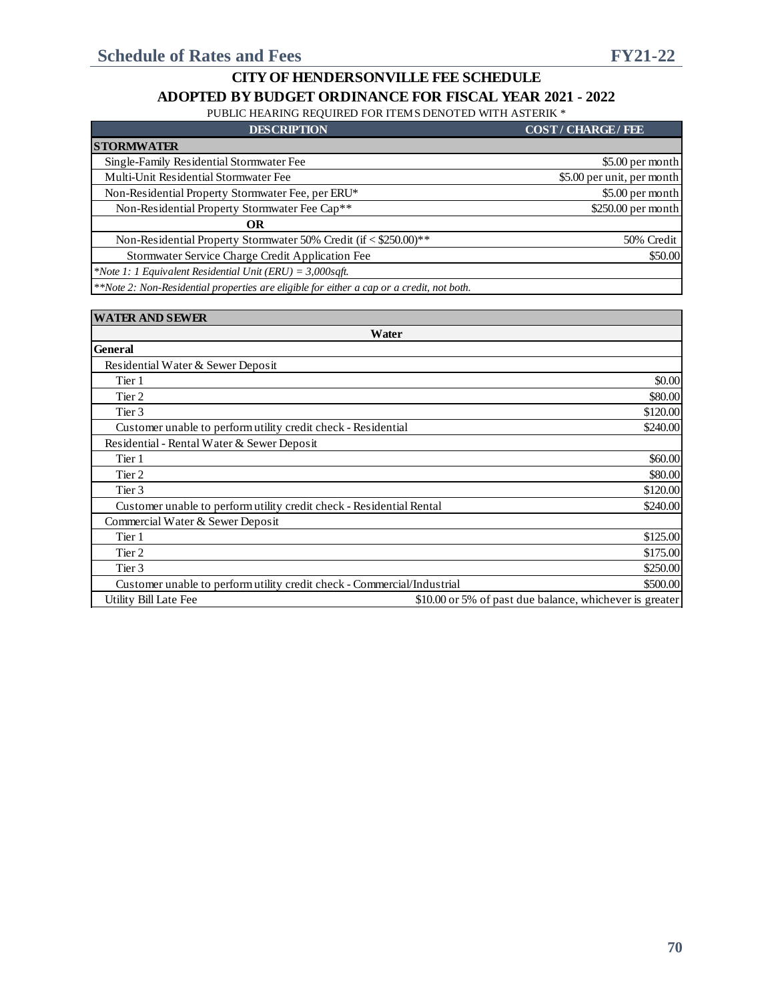PUBLIC HEARING REQUIRED FOR ITEMS DENOTED WITH ASTERIK \*

| <b>DESCRIPTION</b>                                                                            | <b>COST/CHARGE/FEE</b>     |
|-----------------------------------------------------------------------------------------------|----------------------------|
| <b>STORMWATER</b>                                                                             |                            |
| Single-Family Residential Stormwater Fee                                                      | \$5.00 per month           |
| Multi-Unit Residential Stormwater Fee                                                         | \$5.00 per unit, per month |
| Non-Residential Property Stormwater Fee, per ERU*                                             | \$5.00 per month           |
| Non-Residential Property Stormwater Fee Cap**                                                 | $$250.00$ per month        |
| OR                                                                                            |                            |
| Non-Residential Property Stormwater 50% Credit (if < \$250.00)**                              | 50% Credit                 |
| Stormwater Service Charge Credit Application Fee                                              | \$50.00                    |
| *Note 1: 1 Equivalent Residential Unit (ERU) = $3,000$ sqft.                                  |                            |
| **Nets 2. New Devidential manufacture and alternative four side on a son on a smalle mot book |                            |

*\*\*Note 2: Non-Residential properties are eligible for either a cap or a credit, not both.*

| <b>WATER AND SEWER</b>                                                  |                                                         |  |  |  |  |  |
|-------------------------------------------------------------------------|---------------------------------------------------------|--|--|--|--|--|
| Water                                                                   |                                                         |  |  |  |  |  |
| <b>General</b>                                                          |                                                         |  |  |  |  |  |
| Residential Water & Sewer Deposit                                       |                                                         |  |  |  |  |  |
| Tier 1                                                                  | \$0.00                                                  |  |  |  |  |  |
| Tier 2                                                                  | \$80.00                                                 |  |  |  |  |  |
| Tier 3                                                                  | \$120.00                                                |  |  |  |  |  |
| Customer unable to perform utility credit check - Residential           | \$240.00                                                |  |  |  |  |  |
| Residential - Rental Water & Sewer Deposit                              |                                                         |  |  |  |  |  |
| Tier 1                                                                  | \$60.00                                                 |  |  |  |  |  |
| Tier 2                                                                  | \$80.00                                                 |  |  |  |  |  |
| Tier 3                                                                  | \$120.00                                                |  |  |  |  |  |
| Customer unable to perform utility credit check - Residential Rental    | \$240.00                                                |  |  |  |  |  |
| Commercial Water & Sewer Deposit                                        |                                                         |  |  |  |  |  |
| Tier 1                                                                  | \$125.00                                                |  |  |  |  |  |
| Tier 2                                                                  | \$175.00                                                |  |  |  |  |  |
| Tier 3                                                                  | \$250.00                                                |  |  |  |  |  |
| Customer unable to perform utility credit check - Commercial/Industrial | \$500.00                                                |  |  |  |  |  |
| Utility Bill Late Fee                                                   | \$10.00 or 5% of past due balance, whichever is greater |  |  |  |  |  |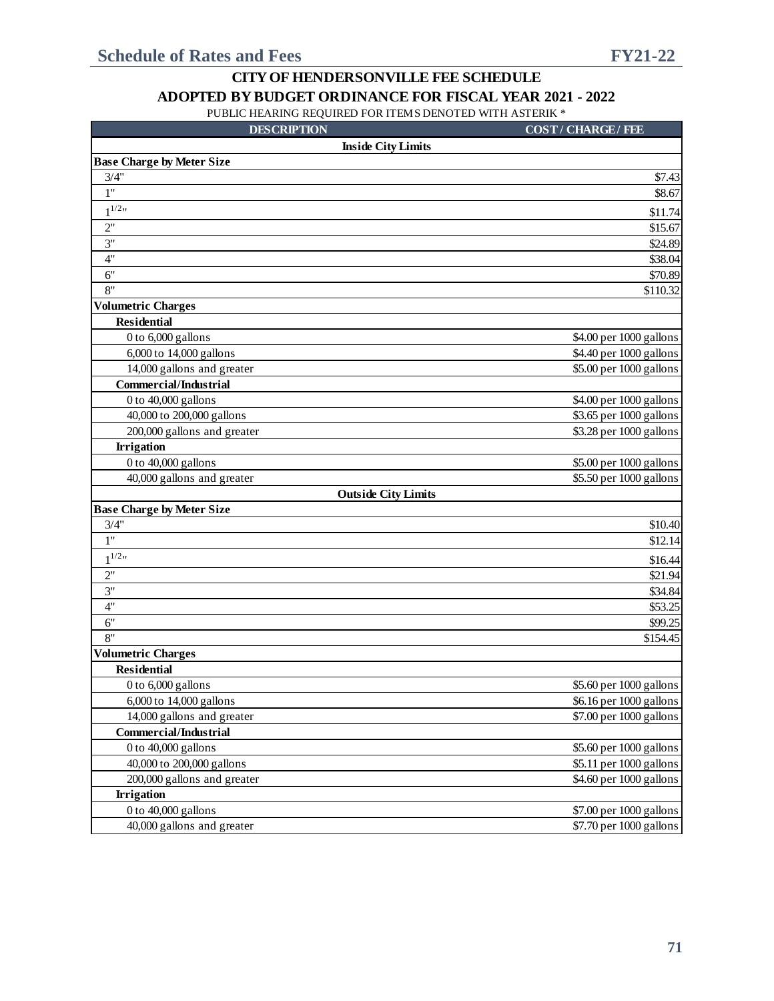| <b>DESCRIPTION</b>                              | <b>COST/CHARGE/FEE</b>                             |
|-------------------------------------------------|----------------------------------------------------|
| <b>Inside City Limits</b>                       |                                                    |
| <b>Base Charge by Meter Size</b>                |                                                    |
| 3/4"                                            | \$7.43                                             |
| 1"                                              | \$8.67                                             |
| $1^{1/2}$                                       | \$11.74                                            |
| 2"                                              | \$15.67                                            |
| 3"                                              | \$24.89                                            |
| 4"                                              | \$38.04                                            |
| 6"                                              | \$70.89                                            |
| 8"                                              | \$110.32                                           |
| <b>Volumetric Charges</b>                       |                                                    |
| <b>Residential</b>                              |                                                    |
| 0 to 6,000 gallons                              | \$4.00 per 1000 gallons                            |
| 6,000 to 14,000 gallons                         | \$4.40 per 1000 gallons                            |
| 14,000 gallons and greater                      | \$5.00 per 1000 gallons                            |
| <b>Commercial/Industrial</b>                    |                                                    |
| 0 to 40,000 gallons                             | \$4.00 per 1000 gallons                            |
| 40,000 to 200,000 gallons                       | \$3.65 per 1000 gallons                            |
| 200,000 gallons and greater                     | \$3.28 per 1000 gallons                            |
| <b>Irrigation</b>                               |                                                    |
| 0 to 40,000 gallons                             | \$5.00 per 1000 gallons                            |
| 40,000 gallons and greater                      | \$5.50 per 1000 gallons                            |
| <b>Outside City Limits</b>                      |                                                    |
| <b>Base Charge by Meter Size</b>                |                                                    |
| 3/4"<br>1"                                      | \$10.40                                            |
|                                                 | \$12.14                                            |
| $1^{1/2}$ "                                     | \$16.44                                            |
| 2"                                              | \$21.94                                            |
| 3"                                              | \$34.84                                            |
| 4"                                              | \$53.25                                            |
| 6"                                              | \$99.25                                            |
| 8"                                              | \$154.45                                           |
| <b>Volumetric Charges</b><br><b>Residential</b> |                                                    |
|                                                 |                                                    |
| 0 to 6,000 gallons<br>6,000 to 14,000 gallons   | \$5.60 per 1000 gallons<br>\$6.16 per 1000 gallons |
| 14,000 gallons and greater                      | \$7.00 per 1000 gallons                            |
| <b>Commercial/Industrial</b>                    |                                                    |
| 0 to 40,000 gallons                             | \$5.60 per 1000 gallons                            |
| 40,000 to 200,000 gallons                       | \$5.11 per 1000 gallons                            |
| 200,000 gallons and greater                     | \$4.60 per 1000 gallons                            |
| <b>Irrigation</b>                               |                                                    |
| 0 to 40,000 gallons                             | \$7.00 per 1000 gallons                            |
| 40,000 gallons and greater                      | \$7.70 per 1000 gallons                            |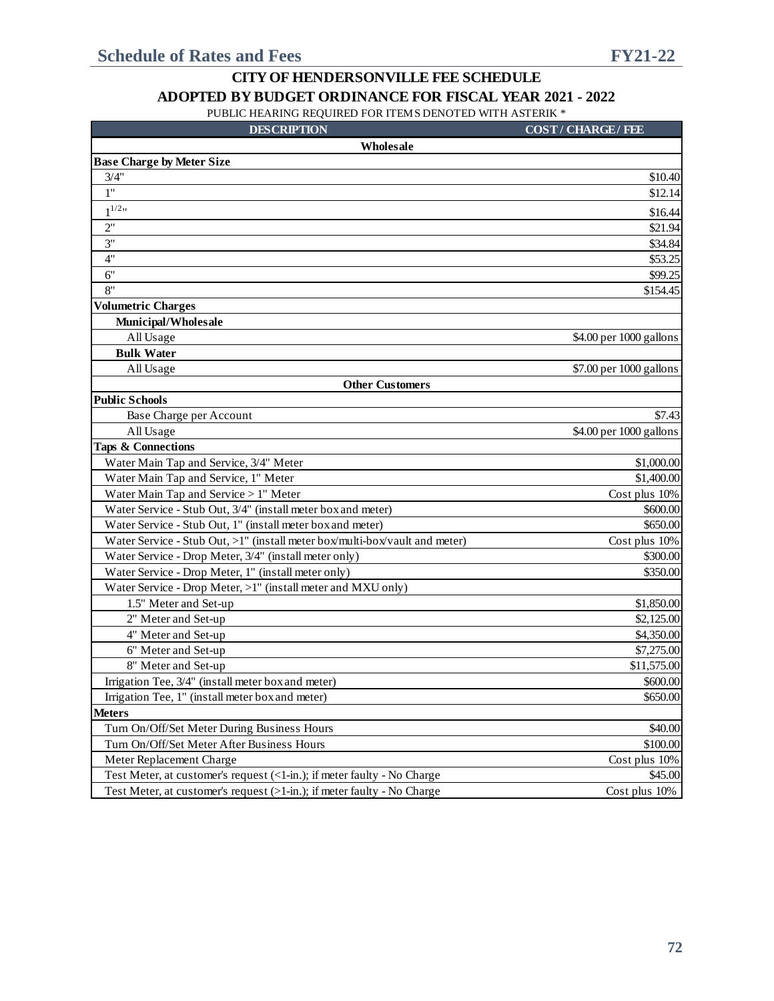| <b>DESCRIPTION</b>                                                          | <b>COST/CHARGE/FEE</b>  |
|-----------------------------------------------------------------------------|-------------------------|
| Wholesale                                                                   |                         |
| <b>Base Charge by Meter Size</b>                                            |                         |
| 3/4"                                                                        | \$10.40                 |
| 1"                                                                          | \$12.14                 |
| $1^{1/2}$                                                                   | \$16.44                 |
| 2"                                                                          | \$21.94                 |
| 3"                                                                          | \$34.84                 |
| 4"                                                                          | \$53.25                 |
| 6"                                                                          | \$99.25                 |
| 8"                                                                          | \$154.45                |
| <b>Volumetric Charges</b>                                                   |                         |
| Municipal/Wholesale                                                         |                         |
| All Usage                                                                   | \$4.00 per 1000 gallons |
| <b>Bulk Water</b>                                                           |                         |
| All Usage                                                                   | \$7.00 per 1000 gallons |
| <b>Other Customers</b>                                                      |                         |
| <b>Public Schools</b>                                                       |                         |
| Base Charge per Account                                                     | \$7.43                  |
| All Usage                                                                   | \$4.00 per 1000 gallons |
| <b>Taps &amp; Connections</b>                                               |                         |
| Water Main Tap and Service, 3/4" Meter                                      | \$1,000.00              |
| Water Main Tap and Service, 1" Meter                                        | \$1,400.00              |
| Water Main Tap and Service > 1" Meter                                       | Cost plus 10%           |
| Water Service - Stub Out, 3/4" (install meter box and meter)                | \$600.00                |
| Water Service - Stub Out, 1" (install meter box and meter)                  | \$650.00                |
| Water Service - Stub Out, >1" (install meter box/multi-box/vault and meter) | Cost plus 10%           |
| Water Service - Drop Meter, 3/4" (install meter only)                       | \$300.00                |
| Water Service - Drop Meter, 1" (install meter only)                         | \$350.00                |
| Water Service - Drop Meter, >1" (install meter and MXU only)                |                         |
| 1.5" Meter and Set-up                                                       | \$1,850.00              |
| 2" Meter and Set-up                                                         | \$2,125.00              |
| 4" Meter and Set-up                                                         | \$4,350.00              |
| 6" Meter and Set-up                                                         | \$7,275.00              |
| 8" Meter and Set-up                                                         | \$11,575.00             |
| Irrigation Tee, 3/4" (install meter box and meter)                          | \$600.00                |
| Irrigation Tee, 1" (install meter box and meter)                            | \$650.00                |
| <b>Meters</b>                                                               |                         |
| Turn On/Off/Set Meter During Business Hours                                 | \$40.00                 |
| Turn On/Off/Set Meter After Business Hours                                  | \$100.00                |
| Meter Replacement Charge                                                    | Cost plus 10%           |
| Test Meter, at customer's request (<1-in.); if meter faulty - No Charge     | \$45.00                 |
| Test Meter, at customer's request (>1-in.); if meter faulty - No Charge     | Cost plus 10%           |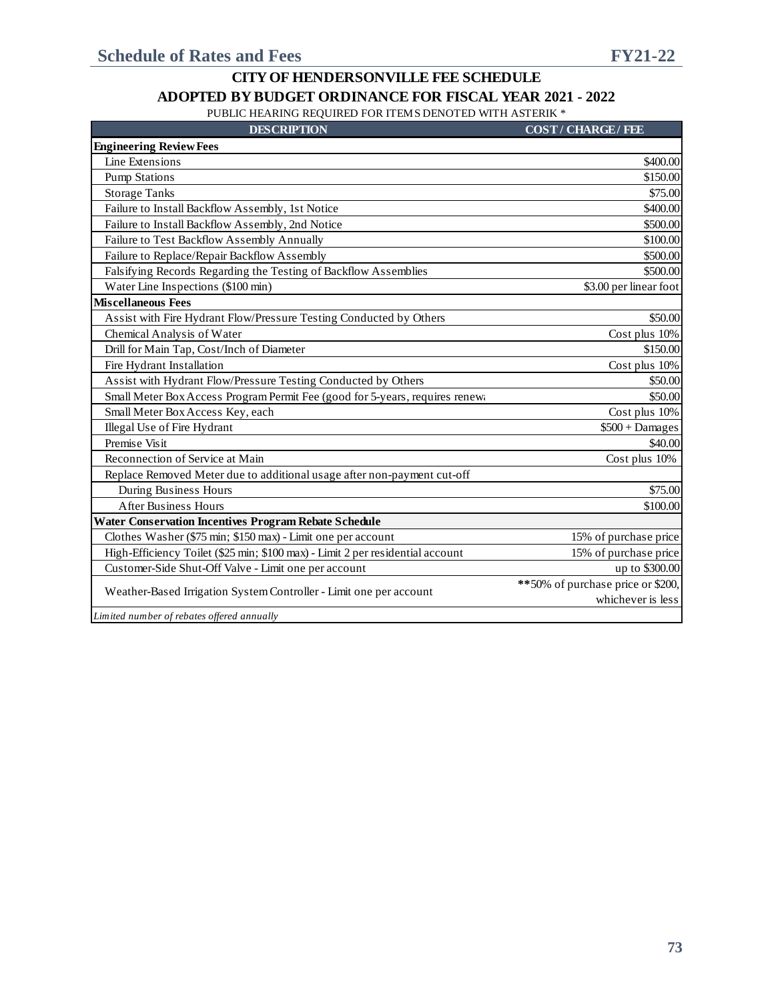PUBLIC HEARING REQUIRED FOR ITEMS DENOTED WITH ASTERIK \*

| <b>DESCRIPTION</b> |  |  |
|--------------------|--|--|
|                    |  |  |

**COST / CHARGE / FEE** 

| <b>Engineering Review Fees</b>                                                 |                                    |
|--------------------------------------------------------------------------------|------------------------------------|
| Line Extensions                                                                | \$400.00                           |
| <b>Pump Stations</b>                                                           | \$150.00                           |
| <b>Storage Tanks</b>                                                           | \$75.00                            |
| Failure to Install Backflow Assembly, 1st Notice                               | \$400.00                           |
| Failure to Install Backflow Assembly, 2nd Notice                               | \$500.00                           |
| Failure to Test Backflow Assembly Annually                                     | \$100.00                           |
| Failure to Replace/Repair Backflow Assembly                                    | \$500.00                           |
| Falsifying Records Regarding the Testing of Backflow Assemblies                | \$500.00                           |
| Water Line Inspections (\$100 min)                                             | \$3.00 per linear foot             |
| <b>Miscellaneous Fees</b>                                                      |                                    |
| Assist with Fire Hydrant Flow/Pressure Testing Conducted by Others             | \$50.00                            |
| Chemical Analysis of Water                                                     | Cost plus 10%                      |
| Drill for Main Tap, Cost/Inch of Diameter                                      | \$150.00                           |
| Fire Hydrant Installation                                                      | Cost plus 10%                      |
| Assist with Hydrant Flow/Pressure Testing Conducted by Others                  | \$50.00                            |
| Small Meter Box Access Program Permit Fee (good for 5-years, requires renewa   | \$50.00                            |
| Small Meter Box Access Key, each                                               | Cost plus 10%                      |
| Illegal Use of Fire Hydrant                                                    | $$500 + Damages$                   |
| Premise Visit                                                                  | \$40.00                            |
| Reconnection of Service at Main                                                | Cost plus 10%                      |
| Replace Removed Meter due to additional usage after non-payment cut-off        |                                    |
| During Business Hours                                                          | \$75.00                            |
| <b>After Business Hours</b>                                                    | \$100.00                           |
| <b>Water Conservation Incentives Program Rebate Schedule</b>                   |                                    |
| Clothes Washer (\$75 min; \$150 max) - Limit one per account                   | 15% of purchase price              |
| High-Efficiency Toilet (\$25 min; \$100 max) - Limit 2 per residential account | 15% of purchase price              |
| Customer-Side Shut-Off Valve - Limit one per account                           | up to \$300.00                     |
| Weather-Based Irrigation System Controller - Limit one per account             | ** 50% of purchase price or \$200, |
|                                                                                | whichever is less                  |
| Limited number of rebates offered annually                                     |                                    |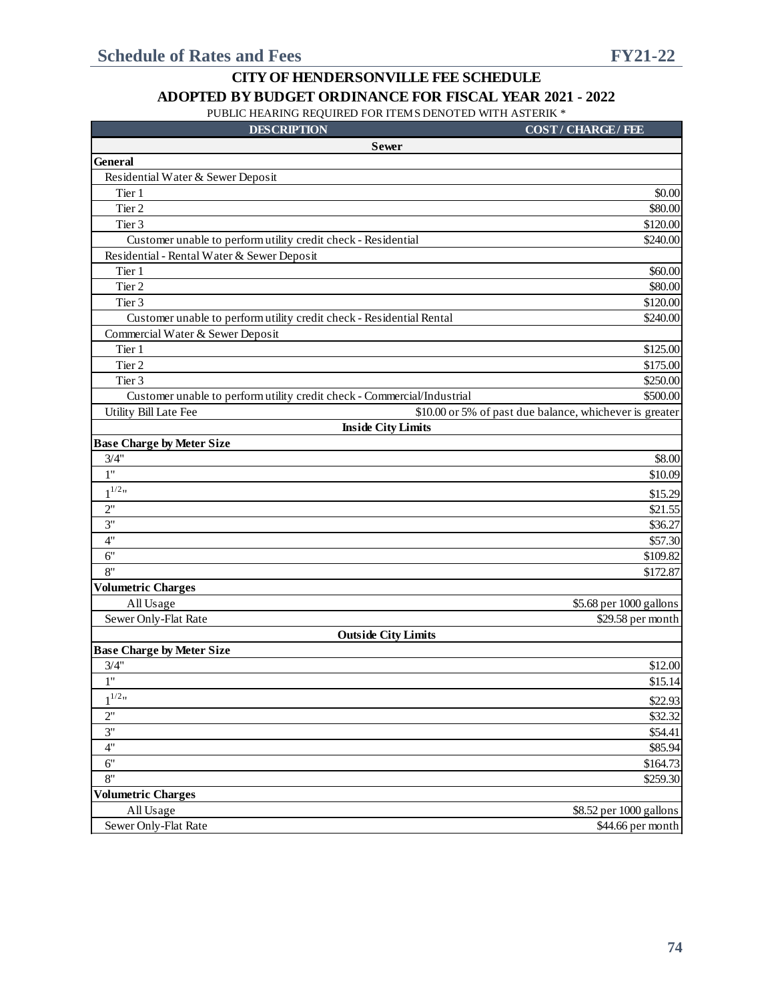| <b>DESCRIPTION</b>                                                      | <b>COST/CHARGE/FEE</b>                                  |
|-------------------------------------------------------------------------|---------------------------------------------------------|
| <b>Sewer</b>                                                            |                                                         |
| <b>General</b>                                                          |                                                         |
| Residential Water & Sewer Deposit                                       |                                                         |
| Tier 1                                                                  | \$0.00                                                  |
| Tier 2                                                                  | \$80.00                                                 |
| Tier 3                                                                  | \$120.00                                                |
| Customer unable to perform utility credit check - Residential           | \$240.00                                                |
| Residential - Rental Water & Sewer Deposit                              |                                                         |
| Tier 1                                                                  | \$60.00                                                 |
| Tier 2                                                                  | \$80.00                                                 |
| Tier 3                                                                  | \$120.00                                                |
| Customer unable to perform utility credit check - Residential Rental    | \$240.00                                                |
| Commercial Water & Sewer Deposit                                        |                                                         |
| Tier 1                                                                  | \$125.00                                                |
| Tier 2                                                                  | \$175.00                                                |
| Tier 3                                                                  | \$250.00                                                |
| Customer unable to perform utility credit check - Commercial/Industrial | \$500.00                                                |
| Utility Bill Late Fee                                                   | \$10.00 or 5% of past due balance, whichever is greater |
| <b>Inside City Limits</b>                                               |                                                         |
| <b>Base Charge by Meter Size</b>                                        |                                                         |
| 3/4"                                                                    | \$8.00                                                  |
| 1"                                                                      | \$10.09                                                 |
| $1^{1/2}$ "                                                             | \$15.29                                                 |
| 2"                                                                      | \$21.55                                                 |
| 3"                                                                      | \$36.27                                                 |
| 4"                                                                      | \$57.30                                                 |
| 6"                                                                      | \$109.82                                                |
| 8"                                                                      | \$172.87                                                |
| <b>Volumetric Charges</b>                                               |                                                         |
| All Usage                                                               | \$5.68 per 1000 gallons                                 |
| Sewer Only-Flat Rate                                                    | \$29.58 per month                                       |
| <b>Outside City Limits</b>                                              |                                                         |
| <b>Base Charge by Meter Size</b>                                        |                                                         |
| $3/4$ "                                                                 | \$12.00                                                 |
| 1"                                                                      | \$15.14                                                 |
| $1^{1/2}$ "                                                             | \$22.93                                                 |
| 2"                                                                      | \$32.32                                                 |
| 3"                                                                      | \$54.41                                                 |
| 4"                                                                      | \$85.94                                                 |
| 6"                                                                      | \$164.73                                                |
| 8"                                                                      | \$259.30                                                |
| <b>Volumetric Charges</b>                                               |                                                         |
| All Usage                                                               | \$8.52 per 1000 gallons                                 |
| Sewer Only-Flat Rate                                                    | \$44.66 per month                                       |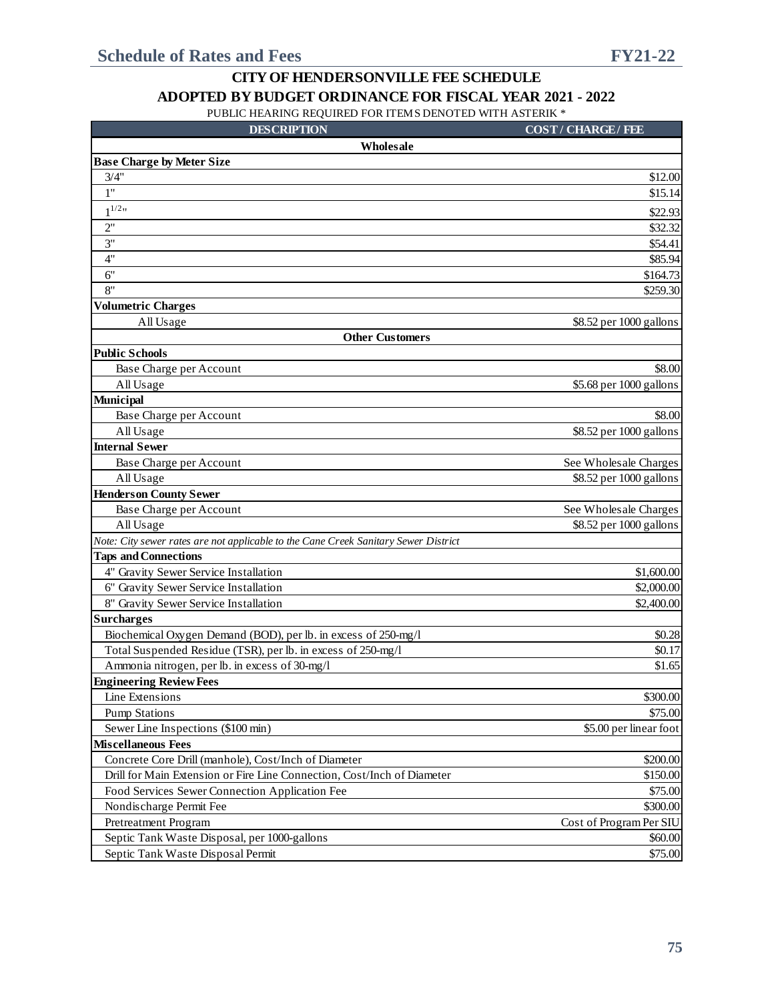| <b>DESCRIPTION</b>                                                                  | <b>COST/CHARGE/FEE</b>  |
|-------------------------------------------------------------------------------------|-------------------------|
| Wholesale                                                                           |                         |
| <b>Base Charge by Meter Size</b>                                                    |                         |
| 3/4"                                                                                | \$12.00                 |
| 1"                                                                                  | \$15.14                 |
| $1^{1/2}$                                                                           | \$22.93                 |
| 2"                                                                                  | \$32.32                 |
| 3"                                                                                  | \$54.41                 |
| 4"                                                                                  | \$85.94                 |
| 6"                                                                                  | \$164.73                |
| 8"                                                                                  | \$259.30                |
| <b>Volumetric Charges</b>                                                           |                         |
| All Usage                                                                           | \$8.52 per 1000 gallons |
| <b>Other Customers</b>                                                              |                         |
| <b>Public Schools</b>                                                               |                         |
| Base Charge per Account                                                             | \$8.00                  |
| All Usage                                                                           | \$5.68 per 1000 gallons |
| <b>Municipal</b>                                                                    |                         |
| Base Charge per Account                                                             | \$8.00                  |
| All Usage                                                                           | \$8.52 per 1000 gallons |
| <b>Internal Sewer</b>                                                               |                         |
| Base Charge per Account                                                             | See Wholesale Charges   |
| All Usage                                                                           | \$8.52 per 1000 gallons |
| <b>Henderson County Sewer</b>                                                       |                         |
| Base Charge per Account                                                             | See Wholesale Charges   |
| All Usage                                                                           | \$8.52 per 1000 gallons |
| Note: City sewer rates are not applicable to the Cane Creek Sanitary Sewer District |                         |
| <b>Taps and Connections</b>                                                         |                         |
| 4" Gravity Sewer Service Installation                                               | \$1,600.00              |
| 6" Gravity Sewer Service Installation                                               | \$2,000.00              |
| 8" Gravity Sewer Service Installation                                               | \$2,400.00              |
| <b>Surcharges</b>                                                                   |                         |
| Biochemical Oxygen Demand (BOD), per lb. in excess of 250-mg/l                      | \$0.28                  |
| Total Suspended Residue (TSR), per lb. in excess of 250-mg/l                        | \$0.17                  |
| Ammonia nitrogen, per lb. in excess of 30-mg/l                                      | \$1.65                  |
| <b>Engineering Review Fees</b>                                                      |                         |
| Line Extensions<br><b>Pump Stations</b>                                             | \$300.00                |
|                                                                                     | \$75.00                 |
| Sewer Line Inspections (\$100 min)<br><b>Miscellaneous Fees</b>                     | \$5.00 per linear foot  |
| Concrete Core Drill (manhole), Cost/Inch of Diameter                                | \$200.00                |
| Drill for Main Extension or Fire Line Connection, Cost/Inch of Diameter             | \$150.00                |
| Food Services Sewer Connection Application Fee                                      | \$75.00                 |
| Nondischarge Permit Fee                                                             | \$300.00                |
| Pretreatment Program                                                                | Cost of Program Per SIU |
| Septic Tank Waste Disposal, per 1000-gallons                                        | \$60.00                 |
| Septic Tank Waste Disposal Permit                                                   | \$75.00                 |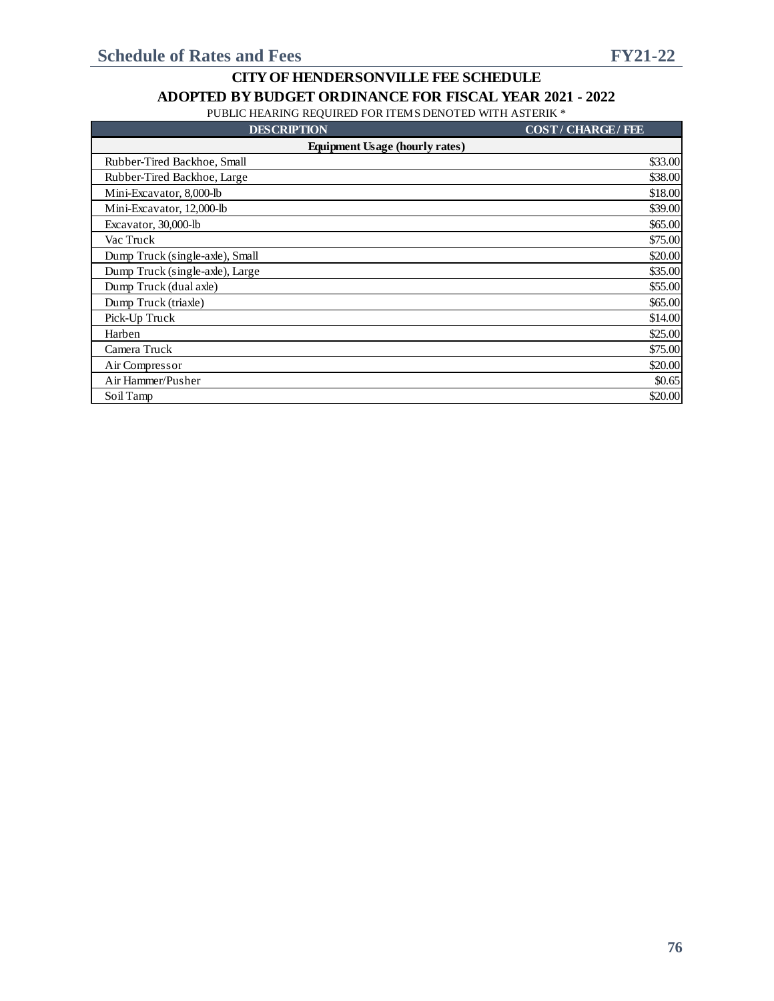| <b>DESCRIPTION</b>                    | <b>COST/CHARGE/FEE</b> |  |  |  |  |  |  |
|---------------------------------------|------------------------|--|--|--|--|--|--|
| <b>Equipment Usage (hourly rates)</b> |                        |  |  |  |  |  |  |
| Rubber-Tired Backhoe, Small           | \$33.00                |  |  |  |  |  |  |
| Rubber-Tired Backhoe, Large           | \$38.00                |  |  |  |  |  |  |
| Mini-Excavator, 8,000-lb              | \$18.00                |  |  |  |  |  |  |
| Mini-Excavator, 12,000-lb             | \$39.00                |  |  |  |  |  |  |
| Excavator, 30,000-lb                  | \$65.00                |  |  |  |  |  |  |
| Vac Truck                             | \$75.00                |  |  |  |  |  |  |
| Dump Truck (single-axle), Small       | \$20.00                |  |  |  |  |  |  |
| Dump Truck (single-axle), Large       | \$35.00                |  |  |  |  |  |  |
| Dump Truck (dual axle)                | \$55.00                |  |  |  |  |  |  |
| Dump Truck (triaxle)                  | \$65.00                |  |  |  |  |  |  |
| Pick-Up Truck                         | \$14.00                |  |  |  |  |  |  |
| Harben                                | \$25.00                |  |  |  |  |  |  |
| Camera Truck                          | \$75.00                |  |  |  |  |  |  |
| Air Compressor                        | \$20.00                |  |  |  |  |  |  |
| Air Hammer/Pusher                     | \$0.65                 |  |  |  |  |  |  |
| Soil Tamp                             | \$20.00                |  |  |  |  |  |  |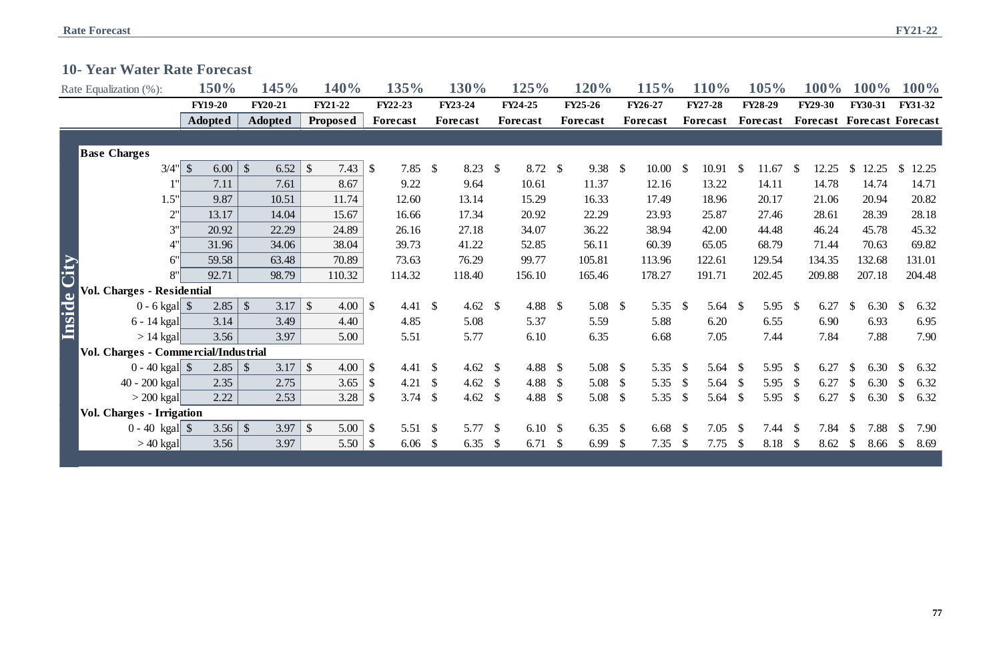|  |  |  |  |  | <b>10- Year Water Rate Forecast</b> |
|--|--|--|--|--|-------------------------------------|
|--|--|--|--|--|-------------------------------------|

|             | Rate Equalization (%):               | 150%                 | 145%                  | 140%                  | 135%                                | 130%     |                       | 125%               |               | 120%            | 115%       |               | 110%                |                    | 105%           |               | <b>100%</b>                       |                           | $100\%$        |               | 100%    |
|-------------|--------------------------------------|----------------------|-----------------------|-----------------------|-------------------------------------|----------|-----------------------|--------------------|---------------|-----------------|------------|---------------|---------------------|--------------------|----------------|---------------|-----------------------------------|---------------------------|----------------|---------------|---------|
|             |                                      | <b>FY19-20</b>       | <b>FY20-21</b>        | FY21-22               | <b>FY22-23</b>                      | FY23-24  |                       | FY24-25            |               | <b>FY25-26</b>  | FY26-27    |               | <b>FY27-28</b>      |                    | <b>FY28-29</b> |               | <b>FY29-30</b>                    |                           | <b>FY30-31</b> |               | FY31-32 |
|             |                                      | <b>Adopted</b>       | <b>Adopted</b>        | Proposed              | Forecast                            | Forecast |                       | Forecast           |               | Forecast        | Forecast   |               | Forecast            |                    | Forecast       |               | <b>Forecast Forecast Forecast</b> |                           |                |               |         |
|             |                                      |                      |                       |                       |                                     |          |                       |                    |               |                 |            |               |                     |                    |                |               |                                   |                           |                |               |         |
|             | <b>Base Charges</b>                  |                      |                       |                       |                                     |          |                       |                    |               |                 |            |               |                     |                    |                |               |                                   |                           |                |               |         |
|             | 3/4"                                 | $\mathbb{S}$<br>6.00 | 6.52<br>$\mathcal{S}$ | $\mathcal{S}$<br>7.43 | $\mathbb{S}$<br>$7.85$ \$           |          | $8.23$ \$             | 8.72               | $\mathcal{S}$ | $9.38$ \$       | 10.00      | -S            | $10.91 \text{ }$ \$ |                    | 11.67          | <b>S</b>      | 12.25                             | $\mathbb{S}$              | 12.25          | $\mathbb{S}$  | 12.25   |
|             | 1'                                   | 7.11                 | 7.61                  | 8.67                  | 9.22                                |          | 9.64                  | 10.61              |               | 11.37           | 12.16      |               | 13.22               |                    | 14.11          |               | 14.78                             |                           | 14.74          |               | 14.71   |
|             | 1.5"                                 | 9.87                 | 10.51                 | 11.74                 | 12.60                               | 13.14    |                       | 15.29              |               | 16.33           | 17.49      |               | 18.96               |                    | 20.17          |               | 21.06                             |                           | 20.94          |               | 20.82   |
|             | $2^{\prime}$                         | 13.17                | 14.04                 | 15.67                 | 16.66                               | 17.34    |                       | 20.92              |               | 22.29           | 23.93      |               | 25.87               |                    | 27.46          |               | 28.61                             |                           | 28.39          |               | 28.18   |
|             | 3"                                   | 20.92                | 22.29                 | 24.89                 | 26.16                               | 27.18    |                       | 34.07              |               | 36.22           | 38.94      |               | 42.00               |                    | 44.48          |               | 46.24                             |                           | 45.78          |               | 45.32   |
|             | $4^{\prime}$                         | 31.96                | 34.06                 | 38.04                 | 39.73                               | 41.22    |                       | 52.85              |               | 56.11           | 60.39      |               | 65.05               |                    | 68.79          |               | 71.44                             |                           | 70.63          |               | 69.82   |
|             | 6'                                   | 59.58                | 63.48                 | 70.89                 | 73.63                               | 76.29    |                       | 99.77              |               | 105.81          | 113.96     |               | 122.61              |                    | 129.54         |               | 134.35                            |                           | 132.68         |               | 131.01  |
|             | 8"                                   | 92.71                | 98.79                 | 110.32                | 114.32                              | 118.40   |                       | 156.10             |               | 165.46          | 178.27     |               | 191.71              |                    | 202.45         |               | 209.88                            |                           | 207.18         |               | 204.48  |
| Inside City | <b>Vol. Charges - Residential</b>    |                      |                       |                       |                                     |          |                       |                    |               |                 |            |               |                     |                    |                |               |                                   |                           |                |               |         |
|             | $0 - 6$ kgal $\$\$                   | 2.85                 | $\sqrt{\ }$<br>3.17   | $\mathcal{S}$<br>4.00 | $\mathcal{S}$<br>4.41 $\sqrt$       |          | 4.62 $\sqrt{$}$       | 4.88               | $\mathcal{S}$ | 5.08 $\sqrt{ }$ | 5.35       | $\mathcal{S}$ | 5.64 $\frac{1}{2}$  |                    | 5.95           | $\mathcal{S}$ | 6.27                              | $\mathbb{S}$              | 6.30           | $\mathcal{S}$ | 6.32    |
|             | 6 - 14 kgal                          | 3.14                 | 3.49                  | 4.40                  | 4.85                                |          | 5.08                  | 5.37               |               | 5.59            | 5.88       |               | 6.20                |                    | 6.55           |               | 6.90                              |                           | 6.93           |               | 6.95    |
|             | $> 14$ kgal                          | 3.56                 | 3.97                  | 5.00                  | 5.51                                |          | 5.77                  | 6.10               |               | 6.35            | 6.68       |               | 7.05                |                    | 7.44           |               | 7.84                              |                           | 7.88           |               | 7.90    |
|             | Vol. Charges - Commercial/Industrial |                      |                       |                       |                                     |          |                       |                    |               |                 |            |               |                     |                    |                |               |                                   |                           |                |               |         |
|             |                                      | 2.85                 | $\mathcal{S}$<br>3.17 | $\mathcal{S}$<br>4.00 | $\mathbb{S}$<br>4.41 $\sqrt{s}$     |          | 4.62 $\sqrt{$}$       | 4.88               | $\mathcal{S}$ | 5.08 $\sqrt{ }$ | 5.35       | $\mathcal{S}$ | 5.64 $\frac{1}{2}$  |                    | 5.95           | $\mathcal{S}$ | 6.27                              | <sup>\$</sup>             | 6.30           | $\mathbb{S}$  | 6.32    |
|             | 40 - 200 kgal                        | 2.35                 | 2.75                  | 3.65                  | 4.21 $\sqrt{s}$<br>$\mathbb{S}$     |          | 4.62<br>$\mathcal{S}$ | 4.88               | $\mathcal{S}$ | 5.08 $\sqrt{ }$ | 5.35       | $\mathcal{S}$ | 5.64 $\sqrt$        |                    | 5.95           | $\mathcal{S}$ | 6.27                              | $\mathbb{S}$              | 6.30           | $\mathcal{S}$ | 6.32    |
|             | $>$ 200 kgal                         | 2.22                 | 2.53                  | 3.28                  | 3.74 $\frac{1}{2}$<br>$\mathcal{S}$ |          | 4.62<br>$\mathcal{S}$ | 4.88               | $\mathcal{S}$ | 5.08 $\sqrt{ }$ | 5.35       | $\mathcal{S}$ | 5.64 $\sqrt$        |                    | 5.95           | $\mathcal{S}$ | 6.27                              | $\boldsymbol{\mathsf{S}}$ | 6.30           | $\mathcal{S}$ | 6.32    |
|             | <b>Vol. Charges - Irrigation</b>     |                      |                       |                       |                                     |          |                       |                    |               |                 |            |               |                     |                    |                |               |                                   |                           |                |               |         |
|             | $0 - 40$ kgal \\$                    | 3.56                 | $\sqrt{\ }$<br>3.97   | $\mathcal{S}$<br>5.00 | $\mathcal{S}$<br>5.51 $\sqrt{ }$    |          | 5.77<br>$\mathcal{S}$ | 6.10 $\frac{1}{2}$ |               | 6.35 $\sqrt{ }$ | 6.68       | - \$          | $7.05$ \$           |                    | 7.44           | $\mathcal{S}$ | 7.84                              | <sup>\$</sup>             | 7.88           | $\mathbb{S}$  | 7.90    |
|             | $>40$ kgal $ $                       | 3.56                 | 3.97                  | 5.50                  | $6.06$ \\$<br>$\mathcal{S}$         |          | 6.35<br>$\mathcal{S}$ | 6.71               | $\mathcal{S}$ | 6.99            | \$<br>7.35 | $\mathcal{S}$ | 7.75                | $\mathbf{\hat{s}}$ | 8.18           | $\mathcal{S}$ | 8.62                              | $\mathbb{S}$              | 8.66           | $\mathcal{S}$ | 8.69    |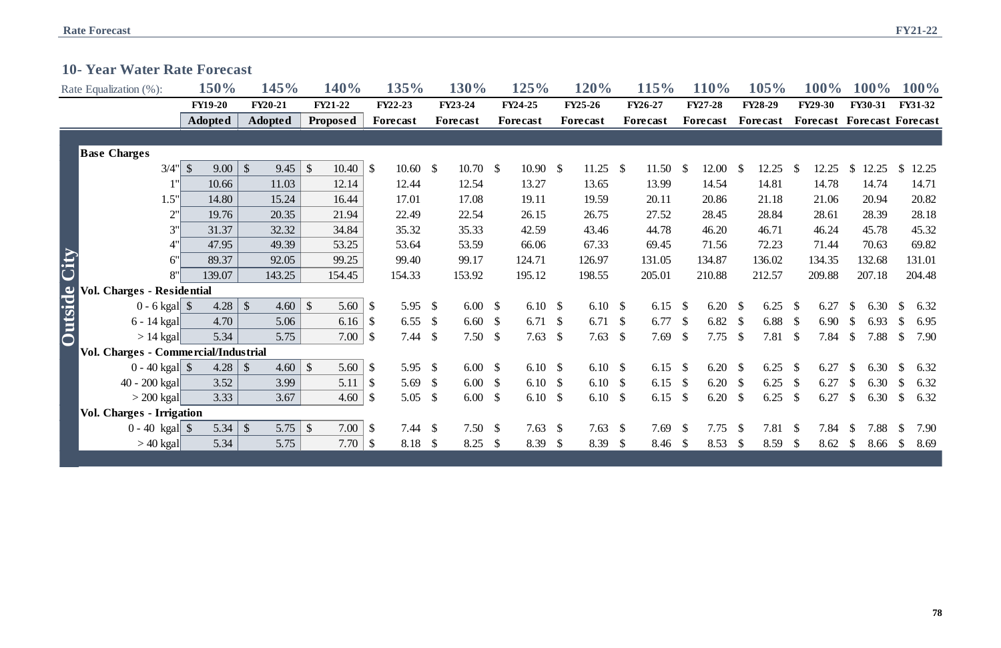|  |  |  |  | <b>10- Year Water Rate Forecast</b> |
|--|--|--|--|-------------------------------------|
|--|--|--|--|-------------------------------------|

|                     | Rate Equalization (%):               | 150%                  | 145%                              | <b>140%</b>            | 135%                                | 130%     |               | 125%            |               | 120%               |               | 115%      |                | <b>110%</b>   | 105%           |               | $100\%$                           |               | <b>100%</b>    |               | 100%    |
|---------------------|--------------------------------------|-----------------------|-----------------------------------|------------------------|-------------------------------------|----------|---------------|-----------------|---------------|--------------------|---------------|-----------|----------------|---------------|----------------|---------------|-----------------------------------|---------------|----------------|---------------|---------|
|                     |                                      | <b>FY19-20</b>        | <b>FY20-21</b>                    | FY21-22                | <b>FY22-23</b>                      | FY23-24  |               | FY24-25         |               | FY25-26            |               | FY26-27   | <b>FY27-28</b> |               | <b>FY28-29</b> |               | <b>FY29-30</b>                    |               | <b>FY30-31</b> |               | FY31-32 |
|                     |                                      | <b>Adopted</b>        | <b>Adopted</b>                    | Proposed               | Forecast                            | Forecast |               | <b>Forecast</b> |               | Forecast           |               | Forecast  | Forecast       |               | Forecast       |               | <b>Forecast Forecast Forecast</b> |               |                |               |         |
|                     |                                      |                       |                                   |                        |                                     |          |               |                 |               |                    |               |           |                |               |                |               |                                   |               |                |               |         |
|                     | <b>Base Charges</b>                  |                       |                                   |                        |                                     |          |               |                 |               |                    |               |           |                |               |                |               |                                   |               |                |               |         |
|                     | 3/4"                                 | $\mathcal{S}$<br>9.00 | $\vert \mathcal{S} \vert$<br>9.45 | $\mathcal{S}$<br>10.40 | $\mathcal{S}$<br>$10.60\quad$ \$    |          | $10.70\quad$  | $10.90\quad$ \$ |               | 11.25 $\$\$        |               | 11.50     | <sup>S</sup>   | $12.00 \,$ \$ | 12.25          | - S           | 12.25                             | $\mathbb{S}$  | 12.25          | $\mathbb{S}$  | 12.25   |
|                     | 1"                                   | 10.66                 | 11.03                             | 12.14                  | 12.44                               | 12.54    |               | 13.27           |               | 13.65              |               | 13.99     |                | 14.54         | 14.81          |               | 14.78                             |               | 14.74          |               | 14.71   |
|                     | 1.5"                                 | 14.80                 | 15.24                             | 16.44                  | 17.01                               | 17.08    |               | 19.11           |               | 19.59              |               | 20.11     |                | 20.86         | 21.18          |               | 21.06                             |               | 20.94          |               | 20.82   |
|                     | 2"                                   | 19.76                 | 20.35                             | 21.94                  | 22.49                               | 22.54    |               | 26.15           |               | 26.75              |               | 27.52     |                | 28.45         | 28.84          |               | 28.61                             |               | 28.39          |               | 28.18   |
|                     | 3"                                   | 31.37                 | 32.32                             | 34.84                  | 35.32                               | 35.33    |               | 42.59           |               | 43.46              |               | 44.78     |                | 46.20         | 46.71          |               | 46.24                             |               | 45.78          |               | 45.32   |
|                     | 4"                                   | 47.95                 | 49.39                             | 53.25                  | 53.64                               | 53.59    |               | 66.06           |               | 67.33              |               | 69.45     |                | 71.56         | 72.23          |               | 71.44                             |               | 70.63          |               | 69.82   |
|                     | 6"                                   | 89.37                 | 92.05                             | 99.25                  | 99.40                               | 99.17    |               | 124.71          |               | 126.97             |               | 131.05    |                | 134.87        | 136.02         |               | 134.35                            |               | 132.68         |               | 131.01  |
|                     | 8"                                   | 139.07                | 143.25                            | 154.45                 | 154.33                              | 153.92   |               | 195.12          |               | 198.55             |               | 205.01    |                | 210.88        | 212.57         |               | 209.88                            |               | 207.18         |               | 204.48  |
|                     | <b>Vol. Charges - Residential</b>    |                       |                                   |                        |                                     |          |               |                 |               |                    |               |           |                |               |                |               |                                   |               |                |               |         |
|                     |                                      | 4.28                  | $\sqrt{\ }$<br>4.60               | $\mathcal{S}$<br>5.60  | $\mathcal{S}$<br>5.95 $\frac{1}{2}$ | 6.00     | $\mathbb{S}$  | 6.10 $\sqrt$    |               | 6.10 $\sqrt$       |               | 6.15      | $\mathcal{S}$  | $6.20\quad$   | 6.25           | <b>S</b>      | 6.27                              | \$            | 6.30           | $\mathbb{S}$  | 6.32    |
|                     | 6 - 14 kgal                          | 4.70                  | 5.06                              | 6.16                   | 6.55 $\frac{1}{2}$<br>$\mathcal{S}$ | 6.60     | $\mathcal{S}$ | 6.71            | $\mathbb{S}$  | 6.71 $\sqrt$       |               | 6.77      | $\mathcal{S}$  | 6.82 $$$      | 6.88           | - \$          | 6.90                              | $\mathbb{S}$  | 6.93           | $\mathbb{S}$  | 6.95    |
| <b>Outside City</b> | $> 14$ kgal                          | 5.34                  | 5.75                              | 7.00                   | $7.44 \text{ } $$<br>$\mathcal{S}$  | 7.50     | $\mathcal{S}$ | 7.63            | $\mathcal{S}$ | 7.63 $\frac{1}{2}$ |               | 7.69      | $\mathcal{S}$  | $7.75$ \$     | 7.81           | <b>S</b>      | 7.84                              | $\mathbb{S}$  | 7.88           | $\mathcal{S}$ | 7.90    |
|                     | Vol. Charges - Commercial/Industrial |                       |                                   |                        |                                     |          |               |                 |               |                    |               |           |                |               |                |               |                                   |               |                |               |         |
|                     |                                      | 4.28                  | $\vert$ \$<br>4.60                | $\mathcal{S}$<br>5.60  | $\mathcal{S}$<br>5.95 $\frac{1}{2}$ | 6.00     | $\mathcal{S}$ | 6.10 $\sqrt$    |               | 6.10 $\sqrt$       |               | 6.15      | - \$           | $6.20\quad$   | 6.25           | $\mathcal{S}$ | 6.27                              | <sup>\$</sup> | 6.30           | <sup>\$</sup> | 6.32    |
|                     | $40 - 200$ kgal                      | 3.52                  | 3.99                              | 5.11                   | 5.69 $\frac{1}{2}$<br>$\mathcal{S}$ | 6.00     | $\mathcal{S}$ | 6.10            | $\mathcal{S}$ | 6.10 $\sqrt$       |               | 6.15      | $\mathcal{S}$  | $6.20\quad$   | 6.25           | $\mathcal{S}$ | 6.27                              | $\mathbb{S}$  | 6.30           | $\mathbb{S}$  | 6.32    |
|                     | $>$ 200 kgal                         | 3.33                  | 3.67                              | 4.60                   | 5.05 \$<br>$\mathcal{S}$            | 6.00     | $\mathcal{S}$ | 6.10            | $\mathcal{S}$ | 6.10 $\sqrt$       |               | 6.15      | $\mathcal{S}$  | $6.20\quad$   | 6.25           | $\mathcal{S}$ | 6.27                              | $\mathbb{S}$  | 6.30           | $\mathcal{S}$ | 6.32    |
|                     | <b>Vol. Charges - Irrigation</b>     |                       |                                   |                        |                                     |          |               |                 |               |                    |               |           |                |               |                |               |                                   |               |                |               |         |
|                     | $0 - 40$ kgal \\$                    | 5.34                  | $\vert \mathcal{S} \vert$<br>5.75 | $\mathcal{S}$<br>7.00  | $\mathcal{S}$<br>$7.44 \text{ } $$  |          | $7.50*$       | 7.63            | $\mathcal{S}$ | 7.63 $\frac{1}{2}$ |               | $7.69$ \$ |                | $7.75$ \$     | 7.81           | $\mathcal{S}$ | 7.84                              | <sup>S</sup>  | 7.88           | $\mathcal{S}$ | 7.90    |
|                     | $>40$ kgal $\vert$                   | 5.34                  | 5.75                              | 7.70                   | 8.18 \$<br>$\mathcal{S}$            | 8.25     | $\mathcal{S}$ | 8.39            | $\mathcal{S}$ | 8.39               | $\mathcal{S}$ | 8.46      | $\mathcal{S}$  | $8.53$ \$     | 8.59           | $\mathcal{S}$ | 8.62                              | $\mathbb{S}$  | 8.66           | $\mathcal{S}$ | 8.69    |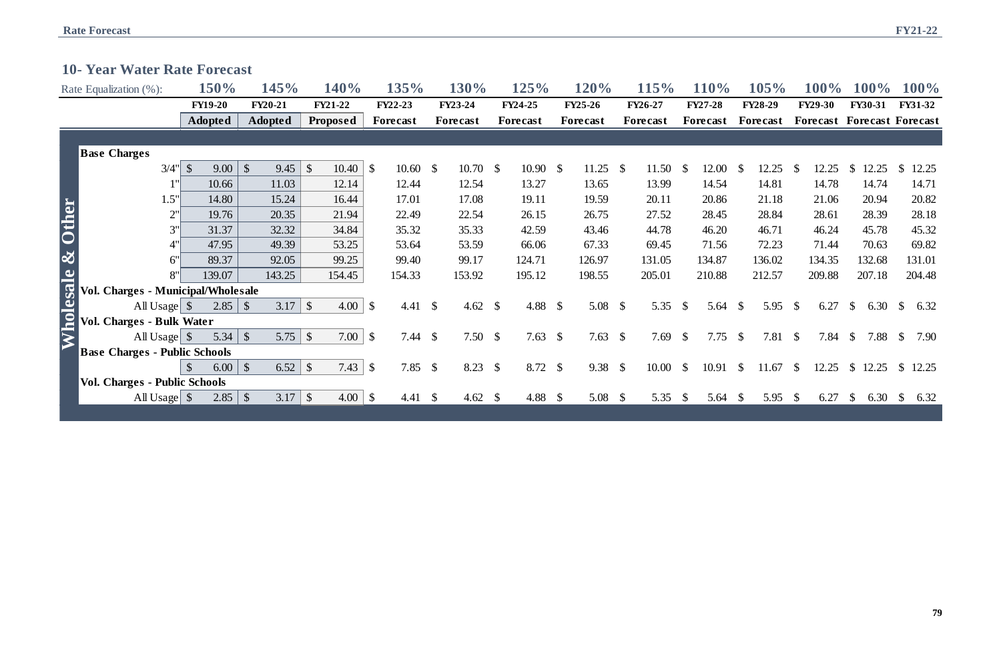# **10- Year Water Rate Forecast**

|                   | Rate Equalization (%):               | 150%                  | 145%                    | <b>140%</b>            | 135%                                 |               | 130%               |               | 125%            |               | <b>120%</b>         |     | <b>115%</b>     |               | <b>110%</b>        |              | 105%           |               | <b>100%</b>                       |               | $100\%$        |               | 100%    |
|-------------------|--------------------------------------|-----------------------|-------------------------|------------------------|--------------------------------------|---------------|--------------------|---------------|-----------------|---------------|---------------------|-----|-----------------|---------------|--------------------|--------------|----------------|---------------|-----------------------------------|---------------|----------------|---------------|---------|
|                   |                                      | <b>FY19-20</b>        | <b>FY20-21</b>          | FY21-22                | <b>FY22-23</b>                       |               | FY23-24            |               | <b>FY24-25</b>  |               | <b>FY25-26</b>      |     | FY26-27         |               | <b>FY27-28</b>     |              | <b>FY28-29</b> |               | <b>FY29-30</b>                    |               | <b>FY30-31</b> |               | FY31-32 |
|                   |                                      | <b>Adopted</b>        | <b>Adopted</b>          | <b>Proposed</b>        | <b>Forecast</b>                      |               | <b>Forecast</b>    |               | <b>Forecast</b> |               | <b>Forecast</b>     |     | <b>Forecast</b> |               | Forecast           |              | Forecast       |               | <b>Forecast Forecast Forecast</b> |               |                |               |         |
|                   |                                      |                       |                         |                        |                                      |               |                    |               |                 |               |                     |     |                 |               |                    |              |                |               |                                   |               |                |               |         |
|                   | <b>Base Charges</b>                  |                       |                         |                        |                                      |               |                    |               |                 |               |                     |     |                 |               |                    |              |                |               |                                   |               |                |               |         |
|                   | 3/4"                                 | 9.00                  | 9.45<br>$\mathcal{S}$   | $\mathcal{S}$<br>10.40 | $10.60 \text{ }$ \$<br>$\mathcal{S}$ |               | $10.70\quad$ \$    |               | $10.90\quad$ \$ |               | 11.25 $\frac{1}{2}$ |     | 11.50           | $\mathcal{S}$ | 12.00              | - \$         | 12.25          | -S            | 12.25                             | $\mathbb{S}$  | 12.25          | <sup>S</sup>  | 12.25   |
|                   |                                      | 10.66                 | 11.03                   | 12.14                  | 12.44                                |               | 12.54              |               | 13.27           |               | 13.65               |     | 13.99           |               | 14.54              |              | 14.81          |               | 14.78                             |               | 14.74          |               | 14.71   |
|                   | 1.5"                                 | 14.80                 | 15.24                   | 16.44                  | 17.01                                |               | 17.08              |               | 19.11           |               | 19.59               |     | 20.11           |               | 20.86              |              | 21.18          |               | 21.06                             |               | 20.94          |               | 20.82   |
| <b>Other</b>      | 2"                                   | 19.76                 | 20.35                   | 21.94                  | 22.49                                |               | 22.54              |               | 26.15           |               | 26.75               |     | 27.52           |               | 28.45              |              | 28.84          |               | 28.61                             |               | 28.39          |               | 28.18   |
|                   | 3"                                   | 31.37                 | 32.32                   | 34.84                  | 35.32                                |               | 35.33              |               | 42.59           |               | 43.46               |     | 44.78           |               | 46.20              |              | 46.71          |               | 46.24                             |               | 45.78          |               | 45.32   |
|                   |                                      | 47.95                 | 49.39                   | 53.25                  | 53.64                                |               | 53.59              |               | 66.06           |               | 67.33               |     | 69.45           |               | 71.56              |              | 72.23          |               | 71.44                             |               | 70.63          |               | 69.82   |
| $\infty$          | 6"                                   | 89.37                 | 92.05                   | 99.25                  | 99.40                                |               | 99.17              |               | 124.71          |               | 126.97              |     | 131.05          |               | 134.87             |              | 136.02         |               | 134.35                            |               | 132.68         |               | 131.01  |
|                   | 8"                                   | 139.07                | 143.25                  | 154.45                 | 154.33                               |               | 153.92             |               | 195.12          |               | 198.55              |     | 205.01          |               | 210.88             |              | 212.57         |               | 209.88                            |               | 207.18         |               | 204.48  |
|                   | Vol. Charges - Municipal/Wholesale   |                       |                         |                        |                                      |               |                    |               |                 |               |                     |     |                 |               |                    |              |                |               |                                   |               |                |               |         |
| <u> Mholesale</u> | All Usage $\vert \$                  | $2.85 \, \vert \, \$  |                         | 4.00                   | \$<br>4.41 $\sqrt{s}$                |               | 4.62 $\frac{1}{2}$ |               | 4.88            | $\mathcal{S}$ | 5.08 $\frac{1}{2}$  |     | 5.35            | $\mathcal{S}$ | 5.64 $\frac{1}{2}$ |              | 5.95           | <sup>S</sup>  | 6.27                              | $\mathbb{S}$  | 6.30           | $\mathbb{S}$  | 6.32    |
|                   | Vol. Charges - Bulk Water            |                       |                         |                        |                                      |               |                    |               |                 |               |                     |     |                 |               |                    |              |                |               |                                   |               |                |               |         |
|                   | All Usage $\$\$                      |                       |                         | $7.00 \, \vert \, \$$  | $7.44 \text{ }$ \$                   |               | 7.50 $\sqrt{$}$    |               | 7.63 $\$\$      |               | 7.63 $\sqrt{ }$     |     | 7.69            | $\mathcal{S}$ | $7.75$ \$          |              | 7.81           | $\mathcal{S}$ | 7.84                              | $\mathcal{S}$ | 7.88           | $\mathcal{S}$ | 7.90    |
|                   | <b>Base Charges - Public Schools</b> |                       |                         |                        |                                      |               |                    |               |                 |               |                     |     |                 |               |                    |              |                |               |                                   |               |                |               |         |
|                   |                                      | 6.00<br>$\mathcal{S}$ | $\mathcal{S}$           | 7.43                   | $\mathcal{S}$<br>$7.85$ \$           |               | 8.23               | $\mathcal{S}$ | $8.72$ \$       |               | $9.38 \quad$        |     | 10.00           | $\mathcal{S}$ | 10.91              | $\mathbb{S}$ | 11.67          | $\mathbb{S}$  | 12.25                             |               | \$12.25        |               | \$12.25 |
|                   | <b>Vol. Charges - Public Schools</b> |                       |                         |                        |                                      |               |                    |               |                 |               |                     |     |                 |               |                    |              |                |               |                                   |               |                |               |         |
|                   | All Usage   \$                       | 2.85                  | $\sqrt[6]{\frac{1}{2}}$ | $4.00 \, \, \text{\$}$ | 4.41                                 | $\mathcal{S}$ | 4.62 $\sqrt$       |               | 4.88            | $\mathcal{S}$ | 5.08                | - S | 5.35            | <sup>S</sup>  | 5.64 $\frac{1}{2}$ |              | 5.95           | $\mathcal{S}$ | 6.27                              | $\mathcal{S}$ | 6.30           | $\mathcal{S}$ | 6.32    |
|                   |                                      |                       |                         |                        |                                      |               |                    |               |                 |               |                     |     |                 |               |                    |              |                |               |                                   |               |                |               |         |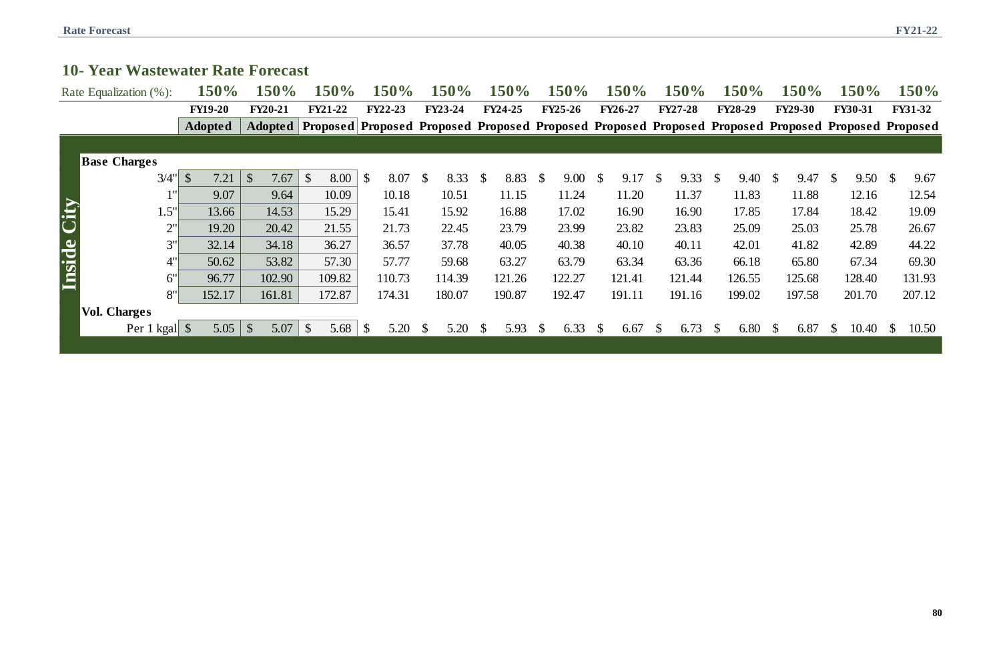# **10- Year Wastewater Rate Forecast**

|   | 150%           | 150%           | 150%                                         | 150%           | 150%           |
|---|----------------|----------------|----------------------------------------------|----------------|----------------|
|   | <b>FY27-28</b> | <b>FY28-29</b> | <b>FY29-30</b>                               | <b>FY30-31</b> | <b>FY31-32</b> |
|   |                |                | Proposed Proposed Proposed Proposed Proposed |                |                |
|   |                |                |                                              |                |                |
|   |                |                |                                              |                |                |
| ₿ | 9.33           | \$<br>9.40     | \$<br>9.47                                   | \$<br>9.50     | \$<br>9.67     |
|   | 11.37          | 11.83          | 11.88                                        | 12.16          | 12.54          |
|   | 16.90          | 17.85          | 17.84                                        | 18.42          | 19.09          |
|   | 23.83          | 25.09          | 25.03                                        | 25.78          | 26.67          |
|   | 40.11          | 42.01          | 41.82                                        | 42.89          | 44.22          |
|   | 63.36          | 66.18          | 65.80                                        | 67.34          | 69.30          |
|   | 121.44         | 126.55         | 125.68                                       | 128.40         | 131.93         |
|   | 191.16         | 199.02         | 197.58                                       | 201.70         | 207.12         |
|   |                |                |                                              |                |                |
| ₿ | 6.73           | \$<br>6.80     | \$<br>6.87                                   | \$<br>10.40    | \$<br>10.50    |
|   |                |                |                                              |                |                |

|               | 10- Year Wastewater Rate Forecast |                       |                       |                       |                       |                            |                       |                                                                                                    |                       |                      |                      |                      |                         |                |
|---------------|-----------------------------------|-----------------------|-----------------------|-----------------------|-----------------------|----------------------------|-----------------------|----------------------------------------------------------------------------------------------------|-----------------------|----------------------|----------------------|----------------------|-------------------------|----------------|
|               | Rate Equalization (%):            | <b>150%</b>           | 150%                  | <b>150%</b>           | 150%                  | <b>150%</b>                | <b>150%</b>           | 150%                                                                                               | 150%                  | <b>150%</b>          | 150%                 | <b>150%</b>          | 150%                    | <b>150%</b>    |
|               |                                   | <b>FY19-20</b>        | <b>FY20-21</b>        | <b>FY21-22</b>        | <b>FY22-23</b>        | <b>FY23-24</b>             | <b>FY24-25</b>        | <b>FY25-26</b>                                                                                     | <b>FY26-27</b>        | <b>FY27-28</b>       | <b>FY28-29</b>       | <b>FY29-30</b>       | <b>FY30-31</b>          | <b>FY31-32</b> |
|               |                                   | <b>Adopted</b>        | Adopted               |                       |                       |                            |                       | Proposed Proposed Proposed Proposed Proposed Proposed Proposed Proposed Proposed Proposed Proposed |                       |                      |                      |                      |                         |                |
|               |                                   |                       |                       |                       |                       |                            |                       |                                                                                                    |                       |                      |                      |                      |                         |                |
|               | <b>Base Charges</b>               |                       |                       |                       |                       |                            |                       |                                                                                                    |                       |                      |                      |                      |                         |                |
|               | 3/4"                              | $\mathcal{S}$<br>7.21 | $\mathcal{S}$<br>7.67 | 8.00<br>$\mathcal{S}$ | $\mathbb{S}$<br>8.07  | $\mathcal{S}$<br>$8.33$ \$ | 8.83                  | 9.00<br>$\mathcal{S}$                                                                              | 9.17<br><sup>S</sup>  | 9.33<br><sup>S</sup> | 9.40<br><sup>S</sup> | 9.47<br>$\mathbb{S}$ | $9.50*$<br><sup>S</sup> | 9.67           |
|               | 1"                                | 9.07                  | 9.64                  | 10.09                 | 10.18                 | 10.51                      | 11.15                 | 11.24                                                                                              | 11.20                 | 11.37                | 11.83                | 11.88                | 12.16                   | 12.54          |
| City          | 1.5"                              | 13.66                 | 14.53                 | 15.29                 | 15.41                 | 15.92                      | 16.88                 | 17.02                                                                                              | 16.90                 | 16.90                | 17.85                | 17.84                | 18.42                   | 19.09          |
|               | 2"                                | 19.20                 | 20.42                 | 21.55                 | 21.73                 | 22.45                      | 23.79                 | 23.99                                                                                              | 23.82                 | 23.83                | 25.09                | 25.03                | 25.78                   | 26.67          |
|               | 3"                                | 32.14                 | 34.18                 | 36.27                 | 36.57                 | 37.78                      | 40.05                 | 40.38                                                                                              | 40.10                 | 40.11                | 42.01                | 41.82                | 42.89                   | 44.22          |
| <b>Inside</b> | 4"                                | 50.62                 | 53.82                 | 57.30                 | 57.77                 | 59.68                      | 63.27                 | 63.79                                                                                              | 63.34                 | 63.36                | 66.18                | 65.80                | 67.34                   | 69.30          |
|               | 6"                                | 96.77                 | 102.90                | 109.82                | 110.73                | 114.39                     | 121.26                | 122.27                                                                                             | 121.41                | 121.44               | 126.55               | 125.68               | 128.40                  | 131.93         |
|               | 8"                                | 152.17                | 161.81                | 172.87                | 174.31                | 180.07                     | 190.87                | 192.47                                                                                             | 191.11                | 191.16               | 199.02               | 197.58               | 201.70                  | 207.12         |
|               | <b>Vol. Charges</b>               |                       |                       |                       |                       |                            |                       |                                                                                                    |                       |                      |                      |                      |                         |                |
|               | Per 1 kgal \\$                    | 5.05                  | $\sqrt{\$}$<br>5.07   | $\mathcal{S}$<br>5.68 | $\mathcal{S}$<br>5.20 | 5.20<br>$\mathcal{P}$      | 5.93<br>$\mathcal{P}$ | 6.33<br><sup>S</sup>                                                                               | 6.67<br>$\mathcal{P}$ | 6.73<br><sup>8</sup> | 6.80                 | 6.87<br>-S           | 10.40                   | 10.50          |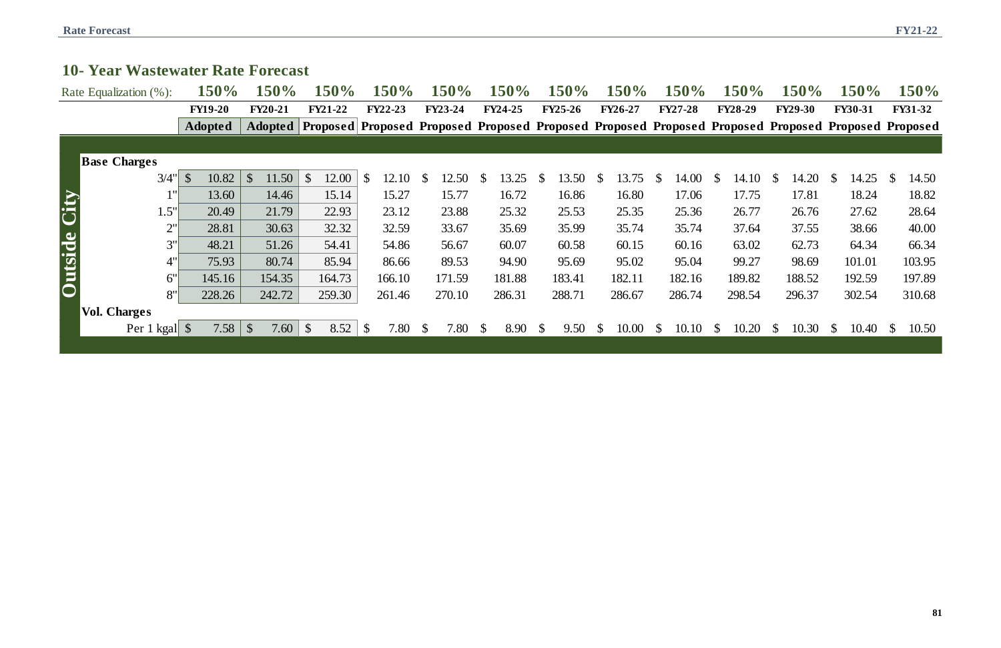|                     | Rate Equalization (%): | <b>150%</b>    | 150%                            | $150\%$                                                                                                        | 150%                 | 150%                  | 150%                 | 150%                  | 150%                   | 150%                  | <b>150%</b>            | $150\%$                | $150\%$               | 150%                  |
|---------------------|------------------------|----------------|---------------------------------|----------------------------------------------------------------------------------------------------------------|----------------------|-----------------------|----------------------|-----------------------|------------------------|-----------------------|------------------------|------------------------|-----------------------|-----------------------|
|                     |                        | <b>FY19-20</b> | <b>FY20-21</b>                  | <b>FY21-22</b>                                                                                                 | <b>FY22-23</b>       | <b>FY23-24</b>        | <b>FY24-25</b>       | <b>FY25-26</b>        | <b>FY26-27</b>         | <b>FY27-28</b>        | <b>FY28-29</b>         | <b>FY29-30</b>         | <b>FY30-31</b>        | <b>FY31-32</b>        |
|                     |                        | <b>Adopted</b> |                                 | Adopted   Proposed   Proposed Proposed Proposed Proposed Proposed Proposed Proposed Proposed Proposed Proposed |                      |                       |                      |                       |                        |                       |                        |                        |                       |                       |
|                     |                        |                |                                 |                                                                                                                |                      |                       |                      |                       |                        |                       |                        |                        |                       |                       |
|                     | <b>Base Charges</b>    |                |                                 |                                                                                                                |                      |                       |                      |                       |                        |                       |                        |                        |                       |                       |
|                     | 3/4"                   | 10.82          | $\mathcal{S}$<br>11.50          | 12.00<br>$\mathbb{S}$                                                                                          | \$<br>12.10          | 12.50                 | 3.25                 | 3.50<br>$\mathcal{F}$ | 13.75                  | 14.00<br>-S           | 14.10                  | 14.20<br><sup>S</sup>  | 14.25<br><sup>S</sup> | 14.50<br>$\mathbb{S}$ |
| <b>Outside City</b> |                        | 13.60          | 14.46                           | 15.14                                                                                                          | 15.27                | 15.77                 | 16.72                | 16.86                 | 16.80                  | 17.06                 | 17.75                  | 17.81                  | 18.24                 | 18.82                 |
|                     | $1.5$ "'               | 20.49          | 21.79                           | 22.93                                                                                                          | 23.12                | 23.88                 | 25.32                | 25.53                 | 25.35                  | 25.36                 | 26.77                  | 26.76                  | 27.62                 | 28.64                 |
|                     | 2"                     | 28.81          | 30.63                           | 32.32                                                                                                          | 32.59                | 33.67                 | 35.69                | 35.99                 | 35.74                  | 35.74                 | 37.64                  | 37.55                  | 38.66                 | 40.00                 |
|                     | 3"                     | 48.21          | 51.26                           | 54.41                                                                                                          | 54.86                | 56.67                 | 60.07                | 60.58                 | 60.15                  | 60.16                 | 63.02                  | 62.73                  | 64.34                 | 66.34                 |
|                     | 4"                     | 75.93          | 80.74                           | 85.94                                                                                                          | 86.66                | 89.53                 | 94.90                | 95.69                 | 95.02                  | 95.04                 | 99.27                  | 98.69                  | 101.01                | 103.95                |
|                     | 6"                     | 145.16         | 154.35                          | 164.73                                                                                                         | 166.10               | 171.59                | 181.88               | 183.41                | 182.11                 | 182.16                | 189.82                 | 188.52                 | 192.59                | 197.89                |
|                     | 8"                     | 228.26         | 242.72                          | 259.30                                                                                                         | 261.46               | 270.10                | 286.31               | 288.71                | 286.67                 | 286.74                | 298.54                 | 296.37                 | 302.54                | 310.68                |
|                     | <b>Vol. Charges</b>    |                |                                 |                                                                                                                |                      |                       |                      |                       |                        |                       |                        |                        |                       |                       |
|                     | Per 1 kgal \$          | 7.58           | $\sqrt[6]{\frac{1}{2}}$<br>7.60 | $\mathcal{S}$<br>8.52                                                                                          | 7.80<br><sup>S</sup> | $\mathcal{S}$<br>7.80 | $\mathbb{S}$<br>8.90 | $\mathbb{S}$<br>9.50  | 10.00<br>$\mathcal{P}$ | 10.10<br><sup>S</sup> | 10.20<br>$\mathcal{P}$ | 10.30<br>$\mathcal{P}$ | 10.40<br><sup>S</sup> | 10.50<br><sup>S</sup> |
|                     |                        |                |                                 |                                                                                                                |                      |                       |                      |                       |                        |                       |                        |                        |                       |                       |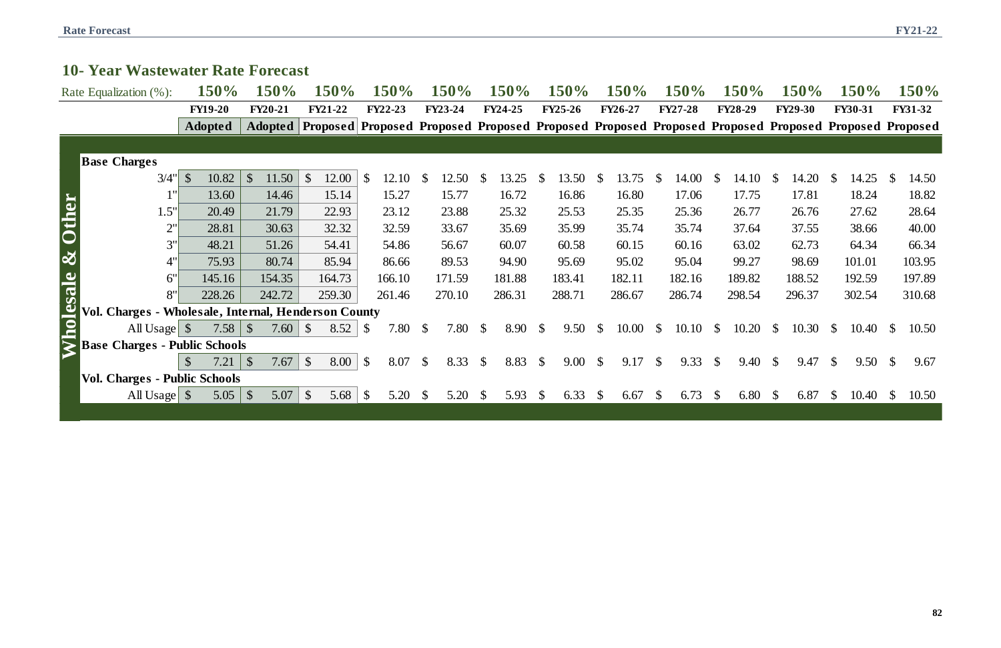| 10 Year Wastewater Rate Forecast                     |                      |                                    |                                     |                            |                        |                       |                       |                        |                            |                        |                       |                                                                                                                |                       |
|------------------------------------------------------|----------------------|------------------------------------|-------------------------------------|----------------------------|------------------------|-----------------------|-----------------------|------------------------|----------------------------|------------------------|-----------------------|----------------------------------------------------------------------------------------------------------------|-----------------------|
| Rate Equalization (%):                               | $150\%$              | 150%                               | <b>150%</b>                         | 150%                       | 150%                   | 150%                  | <b>150%</b>           | 150%                   | <b>150%</b>                | <b>150%</b>            | <b>150%</b>           | <b>150%</b>                                                                                                    | <b>150%</b>           |
|                                                      | <b>FY19-20</b>       | <b>FY20-21</b>                     | <b>FY21-22</b>                      | <b>FY22-23</b>             | <b>FY23-24</b>         | <b>FY24-25</b>        | <b>FY25-26</b>        | <b>FY26-27</b>         | <b>FY27-28</b>             | <b>FY28-29</b>         | <b>FY29-30</b>        | <b>FY30-31</b>                                                                                                 | <b>FY31-32</b>        |
|                                                      | <b>Adopted</b>       |                                    |                                     |                            |                        |                       |                       |                        |                            |                        |                       | Adopted   Proposed   Proposed Proposed Proposed Proposed Proposed Proposed Proposed Proposed Proposed Proposed |                       |
|                                                      |                      |                                    |                                     |                            |                        |                       |                       |                        |                            |                        |                       |                                                                                                                |                       |
| <b>Base Charges</b>                                  |                      |                                    |                                     |                            |                        |                       |                       |                        |                            |                        |                       |                                                                                                                |                       |
| 3/4"                                                 | $\sqrt$<br>10.82     | $\mathcal{S}$<br>11.50             | 12.00<br>$\boldsymbol{\mathcal{S}}$ | $\mathcal{S}$<br>12.10     | 12.50<br>$\mathcal{S}$ | 13.25                 | 13.50<br>$\mathbb{S}$ | <sup>\$</sup><br>13.75 | 14.00<br>$\mathbb{S}$      | 14.10<br><sup>\$</sup> | 14.20<br>-S           | 14.25                                                                                                          | 14.50<br><sup>S</sup> |
| 1"                                                   | 13.60                | 14.46                              | 15.14                               | 15.27                      | 15.77                  | 16.72                 | 16.86                 | 16.80                  | 17.06                      | 17.75                  | 17.81                 | 18.24                                                                                                          | 18.82                 |
| & Other<br>1.5"                                      | 20.49                | 21.79                              | 22.93                               | 23.12                      | 23.88                  | 25.32                 | 25.53                 | 25.35                  | 25.36                      | 26.77                  | 26.76                 | 27.62                                                                                                          | 28.64                 |
| 2"                                                   | 28.81                | 30.63                              | 32.32                               | 32.59                      | 33.67                  | 35.69                 | 35.99                 | 35.74                  | 35.74                      | 37.64                  | 37.55                 | 38.66                                                                                                          | 40.00                 |
| 3"                                                   | 48.21                | 51.26                              | 54.41                               | 54.86                      | 56.67                  | 60.07                 | 60.58                 | 60.15                  | 60.16                      | 63.02                  | 62.73                 | 64.34                                                                                                          | 66.34                 |
| 4"                                                   | 75.93                | 80.74                              | 85.94                               | 86.66                      | 89.53                  | 94.90                 | 95.69                 | 95.02                  | 95.04                      | 99.27                  | 98.69                 | 101.01                                                                                                         | 103.95                |
| 6"                                                   | 145.16               | 154.35                             | 164.73                              | 166.10                     | 171.59                 | 181.88                | 183.41                | 182.11                 | 182.16                     | 189.82                 | 188.52                | 192.59                                                                                                         | 197.89                |
| Wholesale<br>8"                                      | 228.26               | 242.72                             | 259.30                              | 261.46                     | 270.10                 | 286.31                | 288.71                | 286.67                 | 286.74                     | 298.54                 | 296.37                | 302.54                                                                                                         | 310.68                |
| Vol. Charges - Wholesale, Internal, Henderson County |                      |                                    |                                     |                            |                        |                       |                       |                        |                            |                        |                       |                                                                                                                |                       |
| All Usage $\$\$                                      | $7.58$   \$          | 7.60                               | $\sqrt[6]{\frac{1}{2}}$<br>8.52     | 7.80<br>$\mathcal{S}$      | 7.80<br>$\mathcal{S}$  | 8.90<br><sup>S</sup>  | $\mathcal{S}$<br>9.50 | 10.00<br>$\mathbb{S}$  | $\mathbb{S}$<br>10.10      | $\mathbb{S}$<br>10.20  | 10.30<br>$\mathbb{S}$ | 10.40                                                                                                          | 10.50                 |
| <b>Base Charges - Public Schools</b>                 |                      |                                    |                                     |                            |                        |                       |                       |                        |                            |                        |                       |                                                                                                                |                       |
|                                                      | 7.21<br>$\mathbb{S}$ | $\boldsymbol{\mathcal{S}}$<br>7.67 | 8.00<br>$\boldsymbol{\mathsf{S}}$   | $\mathcal{S}$<br>$8.07$ \$ | $8.33$ \$              | $8.83$ \$             | $9.00 \text{ }$ \$    | 9.17                   | $\mathcal{S}$<br>$9.33$ \$ | $9.40 \text{ }$ \$     | $9.47 \text{ }$ \$    | $9.50 \text{ }$ \$                                                                                             | 9.67                  |
| <b>Vol. Charges - Public Schools</b>                 |                      |                                    |                                     |                            |                        |                       |                       |                        |                            |                        |                       |                                                                                                                |                       |
| All Usage $\$\$                                      | 5.05                 | $\boldsymbol{\mathsf{S}}$<br>5.07  | $\boldsymbol{\mathsf{S}}$           | 5.20                       | 5.20<br>\$             | 5.93<br>$\mathcal{S}$ | 6.33<br>$\mathcal{S}$ | 6.67<br>$\mathcal{S}$  | 6.73<br>$\mathcal{S}$      | 6.80<br>$\mathcal{P}$  | 6.87<br><b>S</b>      | 10.40<br>S-                                                                                                    | 10.50                 |
|                                                      |                      |                                    |                                     |                            |                        |                       |                       |                        |                            |                        |                       |                                                                                                                |                       |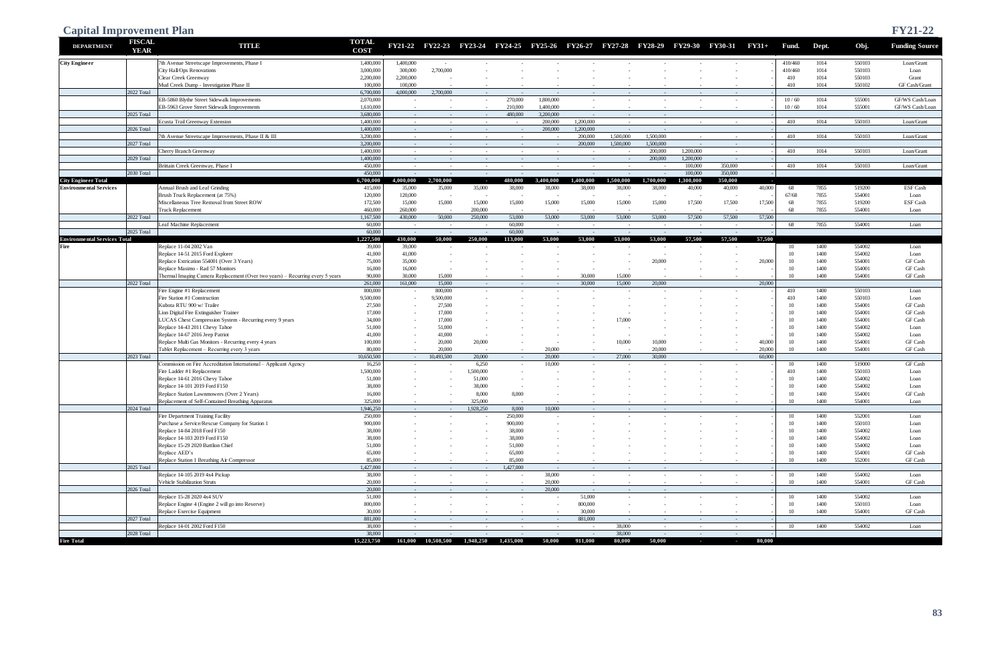| <b>Capital Improvement Plan</b>     |                              |                                                                                            |                             |                      |                                                 |                          |                      |                        |                          |                      |                                 |                          |                                  |                |                 |              |                  | <b>FY21-22</b>          |
|-------------------------------------|------------------------------|--------------------------------------------------------------------------------------------|-----------------------------|----------------------|-------------------------------------------------|--------------------------|----------------------|------------------------|--------------------------|----------------------|---------------------------------|--------------------------|----------------------------------|----------------|-----------------|--------------|------------------|-------------------------|
| <b>DEPARTMENT</b>                   | <b>FISCAL</b><br><b>YEAR</b> | <b>TITUD</b>                                                                               | <b>TOTAL</b><br><b>COST</b> |                      | FY21-22 FY22-23 FY23-24 FY24-25 FY25-26 FY26-27 |                          |                      |                        |                          |                      | FY27-28 FY28-29 FY29-30 FY30-31 |                          |                                  | $FY31+$        | Fund.           | Dept.        | Obj.             | <b>Funding Source</b>   |
| <b>City Engineer</b>                |                              | 7th Avenue Streetscape Improvements, Phase I                                               | 1,400,000                   | 1,400,000            | $\sim$                                          |                          |                      |                        |                          |                      |                                 |                          |                                  |                | 410/460         | 1014         | 550103           | Loan/Grant              |
|                                     |                              | City Hall/Ops Renovations                                                                  | 3,000,000<br>2,200,000      | 300,000<br>2,200,000 | 2,700,000                                       |                          |                      |                        |                          |                      |                                 |                          |                                  |                | 410/460         | 1014<br>1014 | 550103<br>550103 | Loan                    |
|                                     |                              | Clear Creek Greenway<br>Mud Creek Dump - Investigation Phase II                            | 100,000                     | 100,000              |                                                 | $\sim$                   |                      |                        |                          |                      |                                 |                          |                                  |                | 410<br>410      | 1014         | 550102           | Grant<br>GF Cash/Grant  |
|                                     | 2022 Total                   |                                                                                            | 6,700,000                   | 4,000,000            | 2,700,000                                       | $\sim$ $-$               |                      | $\sim$                 | $\sim$                   | $\sim$               |                                 | $\sim$                   | $\sim$ $-$                       |                |                 |              |                  |                         |
|                                     |                              | EB-5860 Blythe Street Sidewalk Improvements                                                | 2,070,000                   | $\sim$               | $\sim$                                          | $\sim$                   | 270,000              | 1,800,000              | $\sim$                   | $\sim$               |                                 |                          |                                  |                | 10/60           | 1014         | 555001           | GF/WS Cash/Loan         |
|                                     | 2025 Total                   | EB-5963 Grove Street Sidewalk Improvements                                                 | 1,610,000<br>3,680,000      | $\sim$               | $\sim$                                          | $\sim$                   | 210,000<br>480,000   | 1,400,000<br>3.200,000 |                          |                      |                                 |                          |                                  |                | 10/60           | 1014         | 555001           | GF/WS Cash/Loan         |
|                                     |                              | custa Trail Greenway Extension                                                             | 1,400,000                   | $\sim$<br>$\sim$     | $\sim$<br>$\sim$                                | $\sim$ $-$<br>$\sim$     | $\sim$               | 200,000                | $\sim$<br>1,200,000      | $\sim$ $-$<br>$\sim$ | $\sim$ $-$<br>$\sim$            | $\sim$                   |                                  |                | 410             | 1014         | 550103           | Loan/Grant              |
|                                     | 2026 Total                   |                                                                                            | 1,400,000                   | $\sim$               | $\sim$                                          | $\sim$ $-$               | $\sim 10^{-1}$       | 200,000                | 1,200,000                | $\sim$ $-$           | $\sim$                          |                          |                                  |                |                 |              |                  |                         |
|                                     |                              | th Avenue Streetscape Improvements, Phase II & III                                         | 3.200,000                   | $\sim$               | $\sim$                                          | $\sim$                   | $\sim$               | $\sim$                 | 200,000                  | 1,500,000            | 1,500,000                       | $\sim$                   | $\sim$                           |                | 410             | 1014         | 550103           | Loan/Grant              |
|                                     | 2027 Total                   | herry Branch Greenway                                                                      | 3.200,000<br>1,400,000      | $\sim$               | $\sim$                                          | $\sim$                   | $\sim$               | $\sim$ $ \sim$         | 200,000                  | 1,500,000            | 1,500,000<br>200,000            | $\sim$<br>1.200,000      | $\sim$ $-$                       |                |                 | 1014         | 550103           |                         |
|                                     | 2029 Total                   |                                                                                            | 1,400,000                   | $\sim$<br>$\sim$     | $\sim$<br>$\sim$                                | $\sim$<br>$\sim$         | $\sim$<br>$\sim$     | $\sim$<br>$\sim$ $-$   | $\sim$<br>$\sim$ $-$     | $\sim$<br>$\sim$ $-$ | 200,000                         | 1.200,000                | $\sim$                           |                | 410             |              |                  | Loan/Grant              |
|                                     |                              | Brittain Creek Greenway, Phase I                                                           | 450,000                     | $\sim$               | $\sim$                                          | $\sim$                   | $\sim$               | $\sim$                 | $\sim$                   | $\sim$               | $\sim$                          | 100,000                  | 350,000                          |                | 410             | 1014         | 550103           | Loan/Grant              |
|                                     | 2030 Total                   |                                                                                            | 450,000                     | $\sim$               | $\sim$                                          | $\sim$                   | $\sim$               | $\sim$                 | $\sim$                   | $\sim$               | $\sim$                          | 100,000                  | 350,000                          |                |                 |              |                  |                         |
| <b>City Engineer Total</b>          |                              |                                                                                            | 6,700,000                   | 4,000,000            | 2,700,000                                       | <b>College</b>           | 480,000              | 3,400,000              | 1.400.000                | 1.500.000            | 1.700.000                       | ,300,000                 | 350,000                          | <b>College</b> |                 |              |                  |                         |
| <b>Environmental Services</b>       |                              | Annual Brush and Leaf Grinding<br>Brush Truck Replacement (at 75%)                         | 415,000<br>120,000          | 35,000<br>120,000    | 35,000<br>$\overline{\phantom{a}}$              | 35,000<br>٠.             | 38,000               | 38,000                 | 38,000                   | 38,000               | 38,000                          | 40,000                   | 40,000                           | 40,000         | 68<br>67/68     | 7855<br>7855 | 519200<br>554001 | <b>ESF Cash</b><br>Loan |
|                                     |                              | Miscellaneous Tree Removal from Street ROW                                                 | 172,500                     | 15,000               | 15,000                                          | 15,000                   | 15,000               | 15,000                 | 15,000                   | 15,000               | 15,000                          | 17,500                   | 17,500                           | 17,500         | 68              | 7855         | 519200           | <b>ESF Cash</b>         |
|                                     |                              | <b>Truck Replacement</b>                                                                   | 460,000                     | 260,000              |                                                 | 200,000                  |                      |                        |                          |                      |                                 |                          |                                  |                | 68              | 7855         | 554001           | Loan                    |
|                                     | 2022 Total                   |                                                                                            | 1,167,500                   | 430,000              | 50,000                                          | 250,000                  | 53,000               | 53,000                 | 53,000                   | 53,000               | 53,000                          | 57,500                   | 57,500                           | 57,500         |                 |              |                  |                         |
|                                     |                              | eaf Machine Replacement                                                                    | 60,000                      | $\sim$               | $\sim$                                          | $\sim$                   | 60,000               | $\sim$ $-$             | $\sim$                   | $\sim$               | $\sim$                          | $\sim$                   | $\sim$                           |                | 68              | 7855         | 554001           | Loan                    |
| <b>Environmental Services Total</b> | 2025 Total                   |                                                                                            | 60,000<br>1,227,500         | $\sim$<br>430,000    | $\sim$<br>50,000                                | $\sim$<br>250,000        | 60,000<br>113,000    | $\sim$<br>53,000       | $\sim$<br>53,000         | $\sim$<br>53,000     | $\sim$<br>53,000                | $\sim$<br>57,500         | 57,500                           | 57,500         |                 |              |                  |                         |
| Fire                                |                              | Replace 11-04 2002 Van                                                                     | 39,000                      | 39,000               |                                                 |                          |                      |                        |                          |                      |                                 |                          |                                  |                | 10              | 1400         | 554002           | Loan                    |
|                                     |                              | Replace 14-51 2015 Ford Explorer                                                           | 41,000                      | 41,000               |                                                 |                          |                      |                        |                          |                      |                                 |                          |                                  |                | 10              | 1400         | 554002           | Loan                    |
|                                     |                              | Replace Extrication 554001 (Over 3 Years)                                                  | 75,000                      | 35,000               |                                                 |                          |                      |                        |                          |                      | 20,000                          |                          |                                  | 20,000         | 10              | 1400         | 554001           | GF Cash                 |
|                                     |                              | Replace Masimo - Rad 57 Monitors                                                           | 16,000                      | 16,000               |                                                 |                          |                      |                        |                          |                      |                                 |                          |                                  |                | 10              | 1400         | 554001           | GF Cash                 |
|                                     | 2022 Total                   | Thermal Imaging Camera Replacement (Over two years) - Recurring every 5 years              | 90,000<br>261,000           | 30,000<br>161,000    | 15,000<br>15,000                                | $\sim$<br>$\sim$ $-$     | $\sim$               | $\sim$<br>$\sim$ $-$   | 30,000<br>30,000         | 15,000<br>15,000     | 20,000                          |                          |                                  | 20,000         | 10 <sup>1</sup> | 1400         | 554001           | GF Cash                 |
|                                     |                              | Fire Engine #1 Replacement                                                                 | 800,000                     | $\sim$               | 800,000                                         | $\sim$                   |                      | $\sim$                 | $\overline{\phantom{a}}$ |                      |                                 |                          |                                  |                | 410             | 1400         | 550103           | Loan                    |
|                                     |                              | Fire Station #1 Construction                                                               | 9,500,000                   | $\sim$               | 9,500,000                                       |                          |                      |                        |                          |                      |                                 |                          |                                  |                | 410             | 1400         | 550103           | Loan                    |
|                                     |                              | Kubota RTU 900 w/ Trailer                                                                  | 27,500                      | $\sim$               | 27,500                                          |                          |                      |                        |                          |                      |                                 |                          |                                  |                | 10              | 1400         | 554001           | GF Cash                 |
|                                     |                              | Lion Digital Fire Extinguisher Trainer                                                     | 17,000                      | $\sim$               | 17,000                                          |                          |                      |                        |                          |                      |                                 |                          |                                  |                | 10              | 1400         | 554001           | GF Cash                 |
|                                     |                              | LUCAS Chest Compression System - Recurring every 9 years<br>Replace 14-43 2011 Chevy Tahoe | 34,000<br>51,000            |                      | 17,000<br>51,000                                |                          |                      |                        |                          | 17,000               |                                 |                          |                                  |                | 10<br>10        | 1400<br>1400 | 554001<br>554002 | GF Cash<br>Loan         |
|                                     |                              | Replace 14-67 2016 Jeep Patriot                                                            | 41,000                      |                      | 41,000                                          | $\sim$                   |                      |                        |                          | $\sim$               |                                 |                          |                                  |                | 10              | 1400         | 554002           | Loan                    |
|                                     |                              | Replace Multi Gas Monitors - Recurring every 4 years                                       | 100,000                     | $\sim$               | 20,000                                          | 20,000                   |                      |                        |                          | 10,000               | 10,000                          |                          |                                  | 40,000         | 10              | 1400         | 554001           | GF Cash                 |
|                                     |                              | Tablet Replacement - Recurring every 3 years                                               | 80,000                      | $\sim$               | 20,000                                          | $\sim$                   | $\sim$               | 20,000                 | $\sim$                   |                      | 20,000                          | $\sim$                   |                                  | 20,000         | 10              | 1400         | 554001           | GF Cash                 |
|                                     | 2023 Total                   | Commission on Fire Accreditation International - Applicant Agency                          | 10,650,500<br>16,250        | $\sim$               | 10,493,500                                      | 20,000<br>6,250          | $\sim$               | 20,000<br>10,000       | $\sim$ $-$               | 27,000               | 30,000                          |                          |                                  | 60,000         | 10              | 1400         | 519000           | GF Cash                 |
|                                     |                              | Fire Ladder #1 Replacement                                                                 | 1,500,000                   | $\sim$               | $\sim$                                          | 1,500,000                | $\sim$               |                        | $\sim$                   |                      |                                 |                          | $\sim$                           |                | 410             | 1400         | 550103           | Loan                    |
|                                     |                              | Replace 14-61 2016 Chevy Tahoe                                                             | 51,000                      |                      |                                                 | 51,000                   |                      |                        |                          |                      |                                 |                          |                                  |                | 10              | 1400         | 554002           | Loan                    |
|                                     |                              | Replace 14-101 2019 Ford F150                                                              | 38,000                      |                      |                                                 | 38,000                   |                      |                        |                          |                      |                                 |                          |                                  |                | 10              | 1400         | 554002           | Loan                    |
|                                     |                              | Replace Station Lawnmowers (Over 2 Years)                                                  | 16,000                      | $\sim$               | $\sim$                                          | 8,000                    | 8,000                |                        |                          |                      |                                 |                          |                                  |                | 10              | 1400         | 554001           | GF Cash                 |
|                                     | 2024 Total                   | Replacement of Self-Contained Breathing Apparatus                                          | 325,000<br>1,946,250        | $\sim$<br>$\sim$     | $\sim$<br>$\sim$ $-$                            | 325,000<br>1,928,250     | $\sim$<br>8,000      | 10,000                 | $\sim$                   | $\sim$<br>$\sim$     | $\sim 100$                      |                          |                                  |                | 10              | 1400         | 554001           | Loan                    |
|                                     |                              | Fire Department Training Facility                                                          | 250,000                     | $\sim$               |                                                 | $\sim$                   | 250,000              | $\sim$                 | $\sim$                   | $\sim$               |                                 |                          |                                  |                | 10              | 1400         | 552001           | Loan                    |
|                                     |                              | Purchase a Service/Rescue Company for Station 1                                            | 900,000                     |                      |                                                 | $\overline{\phantom{a}}$ | 900,000              |                        |                          |                      |                                 |                          |                                  |                | 10              | 1400         | 550103           | Loan                    |
|                                     |                              | Replace 14-84 2018 Ford F150                                                               | 38,000                      |                      |                                                 |                          | 38,000               |                        |                          |                      |                                 |                          |                                  |                | 10              | 1400         | 554002           | Loan                    |
|                                     |                              | Replace 14-103 2019 Ford F150<br>Replace 15-29 2020 Battlion Chief                         | 38,000                      |                      |                                                 |                          | 38,000               |                        |                          |                      |                                 |                          |                                  |                | 10<br>10        | 1400<br>1400 | 554002<br>554002 | Loan                    |
|                                     |                              | Replace AED's                                                                              | 51,000<br>65,000            |                      |                                                 |                          | 51,000<br>65,000     | $\sim$                 |                          |                      |                                 |                          |                                  |                | 10              | 1400         | 554001           | Loan<br>GF Cash         |
|                                     |                              | Replace Station 1 Breathing Air Compressor                                                 | 85,000                      | $\sim$               | $\sim$                                          | $\sim$                   | 85,000               | $\sim$                 |                          |                      |                                 |                          |                                  |                | 10              | 1400         | 552001           | GF Cash                 |
|                                     | 2025 Total                   |                                                                                            | 1,427,000                   | $\sim$               | $\sim$                                          | $\sim$                   | 1,427,000            | $\sim 100$             | $\sim$                   | $\sim$ $-$           | $\sim 10^{-1}$                  |                          |                                  |                |                 |              |                  |                         |
|                                     |                              | Replace 14-105 2019 4x4 Pickup                                                             | 38,000                      | $\sim$               | $\sim$                                          | $\sim$                   | $\sim$               | 38,000                 | $\sim$                   | $\sim$               | $\sim$                          |                          |                                  |                | 10              | 1400         | 554002           | Loan                    |
|                                     |                              | Vehicle Stabilization Struts                                                               | 20,000                      | $\sim$               | $\sim$                                          | $\sim$                   | $\sim$               | 20,000                 | $\sim$                   | $\sim$               | $\sim$                          |                          |                                  |                | 10              | 1400         | 554001           | GF Cash                 |
|                                     | 2026 Total                   | Replace 15-28 2020 4x4 SUV                                                                 | 20,000<br>51,000            | $\sim$ $-$<br>$\sim$ | $\sim$<br>$\sim$                                | $\sim$ $-$<br>$\sim$     | $\sim$ $-$<br>$\sim$ | 20,000<br>$\sim$       | $\sim$ $-$<br>51,000     | $\sim$ $-$<br>$\sim$ | $\sim 100$                      | $\overline{\phantom{a}}$ | $\sim$                           |                | 10              | 1400         | 554002           | Loan                    |
|                                     |                              | Replace Engine 4 (Engine 2 will go into Reserve)                                           | 800,000                     | $\sim$               |                                                 | $\sim$                   |                      | $\sim$                 | 800,000                  | $\sim$               |                                 |                          |                                  |                | 10              | 1400         | 550103           | Loan                    |
|                                     |                              | Replace Exercise Equipment                                                                 | 30,000                      | $\sim$               | $\sim$                                          | $\sim$                   | $\sim$               |                        | 30,000                   | $\sim$               |                                 |                          |                                  |                | 10              | 1400         | 554001           | GF Cash                 |
|                                     | 2027 Total                   |                                                                                            | 881,000                     | $\sim$               | $\sim$                                          | $\sim$                   | $\sim$               | $\sim$                 | 881,000                  | $\sim$               | $\sim 100$                      | $\sim$                   | $\sim$ $ \sim$                   |                |                 |              |                  |                         |
|                                     | 2028 Total                   | Replace 14-01 2002 Ford F150                                                               | 38,000<br>38,000            | $\sim$               | $\sim$                                          | $\sim$                   | $\sim$               | $\sim$                 | $\sim$                   | 38,000<br>38,000     | $\sim$ $ \sim$                  | $\sim$                   | $\sim$                           |                | 10              | 1400         | 554002           | Loan                    |
| <b>Fire Total</b>                   |                              |                                                                                            | 15,223,750                  | $\sim$<br>161,000    | $\sim$<br>10,508,500                            | $\sim$<br>1,948,250      | $\sim$<br>1,435,000  | $\sim$<br>50,000       | $\sim$ $-$<br>911,000    | 80,000               | $\sim$ $-$<br>50,000            | $\sim$ $-$<br>$\sim$ $-$ | $\sim$ $ \sim$<br>$\sim 10^{-1}$ | 80,000         |                 |              |                  |                         |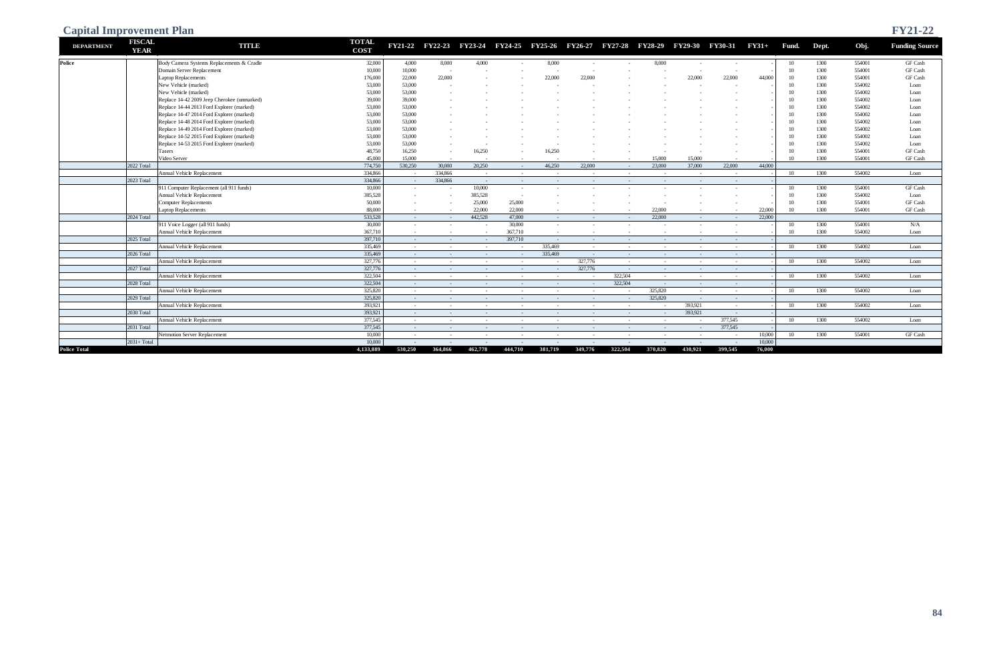| <b>Capital Improvement Plan</b> |                              |                                             |                             |                 |         |            |            |                |                                                                 |            |                  |            |                |         |       |       |        | <b>FY21-22</b>        |
|---------------------------------|------------------------------|---------------------------------------------|-----------------------------|-----------------|---------|------------|------------|----------------|-----------------------------------------------------------------|------------|------------------|------------|----------------|---------|-------|-------|--------|-----------------------|
| <b>DEPARTMENT</b>               | <b>FISCAL</b><br><b>YEAR</b> | <b>TITLE</b>                                | <b>TOTAL</b><br><b>COST</b> | FY21-22 FY22-23 |         |            |            |                | FY23-24 FY24-25 FY25-26 FY26-27 FY27-28 FY28-29 FY29-30 FY30-31 |            |                  |            |                | $FY31+$ | Fund. | Dept. | Obj.   | <b>Funding Source</b> |
| <b>Police</b>                   |                              | Body Camera Systems Replacements & Cradle   | 32,000                      | 4,000           | 8,000   | 4,000      | $\sim$     | 8,000          | $\sim$                                                          |            | 8,000            | $\sim$     |                |         | 10    | 1300  | 554001 | GF Cash               |
|                                 |                              | Domain Server Replacement                   | 10,000                      | 10,000          |         |            |            |                |                                                                 |            |                  |            |                |         | 10    | 1300  | 554001 | GF Cash               |
|                                 |                              | Laptop Replacements                         | 176,000                     | 22,000          | 22,000  |            |            | 22,000         | 22,000                                                          |            |                  | 22,000     | 22,000         | 44,000  | 10    | 1300  | 554001 | GF Cash               |
|                                 |                              | New Vehicle (marked)                        | 53,000                      | 53,000          |         |            |            |                |                                                                 |            |                  |            |                |         | 10    | 1300  | 554002 | Loan                  |
|                                 |                              | New Vehicle (marked)                        | 53,000                      | 53,000          |         |            |            |                |                                                                 |            |                  |            |                |         | 10    | 1300  | 554002 | Loan                  |
|                                 |                              | Replace 14-42 2009 Jeep Cherokee (unmarked) | 39,000                      | 39,000          |         |            |            |                |                                                                 |            |                  |            |                |         | 10    | 1300  | 554002 | Loan                  |
|                                 |                              | Replace 14-44 2013 Ford Explorer (marked)   | 53,000                      | 53,000          |         |            |            |                |                                                                 |            |                  |            |                |         | 10    | 1300  | 554002 | Loan                  |
|                                 |                              | Replace 14-47 2014 Ford Explorer (marked)   | 53,000                      | 53,000          |         |            |            |                |                                                                 |            |                  |            |                |         | 10    | 1300  | 554002 | Loan                  |
|                                 |                              | Replace 14-48 2014 Ford Explorer (marked)   | 53,000                      | 53,000          |         |            |            |                |                                                                 |            |                  |            |                |         | 10    | 1300  | 554002 | Loan                  |
|                                 |                              | Replace 14-49 2014 Ford Explorer (marked)   | 53,000                      | 53,000          |         |            |            |                |                                                                 |            |                  |            |                |         | 10    | 1300  | 554002 | Loan                  |
|                                 |                              | Replace 14-52 2015 Ford Explorer (marked)   | 53,000                      | 53,000          |         |            |            |                |                                                                 |            |                  |            |                |         | 10    | 1300  | 554002 | Loan                  |
|                                 |                              | Replace 14-53 2015 Ford Explorer (marked)   | 53,000                      | 53,000          |         |            |            |                |                                                                 |            |                  |            |                |         | 10    | 1300  | 554002 | Loan                  |
|                                 |                              | Tasers                                      | 48,750                      | 16,250          |         | 16,250     |            | 16,250         |                                                                 |            |                  |            |                |         | 10    | 1300  | 554001 | GF Cash               |
|                                 |                              | Video Server                                | 45,000                      | 15,000          | $\sim$  |            |            |                |                                                                 | $\sim$     | 15,000           | 15,000     |                |         | 10    | 1300  | 554001 | GF Cash               |
|                                 | 2022 Total                   |                                             | 774,750                     | 530,250         | 30,000  | 20,250     | $\sim$     | 46,250         | 22,000                                                          | $\sim$ $-$ | 23,000           | 37,000     | 22,000         | 44,000  |       |       |        |                       |
|                                 |                              | Annual Vehicle Replacement                  | 334,866                     | $\sim$          | 334,866 | $\sim$ $-$ | $\sim$     | $\sim$ $-$     | $\sim$                                                          | $\sim$     |                  | $\sim$     |                |         | 10    | 1300  | 554002 | Loan                  |
|                                 | 2023 Total                   |                                             | 334,866                     | $\sim$ $-$      | 334,866 | $\sim$ $-$ | $\sim$ $-$ | $\sim$ $ \sim$ | $\sim$                                                          | $\sim$     | $\sim$           | $\sim$ $-$ | $\sim$ $-$     |         |       |       |        |                       |
|                                 |                              | 011 Computer Replacement (all 911 funds)    | 10,000                      | $\sim$          | $\sim$  | 10,000     | $\sim$     |                |                                                                 |            |                  | $\sim$     | $\sim$         |         | 10    | 1300  | 554001 | GF Cash               |
|                                 |                              | <b>Annual Vehicle Replacement</b>           | 385,528                     |                 |         | 385,528    |            |                |                                                                 |            |                  |            |                |         | 10    | 1300  | 554002 | Loan                  |
|                                 |                              | Computer Replacements                       | 50,000                      |                 |         | 25,000     | 25,000     |                |                                                                 |            |                  |            |                |         | 10    | 1300  | 554001 | GF Cash               |
|                                 |                              | aptop Replacements                          | 88,000                      | $\sim$          |         | 22,000     | 22,000     | $\sim$         |                                                                 |            | 22,000           |            |                | 22,000  | 10    | 1300  | 554001 | GF Cash               |
|                                 | 2024 Total                   |                                             | 533,528                     | $\sim$          | $\sim$  | 442.528    | 47,000     | $\sim$ $-$     |                                                                 | $\sim$     | 22,000           | $\sim$     |                | 22,000  |       |       |        |                       |
|                                 |                              | 911 Voice Logger (all 911 funds)            | 30,000                      | $\sim$          |         | $\sim$     | 30,000     | $\sim$         |                                                                 |            |                  |            |                |         | 10    | 1300  | 554001 | N/A                   |
|                                 |                              | Annual Vehicle Replacement                  | 367,710                     | $\sim$          | $\sim$  | $\sim$     | 367,710    | $\sim$         |                                                                 |            |                  | $\sim$     |                |         | 10    | 1300  | 554002 | Loan                  |
|                                 | 2025 Total                   |                                             | 397,710                     | $\sim$          | $\sim$  | $\sim$     | 397,710    | $\sim$ $ \sim$ | $\sim$                                                          | $\sim$     | $\sim$           | $\sim$     | $\sim$         |         |       |       |        |                       |
|                                 |                              | Annual Vehicle Replacement                  | 335,469                     | $\sim$          | $\sim$  | $\sim$     | $\sim$     | 335,469        | $\sim$                                                          | $\sim$     | $\sim$           | $\sim$     | $\sim$         |         | 10    | 1300  | 554002 | Loan                  |
|                                 | 2026 Total                   |                                             | 335,469                     | $\sim$          | $\sim$  | $\sim$     | $\sim$ $-$ | 335,469        | $\sim$                                                          | $\sim$ $-$ | $\sim$           | $\sim$ $-$ | $\sim$ $-$     |         |       |       |        |                       |
|                                 |                              | Annual Vehicle Replacement                  | 327,776                     | $\sim$          | $\sim$  | $\sim$     | $\sim$     | $\sim$         | 327,776                                                         | $\sim$     | <b>CONTINUES</b> | $\sim$     | $\sim$         |         | 10    | 1300  | 554002 | Loan                  |
|                                 | 2027 Total                   |                                             | 327,776                     | $\sim$ $-$      | $\sim$  | $\sim$     | $\sim$     | $\sim 100$     | 327,776                                                         | $\sim$ $-$ | $\sim$           | $\sim$ $-$ | $\sim$ $ \sim$ |         |       |       |        |                       |
|                                 |                              | Annual Vehicle Replacement                  | 322,504                     | $\sim$          | $\sim$  | $\sim$     | $\sim$     | $\sim$         | $\sim$                                                          | 322,504    | $\sim$           | $\sim$     | $\sim$         |         | - 10  | 1300  | 554002 | Loan                  |
|                                 | 2028 Total                   |                                             | 322,504                     | $\sim$          | $\sim$  | $\sim$     | $\sim$     | $\sim$ $-$     | $\sim$                                                          | 322,504    | $\sim$           | $\sim$ $-$ | $\sim$         |         |       |       |        |                       |
|                                 |                              | <b>Annual Vehicle Replacement</b>           | 325,820                     | $\sim$          | $\sim$  | $\sim$     | $\sim$     | $\sim$         | $\sim$                                                          | $\sim$     | 325,820          | $\sim$     | $\sim$ $-$     |         | 10    | 1300  | 554002 | Loan                  |
|                                 | 2029 Total                   |                                             | 325,820                     | $\sim$          | $\sim$  | $\sim$     | $\sim$     | $\sim$         | $\sim$                                                          | $\sim$ $-$ | 325,820          | $\sim$ $-$ | $\sim$         |         |       |       |        |                       |
|                                 |                              | Annual Vehicle Replacement                  | 393,921                     | $\sim$          | $\sim$  | $\sim$     | $\sim$     | $\sim$         | $\sim$                                                          | $\sim$     |                  | 393,921    | $\sim$         |         | 10    | 1300  | 554002 | Loan                  |
|                                 | 2030 Total                   |                                             | 393,921                     | $\sim$ $-$      | $\sim$  | $\sim$     | $\sim$     | $\sim$ $-$     | $\sim$                                                          | $\sim$ $-$ | $\sim 10^{-1}$   | 393,921    | $\sim$ $-$     |         |       |       |        |                       |
|                                 |                              | Annual Vehicle Replacement                  | 377,545                     | $\sim$          | $\sim$  | $\sim$     | $\sim$     | $\sim$         | $\sim$                                                          | $\sim$     | $\sim$           | $\sim$     | 377,545        |         | - 10  | 1300  | 554002 | Loan                  |
|                                 | 2031 Total                   |                                             | 377,545                     | $\sim$          | $\sim$  | $\sim$     | $\sim$ $-$ | $\sim$ $-$     | $\sim$                                                          | $\sim$ $-$ | $\sim$ $-$       | $\sim$     | 377,545        |         |       |       |        |                       |
|                                 |                              | Netmotion Server Replacement                | 10,000                      | $\sim$          | $\sim$  | $\sim$     | $\sim$     | $\sim$         | $\sim$                                                          | $\sim$ $-$ | $\sim$           | $\sim$ $-$ | $\sim$ $-$     | 10,000  | 10    | 1300  | 554001 | GF Cash               |
|                                 | $2031+Total$                 |                                             | 10,000                      |                 |         |            |            |                |                                                                 |            |                  |            |                | 10,000  |       |       |        |                       |
| <b>Police Total</b>             |                              |                                             | 4,133,889                   | 530,250         | 364,866 | 462,778    | 444,710    | 381,719        | 349,776                                                         | 322.504    | 370,820          | 430,921    | 399,545        | 76,000  |       |       |        |                       |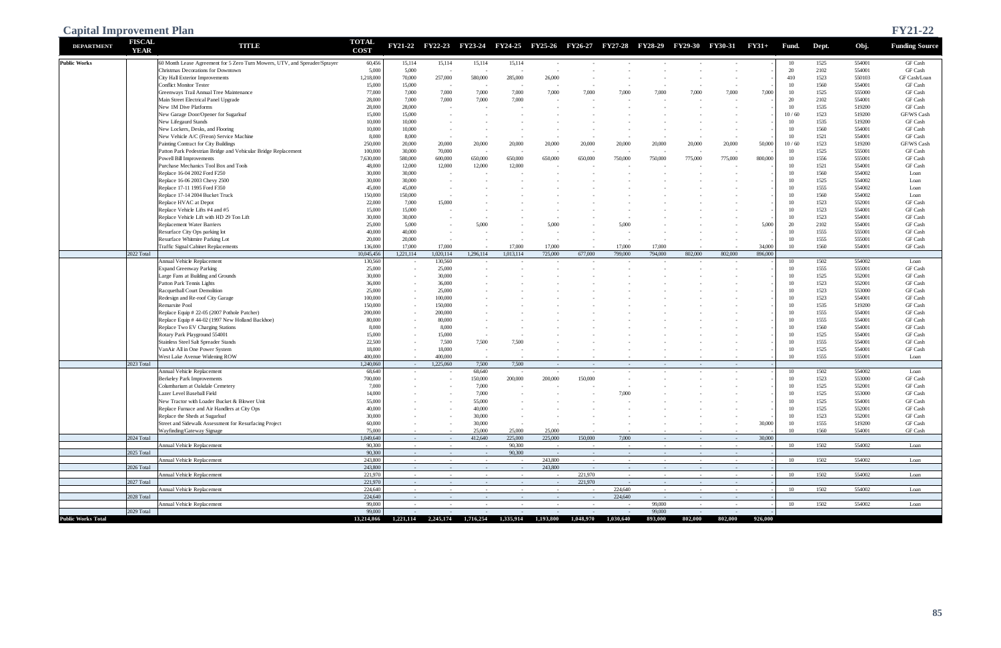| <b>FISCAL</b><br><b>TOTAL</b><br><b>DEPARTMENT</b><br><b>TITID</b><br>FY21-22 FY22-23<br>FY23-24 FY24-25 FY25-26 FY26-27 FY27-28 FY28-29 FY29-30 FY30-31<br>$FY31+$<br>Obj.<br>Fund.<br>Dept.<br><b>YEAR</b><br><b>COST</b><br><b>Public Works</b><br>60 Month Lease Agreement for 5 Zero Turn Mowers, UTV, and Spreader/Sprayer<br>15,114<br>15,114<br>15,114<br>1525<br>554001<br>GF Cash<br>60,456<br>15,114<br>10<br>GF Cash<br>Christmas Decorations for Downtown<br>5,000<br>5,000<br>20<br>2102<br>554001<br>٠.<br>$\overline{\phantom{a}}$<br>1523<br>1,218,000<br>70,000<br>257,000<br>550103<br>City Hall Exterior Improvements<br>580,000<br>285,000<br>26,000<br>410<br><b>Conflict Monitor Tester</b><br>15,000<br>15,000<br>1560<br>554001<br>GF Cash<br>10<br>1525<br>77,000<br>7,000<br>7,000<br>7,000<br>7,000<br>10<br>555000<br>GF Cash<br>Greenways Trail Annual Tree Maintenance<br>7,000<br>7,000<br>7,000<br>7,000<br>7.000<br>7,000<br>7,000<br>20<br>Main Street Electrical Panel Upgrade<br>28,000<br>7,000<br>7,000<br>7,000<br>2102<br>554001<br>GF Cash<br>7,000<br>28,000<br>1535<br>New 1M Dive Platforms<br>28,000<br>10<br>519200<br>GF Cash<br>$\sim$<br>15,000<br>1523<br>New Garage Door/Opener for Sugarloaf<br>15,000<br>10/60<br>519200<br>GF/WS Cash<br>10,000<br>1535<br><b>GF Cash</b><br>New Lifegaurd Stands<br>10,000<br>10<br>519200<br>10,000<br>1560<br>GF Cash<br>New Lockers, Desks, and Flooring<br>10,000<br>10<br>554001<br>New Vehicle A/C (Freon) Service Machine<br>8,000<br>1521<br>554001<br>8,000<br>10<br>GF Cash<br>1523<br>Painting Contract for City Buildings<br>250,000<br>20,000<br>20,000<br>20,000<br>50,000<br>10/60<br>519200<br>20,000<br>20,000<br>20,000<br>20,000<br>20,000<br>20,000<br>20,000<br>30,000<br>1525<br>555001<br><b>GF Cash</b><br>Patton Park Pedestrian Bridge and Vehicular Bridge Replacement<br>70,000<br>10<br>100,000<br>$\overline{\phantom{a}}$<br>580,000<br>1556<br>555001<br>7,630,000<br>600,000<br>650,000<br>750,000<br>10<br>GF Cash<br>Powell Bill Improvements<br>650,000<br>650,000<br>650,000<br>750,000<br>775,000<br>775,000<br>800,000<br>1521<br>554001<br>Purchase Mechanics Tool Box and Tools<br>48,000<br>12,000<br>12,000<br>12,000<br>12,000<br>10<br>GF Cash<br>1560<br>Replace 16-04 2002 Ford F250<br>30,000<br>10<br>554002<br>30,000<br>Loan<br>30,000<br>1525<br>554002<br>Replace 16-06 2003 Chevy 2500<br>30,000<br>10<br>Loan<br>1555<br>Replace 17-11 1995 Ford F350<br>45,000<br>45,000<br>10<br>554002<br>Loan<br>150,000<br>1560<br>554002<br>Replace 17-14 2004 Bucket Truck<br>150,000<br>10<br>Loan<br>1523<br>Replace HVAC at Depot<br>22,000<br>7,000<br>10<br>552001<br>GF Cash<br>15,000<br>15,000<br>1523<br>Replace Vehicle Lifts #4 and #5<br>15,000<br>10<br>554001<br>GF Cash<br>1523<br>Replace Vehicle Lift with HD 29 Ton Lift<br>30,000<br>10<br>554001<br>GF Cash<br>30,000<br>5,000<br><b>Replacement Water Barriers</b><br>25,000<br>5,000<br>20<br>2102<br>554001<br>GF Cash<br>5,000<br>5,000<br>5.000<br>1555<br>Resurface City Ops parking lot<br>40,000<br>10<br>555001<br>GF Cash<br>40,000<br>1555<br>555001<br>Resurface Whitmire Parking Lot<br>20,000<br>20,000<br>10<br>GF Cash<br>1560<br><b>Traffic Signal Cabinet Replacements</b><br>136,000<br>17,000<br>17,000<br>10<br>554001<br>GF Cash<br>17,000<br>17,000<br>17,000<br>17,000<br>34,000<br>$\sim$<br>2022 Total<br>1,020,114<br>1,296,114<br>802,000<br>896,000<br>10,045,456<br>1,221,114<br>1,013,114<br>725,000<br>677,000<br>799,000<br>794,000<br>802,000<br>130,560<br>Annual Vehicle Replacement<br>130,560<br>1502<br>554002<br>10<br>Loan<br>$\sim$<br>1555<br>555001<br><b>Expand Greenway Parking</b><br>25,000<br>10<br>GF Cash<br>25,000<br>$\sim$<br>1525<br>Large Fans at Building and Grounds<br>30,000<br>10<br>552001<br>GF Cash<br>30,000<br>$\sim$<br>1523<br>552001<br>Patton Park Tennis Lights<br>36,000<br>10<br>GF Cash<br>36,000<br>$\sim$<br>1523<br>Racquetball Court Demolition<br>25,000<br>10<br>553000<br>GF Cash<br>25,000<br>$\sim$<br>10<br>1523<br>554001<br>Redesign and Re-roof City Garage<br>GF Cash<br>100,000<br>100,000<br>$\sim$<br>1535<br>Remarsite Pool<br>150,000<br>10<br>519200<br>GF Cash<br>150,000<br>$\sim$<br>1555<br>554001<br>Replace Equip # 22-05 (2007 Pothole Patcher)<br>200,000<br>10<br>GF Cash<br>200,000<br>$\sim$<br>1555<br>Replace Equip # 44-02 (1997 New Holland Backhoe)<br>80,000<br>10<br>554001<br>GF Cash<br>80,000<br>$\sim$<br>1560<br>554001<br>Replace Two EV Charging Stations<br>8,000<br>10<br>GF Cash<br>8,000<br>$\sim$<br>Rotary Park Playground 554001<br>15,000<br>10<br>1525<br>554001<br>GF Cash<br>15,000<br>$\sim$<br>$\sim$<br>22,500<br>1555<br>554001<br>Stainless Steel Salt Spreader Stands<br>7,500<br>7,500<br>10<br>GF Cash<br>7,500<br>$\sim$<br>18,000<br>1525<br>VanAir All in One Power System<br>18,000<br>10<br>554001<br>GF Cash<br>$\sim$<br>$\sim$<br>10<br>1555<br>555001<br>West Lake Avenue Widening ROW<br>400,000<br>400,000<br>Loan<br>$\sim$<br>$\sim$<br>$\sim$<br>2023 Total<br>1,240,060<br>1.225.060<br>7,500<br>7,500<br>$\sim$<br>$\sim 100$<br>$\sim$<br>$\sim$ $-$<br>$\sim$<br>$\sim$<br>$\sim$<br>68,640<br>Annual Vehicle Replacement<br>68,640<br>1502<br>554002<br>10<br>Loan<br>$\sim$<br>$\sim$<br>$\sim$<br>$\sim$<br>$\overline{\phantom{a}}$<br>1523<br>553000<br>GF Cash<br>150,000<br>200,000<br>200,000<br>150,000<br>10<br>Berkeley Park Improvements<br>700,000<br>$\sim$<br>$\overline{\phantom{a}}$<br>7,000<br>1525<br>552001<br>GF Cash<br>Columbarium at Oakdale Cemetery<br>7,000<br>10<br>$\overline{\phantom{a}}$<br>Lazer Level Baseball Field<br>7,000<br>1525<br>553000<br>GF Cash<br>7,000<br>14,000<br>10<br>1525<br>554001<br>GF Cash<br>New Tractor with Loader Bucket & Blower Unit<br>55,000<br>55,000<br>10<br>1525<br>552001<br>GF Cash<br>Replace Furnace and Air Handlers at City Ops<br>40,000<br>40,000<br>10<br>1523<br>552001<br>GF Cash<br>Replace the Sheds at Sugarloaf<br>30,000<br>30,000<br>10<br>$\sim$<br>$\sim$<br>1555<br>519200<br>GF Cash<br>Street and Sidewalk Assessment for Resurfacing Project<br>60,000<br>30,000<br>30,000<br>10<br>$\sim$<br>$\sim$<br>$\sim$<br>75,000<br>25,000<br>10<br>1560<br>554001<br>Wayfinding/Gateway Signage<br>25,000<br>25,000<br>GF Cash<br>$\sim$<br>$\sim$<br>$\sim$<br>2024 Total<br>30,000<br>1,049,640<br>412,640<br>225,000<br>225,000<br>150,000<br>7,000<br>$\sim$ $-$<br>$\sim 10^{-1}$<br>$\sim$ $-$<br>$\sim$<br>$\sim 10^{-1}$ | <b>Capital Improvement Plan</b> |                            |        |  |        |  |  |  |    |      |        | <b>FY21-22</b>        |
|---------------------------------------------------------------------------------------------------------------------------------------------------------------------------------------------------------------------------------------------------------------------------------------------------------------------------------------------------------------------------------------------------------------------------------------------------------------------------------------------------------------------------------------------------------------------------------------------------------------------------------------------------------------------------------------------------------------------------------------------------------------------------------------------------------------------------------------------------------------------------------------------------------------------------------------------------------------------------------------------------------------------------------------------------------------------------------------------------------------------------------------------------------------------------------------------------------------------------------------------------------------------------------------------------------------------------------------------------------------------------------------------------------------------------------------------------------------------------------------------------------------------------------------------------------------------------------------------------------------------------------------------------------------------------------------------------------------------------------------------------------------------------------------------------------------------------------------------------------------------------------------------------------------------------------------------------------------------------------------------------------------------------------------------------------------------------------------------------------------------------------------------------------------------------------------------------------------------------------------------------------------------------------------------------------------------------------------------------------------------------------------------------------------------------------------------------------------------------------------------------------------------------------------------------------------------------------------------------------------------------------------------------------------------------------------------------------------------------------------------------------------------------------------------------------------------------------------------------------------------------------------------------------------------------------------------------------------------------------------------------------------------------------------------------------------------------------------------------------------------------------------------------------------------------------------------------------------------------------------------------------------------------------------------------------------------------------------------------------------------------------------------------------------------------------------------------------------------------------------------------------------------------------------------------------------------------------------------------------------------------------------------------------------------------------------------------------------------------------------------------------------------------------------------------------------------------------------------------------------------------------------------------------------------------------------------------------------------------------------------------------------------------------------------------------------------------------------------------------------------------------------------------------------------------------------------------------------------------------------------------------------------------------------------------------------------------------------------------------------------------------------------------------------------------------------------------------------------------------------------------------------------------------------------------------------------------------------------------------------------------------------------------------------------------------------------------------------------------------------------------------------------------------------------------------------------------------------------------------------------------------------------------------------------------------------------------------------------------------------------------------------------------------------------------------------------------------------------------------------------------------------------------------------------------------------------------------------------------------------------------------------------------------------------------------------------------------------------------------------------------------------------------------------------------------------------------------------------------------------------------------------------------------------------------------------------------------------------------------------------------------------------------------------------------------------------------------------------------------------------------------------------------------------------------------------------------------------------------------------------------------------------------------------------------------------------------------------------------------------------------------------------------------------------------------------------------------------------------------------------------------------------------------------------------------------------------------------------------------------------------------------------------------------------------------------------------------------------------------------------------------------------------------------------------------------------------------------------------------------------------------------------------------------------------------------------------------------------|---------------------------------|----------------------------|--------|--|--------|--|--|--|----|------|--------|-----------------------|
|                                                                                                                                                                                                                                                                                                                                                                                                                                                                                                                                                                                                                                                                                                                                                                                                                                                                                                                                                                                                                                                                                                                                                                                                                                                                                                                                                                                                                                                                                                                                                                                                                                                                                                                                                                                                                                                                                                                                                                                                                                                                                                                                                                                                                                                                                                                                                                                                                                                                                                                                                                                                                                                                                                                                                                                                                                                                                                                                                                                                                                                                                                                                                                                                                                                                                                                                                                                                                                                                                                                                                                                                                                                                                                                                                                                                                                                                                                                                                                                                                                                                                                                                                                                                                                                                                                                                                                                                                                                                                                                                                                                                                                                                                                                                                                                                                                                                                                                                                                                                                                                                                                                                                                                                                                                                                                                                                                                                                                                                                                                                                                                                                                                                                                                                                                                                                                                                                                                                                                                                                                                                                                                                                                                                                                                                                                                                                                                                                                                                                                                                                                                             |                                 |                            |        |  |        |  |  |  |    |      |        | <b>Funding Source</b> |
|                                                                                                                                                                                                                                                                                                                                                                                                                                                                                                                                                                                                                                                                                                                                                                                                                                                                                                                                                                                                                                                                                                                                                                                                                                                                                                                                                                                                                                                                                                                                                                                                                                                                                                                                                                                                                                                                                                                                                                                                                                                                                                                                                                                                                                                                                                                                                                                                                                                                                                                                                                                                                                                                                                                                                                                                                                                                                                                                                                                                                                                                                                                                                                                                                                                                                                                                                                                                                                                                                                                                                                                                                                                                                                                                                                                                                                                                                                                                                                                                                                                                                                                                                                                                                                                                                                                                                                                                                                                                                                                                                                                                                                                                                                                                                                                                                                                                                                                                                                                                                                                                                                                                                                                                                                                                                                                                                                                                                                                                                                                                                                                                                                                                                                                                                                                                                                                                                                                                                                                                                                                                                                                                                                                                                                                                                                                                                                                                                                                                                                                                                                                             |                                 |                            |        |  |        |  |  |  |    |      |        |                       |
|                                                                                                                                                                                                                                                                                                                                                                                                                                                                                                                                                                                                                                                                                                                                                                                                                                                                                                                                                                                                                                                                                                                                                                                                                                                                                                                                                                                                                                                                                                                                                                                                                                                                                                                                                                                                                                                                                                                                                                                                                                                                                                                                                                                                                                                                                                                                                                                                                                                                                                                                                                                                                                                                                                                                                                                                                                                                                                                                                                                                                                                                                                                                                                                                                                                                                                                                                                                                                                                                                                                                                                                                                                                                                                                                                                                                                                                                                                                                                                                                                                                                                                                                                                                                                                                                                                                                                                                                                                                                                                                                                                                                                                                                                                                                                                                                                                                                                                                                                                                                                                                                                                                                                                                                                                                                                                                                                                                                                                                                                                                                                                                                                                                                                                                                                                                                                                                                                                                                                                                                                                                                                                                                                                                                                                                                                                                                                                                                                                                                                                                                                                                             |                                 |                            |        |  |        |  |  |  |    |      |        |                       |
|                                                                                                                                                                                                                                                                                                                                                                                                                                                                                                                                                                                                                                                                                                                                                                                                                                                                                                                                                                                                                                                                                                                                                                                                                                                                                                                                                                                                                                                                                                                                                                                                                                                                                                                                                                                                                                                                                                                                                                                                                                                                                                                                                                                                                                                                                                                                                                                                                                                                                                                                                                                                                                                                                                                                                                                                                                                                                                                                                                                                                                                                                                                                                                                                                                                                                                                                                                                                                                                                                                                                                                                                                                                                                                                                                                                                                                                                                                                                                                                                                                                                                                                                                                                                                                                                                                                                                                                                                                                                                                                                                                                                                                                                                                                                                                                                                                                                                                                                                                                                                                                                                                                                                                                                                                                                                                                                                                                                                                                                                                                                                                                                                                                                                                                                                                                                                                                                                                                                                                                                                                                                                                                                                                                                                                                                                                                                                                                                                                                                                                                                                                                             |                                 |                            |        |  |        |  |  |  |    |      |        | GF Cash/Loan          |
|                                                                                                                                                                                                                                                                                                                                                                                                                                                                                                                                                                                                                                                                                                                                                                                                                                                                                                                                                                                                                                                                                                                                                                                                                                                                                                                                                                                                                                                                                                                                                                                                                                                                                                                                                                                                                                                                                                                                                                                                                                                                                                                                                                                                                                                                                                                                                                                                                                                                                                                                                                                                                                                                                                                                                                                                                                                                                                                                                                                                                                                                                                                                                                                                                                                                                                                                                                                                                                                                                                                                                                                                                                                                                                                                                                                                                                                                                                                                                                                                                                                                                                                                                                                                                                                                                                                                                                                                                                                                                                                                                                                                                                                                                                                                                                                                                                                                                                                                                                                                                                                                                                                                                                                                                                                                                                                                                                                                                                                                                                                                                                                                                                                                                                                                                                                                                                                                                                                                                                                                                                                                                                                                                                                                                                                                                                                                                                                                                                                                                                                                                                                             |                                 |                            |        |  |        |  |  |  |    |      |        |                       |
|                                                                                                                                                                                                                                                                                                                                                                                                                                                                                                                                                                                                                                                                                                                                                                                                                                                                                                                                                                                                                                                                                                                                                                                                                                                                                                                                                                                                                                                                                                                                                                                                                                                                                                                                                                                                                                                                                                                                                                                                                                                                                                                                                                                                                                                                                                                                                                                                                                                                                                                                                                                                                                                                                                                                                                                                                                                                                                                                                                                                                                                                                                                                                                                                                                                                                                                                                                                                                                                                                                                                                                                                                                                                                                                                                                                                                                                                                                                                                                                                                                                                                                                                                                                                                                                                                                                                                                                                                                                                                                                                                                                                                                                                                                                                                                                                                                                                                                                                                                                                                                                                                                                                                                                                                                                                                                                                                                                                                                                                                                                                                                                                                                                                                                                                                                                                                                                                                                                                                                                                                                                                                                                                                                                                                                                                                                                                                                                                                                                                                                                                                                                             |                                 |                            |        |  |        |  |  |  |    |      |        |                       |
|                                                                                                                                                                                                                                                                                                                                                                                                                                                                                                                                                                                                                                                                                                                                                                                                                                                                                                                                                                                                                                                                                                                                                                                                                                                                                                                                                                                                                                                                                                                                                                                                                                                                                                                                                                                                                                                                                                                                                                                                                                                                                                                                                                                                                                                                                                                                                                                                                                                                                                                                                                                                                                                                                                                                                                                                                                                                                                                                                                                                                                                                                                                                                                                                                                                                                                                                                                                                                                                                                                                                                                                                                                                                                                                                                                                                                                                                                                                                                                                                                                                                                                                                                                                                                                                                                                                                                                                                                                                                                                                                                                                                                                                                                                                                                                                                                                                                                                                                                                                                                                                                                                                                                                                                                                                                                                                                                                                                                                                                                                                                                                                                                                                                                                                                                                                                                                                                                                                                                                                                                                                                                                                                                                                                                                                                                                                                                                                                                                                                                                                                                                                             |                                 |                            |        |  |        |  |  |  |    |      |        |                       |
|                                                                                                                                                                                                                                                                                                                                                                                                                                                                                                                                                                                                                                                                                                                                                                                                                                                                                                                                                                                                                                                                                                                                                                                                                                                                                                                                                                                                                                                                                                                                                                                                                                                                                                                                                                                                                                                                                                                                                                                                                                                                                                                                                                                                                                                                                                                                                                                                                                                                                                                                                                                                                                                                                                                                                                                                                                                                                                                                                                                                                                                                                                                                                                                                                                                                                                                                                                                                                                                                                                                                                                                                                                                                                                                                                                                                                                                                                                                                                                                                                                                                                                                                                                                                                                                                                                                                                                                                                                                                                                                                                                                                                                                                                                                                                                                                                                                                                                                                                                                                                                                                                                                                                                                                                                                                                                                                                                                                                                                                                                                                                                                                                                                                                                                                                                                                                                                                                                                                                                                                                                                                                                                                                                                                                                                                                                                                                                                                                                                                                                                                                                                             |                                 |                            |        |  |        |  |  |  |    |      |        |                       |
|                                                                                                                                                                                                                                                                                                                                                                                                                                                                                                                                                                                                                                                                                                                                                                                                                                                                                                                                                                                                                                                                                                                                                                                                                                                                                                                                                                                                                                                                                                                                                                                                                                                                                                                                                                                                                                                                                                                                                                                                                                                                                                                                                                                                                                                                                                                                                                                                                                                                                                                                                                                                                                                                                                                                                                                                                                                                                                                                                                                                                                                                                                                                                                                                                                                                                                                                                                                                                                                                                                                                                                                                                                                                                                                                                                                                                                                                                                                                                                                                                                                                                                                                                                                                                                                                                                                                                                                                                                                                                                                                                                                                                                                                                                                                                                                                                                                                                                                                                                                                                                                                                                                                                                                                                                                                                                                                                                                                                                                                                                                                                                                                                                                                                                                                                                                                                                                                                                                                                                                                                                                                                                                                                                                                                                                                                                                                                                                                                                                                                                                                                                                             |                                 |                            |        |  |        |  |  |  |    |      |        |                       |
|                                                                                                                                                                                                                                                                                                                                                                                                                                                                                                                                                                                                                                                                                                                                                                                                                                                                                                                                                                                                                                                                                                                                                                                                                                                                                                                                                                                                                                                                                                                                                                                                                                                                                                                                                                                                                                                                                                                                                                                                                                                                                                                                                                                                                                                                                                                                                                                                                                                                                                                                                                                                                                                                                                                                                                                                                                                                                                                                                                                                                                                                                                                                                                                                                                                                                                                                                                                                                                                                                                                                                                                                                                                                                                                                                                                                                                                                                                                                                                                                                                                                                                                                                                                                                                                                                                                                                                                                                                                                                                                                                                                                                                                                                                                                                                                                                                                                                                                                                                                                                                                                                                                                                                                                                                                                                                                                                                                                                                                                                                                                                                                                                                                                                                                                                                                                                                                                                                                                                                                                                                                                                                                                                                                                                                                                                                                                                                                                                                                                                                                                                                                             |                                 |                            |        |  |        |  |  |  |    |      |        |                       |
|                                                                                                                                                                                                                                                                                                                                                                                                                                                                                                                                                                                                                                                                                                                                                                                                                                                                                                                                                                                                                                                                                                                                                                                                                                                                                                                                                                                                                                                                                                                                                                                                                                                                                                                                                                                                                                                                                                                                                                                                                                                                                                                                                                                                                                                                                                                                                                                                                                                                                                                                                                                                                                                                                                                                                                                                                                                                                                                                                                                                                                                                                                                                                                                                                                                                                                                                                                                                                                                                                                                                                                                                                                                                                                                                                                                                                                                                                                                                                                                                                                                                                                                                                                                                                                                                                                                                                                                                                                                                                                                                                                                                                                                                                                                                                                                                                                                                                                                                                                                                                                                                                                                                                                                                                                                                                                                                                                                                                                                                                                                                                                                                                                                                                                                                                                                                                                                                                                                                                                                                                                                                                                                                                                                                                                                                                                                                                                                                                                                                                                                                                                                             |                                 |                            |        |  |        |  |  |  |    |      |        |                       |
|                                                                                                                                                                                                                                                                                                                                                                                                                                                                                                                                                                                                                                                                                                                                                                                                                                                                                                                                                                                                                                                                                                                                                                                                                                                                                                                                                                                                                                                                                                                                                                                                                                                                                                                                                                                                                                                                                                                                                                                                                                                                                                                                                                                                                                                                                                                                                                                                                                                                                                                                                                                                                                                                                                                                                                                                                                                                                                                                                                                                                                                                                                                                                                                                                                                                                                                                                                                                                                                                                                                                                                                                                                                                                                                                                                                                                                                                                                                                                                                                                                                                                                                                                                                                                                                                                                                                                                                                                                                                                                                                                                                                                                                                                                                                                                                                                                                                                                                                                                                                                                                                                                                                                                                                                                                                                                                                                                                                                                                                                                                                                                                                                                                                                                                                                                                                                                                                                                                                                                                                                                                                                                                                                                                                                                                                                                                                                                                                                                                                                                                                                                                             |                                 |                            |        |  |        |  |  |  |    |      |        | GF/WS Cash            |
|                                                                                                                                                                                                                                                                                                                                                                                                                                                                                                                                                                                                                                                                                                                                                                                                                                                                                                                                                                                                                                                                                                                                                                                                                                                                                                                                                                                                                                                                                                                                                                                                                                                                                                                                                                                                                                                                                                                                                                                                                                                                                                                                                                                                                                                                                                                                                                                                                                                                                                                                                                                                                                                                                                                                                                                                                                                                                                                                                                                                                                                                                                                                                                                                                                                                                                                                                                                                                                                                                                                                                                                                                                                                                                                                                                                                                                                                                                                                                                                                                                                                                                                                                                                                                                                                                                                                                                                                                                                                                                                                                                                                                                                                                                                                                                                                                                                                                                                                                                                                                                                                                                                                                                                                                                                                                                                                                                                                                                                                                                                                                                                                                                                                                                                                                                                                                                                                                                                                                                                                                                                                                                                                                                                                                                                                                                                                                                                                                                                                                                                                                                                             |                                 |                            |        |  |        |  |  |  |    |      |        |                       |
|                                                                                                                                                                                                                                                                                                                                                                                                                                                                                                                                                                                                                                                                                                                                                                                                                                                                                                                                                                                                                                                                                                                                                                                                                                                                                                                                                                                                                                                                                                                                                                                                                                                                                                                                                                                                                                                                                                                                                                                                                                                                                                                                                                                                                                                                                                                                                                                                                                                                                                                                                                                                                                                                                                                                                                                                                                                                                                                                                                                                                                                                                                                                                                                                                                                                                                                                                                                                                                                                                                                                                                                                                                                                                                                                                                                                                                                                                                                                                                                                                                                                                                                                                                                                                                                                                                                                                                                                                                                                                                                                                                                                                                                                                                                                                                                                                                                                                                                                                                                                                                                                                                                                                                                                                                                                                                                                                                                                                                                                                                                                                                                                                                                                                                                                                                                                                                                                                                                                                                                                                                                                                                                                                                                                                                                                                                                                                                                                                                                                                                                                                                                             |                                 |                            |        |  |        |  |  |  |    |      |        |                       |
|                                                                                                                                                                                                                                                                                                                                                                                                                                                                                                                                                                                                                                                                                                                                                                                                                                                                                                                                                                                                                                                                                                                                                                                                                                                                                                                                                                                                                                                                                                                                                                                                                                                                                                                                                                                                                                                                                                                                                                                                                                                                                                                                                                                                                                                                                                                                                                                                                                                                                                                                                                                                                                                                                                                                                                                                                                                                                                                                                                                                                                                                                                                                                                                                                                                                                                                                                                                                                                                                                                                                                                                                                                                                                                                                                                                                                                                                                                                                                                                                                                                                                                                                                                                                                                                                                                                                                                                                                                                                                                                                                                                                                                                                                                                                                                                                                                                                                                                                                                                                                                                                                                                                                                                                                                                                                                                                                                                                                                                                                                                                                                                                                                                                                                                                                                                                                                                                                                                                                                                                                                                                                                                                                                                                                                                                                                                                                                                                                                                                                                                                                                                             |                                 |                            |        |  |        |  |  |  |    |      |        |                       |
|                                                                                                                                                                                                                                                                                                                                                                                                                                                                                                                                                                                                                                                                                                                                                                                                                                                                                                                                                                                                                                                                                                                                                                                                                                                                                                                                                                                                                                                                                                                                                                                                                                                                                                                                                                                                                                                                                                                                                                                                                                                                                                                                                                                                                                                                                                                                                                                                                                                                                                                                                                                                                                                                                                                                                                                                                                                                                                                                                                                                                                                                                                                                                                                                                                                                                                                                                                                                                                                                                                                                                                                                                                                                                                                                                                                                                                                                                                                                                                                                                                                                                                                                                                                                                                                                                                                                                                                                                                                                                                                                                                                                                                                                                                                                                                                                                                                                                                                                                                                                                                                                                                                                                                                                                                                                                                                                                                                                                                                                                                                                                                                                                                                                                                                                                                                                                                                                                                                                                                                                                                                                                                                                                                                                                                                                                                                                                                                                                                                                                                                                                                                             |                                 |                            |        |  |        |  |  |  |    |      |        |                       |
|                                                                                                                                                                                                                                                                                                                                                                                                                                                                                                                                                                                                                                                                                                                                                                                                                                                                                                                                                                                                                                                                                                                                                                                                                                                                                                                                                                                                                                                                                                                                                                                                                                                                                                                                                                                                                                                                                                                                                                                                                                                                                                                                                                                                                                                                                                                                                                                                                                                                                                                                                                                                                                                                                                                                                                                                                                                                                                                                                                                                                                                                                                                                                                                                                                                                                                                                                                                                                                                                                                                                                                                                                                                                                                                                                                                                                                                                                                                                                                                                                                                                                                                                                                                                                                                                                                                                                                                                                                                                                                                                                                                                                                                                                                                                                                                                                                                                                                                                                                                                                                                                                                                                                                                                                                                                                                                                                                                                                                                                                                                                                                                                                                                                                                                                                                                                                                                                                                                                                                                                                                                                                                                                                                                                                                                                                                                                                                                                                                                                                                                                                                                             |                                 |                            |        |  |        |  |  |  |    |      |        |                       |
|                                                                                                                                                                                                                                                                                                                                                                                                                                                                                                                                                                                                                                                                                                                                                                                                                                                                                                                                                                                                                                                                                                                                                                                                                                                                                                                                                                                                                                                                                                                                                                                                                                                                                                                                                                                                                                                                                                                                                                                                                                                                                                                                                                                                                                                                                                                                                                                                                                                                                                                                                                                                                                                                                                                                                                                                                                                                                                                                                                                                                                                                                                                                                                                                                                                                                                                                                                                                                                                                                                                                                                                                                                                                                                                                                                                                                                                                                                                                                                                                                                                                                                                                                                                                                                                                                                                                                                                                                                                                                                                                                                                                                                                                                                                                                                                                                                                                                                                                                                                                                                                                                                                                                                                                                                                                                                                                                                                                                                                                                                                                                                                                                                                                                                                                                                                                                                                                                                                                                                                                                                                                                                                                                                                                                                                                                                                                                                                                                                                                                                                                                                                             |                                 |                            |        |  |        |  |  |  |    |      |        |                       |
|                                                                                                                                                                                                                                                                                                                                                                                                                                                                                                                                                                                                                                                                                                                                                                                                                                                                                                                                                                                                                                                                                                                                                                                                                                                                                                                                                                                                                                                                                                                                                                                                                                                                                                                                                                                                                                                                                                                                                                                                                                                                                                                                                                                                                                                                                                                                                                                                                                                                                                                                                                                                                                                                                                                                                                                                                                                                                                                                                                                                                                                                                                                                                                                                                                                                                                                                                                                                                                                                                                                                                                                                                                                                                                                                                                                                                                                                                                                                                                                                                                                                                                                                                                                                                                                                                                                                                                                                                                                                                                                                                                                                                                                                                                                                                                                                                                                                                                                                                                                                                                                                                                                                                                                                                                                                                                                                                                                                                                                                                                                                                                                                                                                                                                                                                                                                                                                                                                                                                                                                                                                                                                                                                                                                                                                                                                                                                                                                                                                                                                                                                                                             |                                 |                            |        |  |        |  |  |  |    |      |        |                       |
|                                                                                                                                                                                                                                                                                                                                                                                                                                                                                                                                                                                                                                                                                                                                                                                                                                                                                                                                                                                                                                                                                                                                                                                                                                                                                                                                                                                                                                                                                                                                                                                                                                                                                                                                                                                                                                                                                                                                                                                                                                                                                                                                                                                                                                                                                                                                                                                                                                                                                                                                                                                                                                                                                                                                                                                                                                                                                                                                                                                                                                                                                                                                                                                                                                                                                                                                                                                                                                                                                                                                                                                                                                                                                                                                                                                                                                                                                                                                                                                                                                                                                                                                                                                                                                                                                                                                                                                                                                                                                                                                                                                                                                                                                                                                                                                                                                                                                                                                                                                                                                                                                                                                                                                                                                                                                                                                                                                                                                                                                                                                                                                                                                                                                                                                                                                                                                                                                                                                                                                                                                                                                                                                                                                                                                                                                                                                                                                                                                                                                                                                                                                             |                                 |                            |        |  |        |  |  |  |    |      |        |                       |
|                                                                                                                                                                                                                                                                                                                                                                                                                                                                                                                                                                                                                                                                                                                                                                                                                                                                                                                                                                                                                                                                                                                                                                                                                                                                                                                                                                                                                                                                                                                                                                                                                                                                                                                                                                                                                                                                                                                                                                                                                                                                                                                                                                                                                                                                                                                                                                                                                                                                                                                                                                                                                                                                                                                                                                                                                                                                                                                                                                                                                                                                                                                                                                                                                                                                                                                                                                                                                                                                                                                                                                                                                                                                                                                                                                                                                                                                                                                                                                                                                                                                                                                                                                                                                                                                                                                                                                                                                                                                                                                                                                                                                                                                                                                                                                                                                                                                                                                                                                                                                                                                                                                                                                                                                                                                                                                                                                                                                                                                                                                                                                                                                                                                                                                                                                                                                                                                                                                                                                                                                                                                                                                                                                                                                                                                                                                                                                                                                                                                                                                                                                                             |                                 |                            |        |  |        |  |  |  |    |      |        |                       |
|                                                                                                                                                                                                                                                                                                                                                                                                                                                                                                                                                                                                                                                                                                                                                                                                                                                                                                                                                                                                                                                                                                                                                                                                                                                                                                                                                                                                                                                                                                                                                                                                                                                                                                                                                                                                                                                                                                                                                                                                                                                                                                                                                                                                                                                                                                                                                                                                                                                                                                                                                                                                                                                                                                                                                                                                                                                                                                                                                                                                                                                                                                                                                                                                                                                                                                                                                                                                                                                                                                                                                                                                                                                                                                                                                                                                                                                                                                                                                                                                                                                                                                                                                                                                                                                                                                                                                                                                                                                                                                                                                                                                                                                                                                                                                                                                                                                                                                                                                                                                                                                                                                                                                                                                                                                                                                                                                                                                                                                                                                                                                                                                                                                                                                                                                                                                                                                                                                                                                                                                                                                                                                                                                                                                                                                                                                                                                                                                                                                                                                                                                                                             |                                 |                            |        |  |        |  |  |  |    |      |        |                       |
|                                                                                                                                                                                                                                                                                                                                                                                                                                                                                                                                                                                                                                                                                                                                                                                                                                                                                                                                                                                                                                                                                                                                                                                                                                                                                                                                                                                                                                                                                                                                                                                                                                                                                                                                                                                                                                                                                                                                                                                                                                                                                                                                                                                                                                                                                                                                                                                                                                                                                                                                                                                                                                                                                                                                                                                                                                                                                                                                                                                                                                                                                                                                                                                                                                                                                                                                                                                                                                                                                                                                                                                                                                                                                                                                                                                                                                                                                                                                                                                                                                                                                                                                                                                                                                                                                                                                                                                                                                                                                                                                                                                                                                                                                                                                                                                                                                                                                                                                                                                                                                                                                                                                                                                                                                                                                                                                                                                                                                                                                                                                                                                                                                                                                                                                                                                                                                                                                                                                                                                                                                                                                                                                                                                                                                                                                                                                                                                                                                                                                                                                                                                             |                                 |                            |        |  |        |  |  |  |    |      |        |                       |
|                                                                                                                                                                                                                                                                                                                                                                                                                                                                                                                                                                                                                                                                                                                                                                                                                                                                                                                                                                                                                                                                                                                                                                                                                                                                                                                                                                                                                                                                                                                                                                                                                                                                                                                                                                                                                                                                                                                                                                                                                                                                                                                                                                                                                                                                                                                                                                                                                                                                                                                                                                                                                                                                                                                                                                                                                                                                                                                                                                                                                                                                                                                                                                                                                                                                                                                                                                                                                                                                                                                                                                                                                                                                                                                                                                                                                                                                                                                                                                                                                                                                                                                                                                                                                                                                                                                                                                                                                                                                                                                                                                                                                                                                                                                                                                                                                                                                                                                                                                                                                                                                                                                                                                                                                                                                                                                                                                                                                                                                                                                                                                                                                                                                                                                                                                                                                                                                                                                                                                                                                                                                                                                                                                                                                                                                                                                                                                                                                                                                                                                                                                                             |                                 |                            |        |  |        |  |  |  |    |      |        |                       |
|                                                                                                                                                                                                                                                                                                                                                                                                                                                                                                                                                                                                                                                                                                                                                                                                                                                                                                                                                                                                                                                                                                                                                                                                                                                                                                                                                                                                                                                                                                                                                                                                                                                                                                                                                                                                                                                                                                                                                                                                                                                                                                                                                                                                                                                                                                                                                                                                                                                                                                                                                                                                                                                                                                                                                                                                                                                                                                                                                                                                                                                                                                                                                                                                                                                                                                                                                                                                                                                                                                                                                                                                                                                                                                                                                                                                                                                                                                                                                                                                                                                                                                                                                                                                                                                                                                                                                                                                                                                                                                                                                                                                                                                                                                                                                                                                                                                                                                                                                                                                                                                                                                                                                                                                                                                                                                                                                                                                                                                                                                                                                                                                                                                                                                                                                                                                                                                                                                                                                                                                                                                                                                                                                                                                                                                                                                                                                                                                                                                                                                                                                                                             |                                 |                            |        |  |        |  |  |  |    |      |        |                       |
|                                                                                                                                                                                                                                                                                                                                                                                                                                                                                                                                                                                                                                                                                                                                                                                                                                                                                                                                                                                                                                                                                                                                                                                                                                                                                                                                                                                                                                                                                                                                                                                                                                                                                                                                                                                                                                                                                                                                                                                                                                                                                                                                                                                                                                                                                                                                                                                                                                                                                                                                                                                                                                                                                                                                                                                                                                                                                                                                                                                                                                                                                                                                                                                                                                                                                                                                                                                                                                                                                                                                                                                                                                                                                                                                                                                                                                                                                                                                                                                                                                                                                                                                                                                                                                                                                                                                                                                                                                                                                                                                                                                                                                                                                                                                                                                                                                                                                                                                                                                                                                                                                                                                                                                                                                                                                                                                                                                                                                                                                                                                                                                                                                                                                                                                                                                                                                                                                                                                                                                                                                                                                                                                                                                                                                                                                                                                                                                                                                                                                                                                                                                             |                                 |                            |        |  |        |  |  |  |    |      |        |                       |
|                                                                                                                                                                                                                                                                                                                                                                                                                                                                                                                                                                                                                                                                                                                                                                                                                                                                                                                                                                                                                                                                                                                                                                                                                                                                                                                                                                                                                                                                                                                                                                                                                                                                                                                                                                                                                                                                                                                                                                                                                                                                                                                                                                                                                                                                                                                                                                                                                                                                                                                                                                                                                                                                                                                                                                                                                                                                                                                                                                                                                                                                                                                                                                                                                                                                                                                                                                                                                                                                                                                                                                                                                                                                                                                                                                                                                                                                                                                                                                                                                                                                                                                                                                                                                                                                                                                                                                                                                                                                                                                                                                                                                                                                                                                                                                                                                                                                                                                                                                                                                                                                                                                                                                                                                                                                                                                                                                                                                                                                                                                                                                                                                                                                                                                                                                                                                                                                                                                                                                                                                                                                                                                                                                                                                                                                                                                                                                                                                                                                                                                                                                                             |                                 |                            |        |  |        |  |  |  |    |      |        |                       |
|                                                                                                                                                                                                                                                                                                                                                                                                                                                                                                                                                                                                                                                                                                                                                                                                                                                                                                                                                                                                                                                                                                                                                                                                                                                                                                                                                                                                                                                                                                                                                                                                                                                                                                                                                                                                                                                                                                                                                                                                                                                                                                                                                                                                                                                                                                                                                                                                                                                                                                                                                                                                                                                                                                                                                                                                                                                                                                                                                                                                                                                                                                                                                                                                                                                                                                                                                                                                                                                                                                                                                                                                                                                                                                                                                                                                                                                                                                                                                                                                                                                                                                                                                                                                                                                                                                                                                                                                                                                                                                                                                                                                                                                                                                                                                                                                                                                                                                                                                                                                                                                                                                                                                                                                                                                                                                                                                                                                                                                                                                                                                                                                                                                                                                                                                                                                                                                                                                                                                                                                                                                                                                                                                                                                                                                                                                                                                                                                                                                                                                                                                                                             |                                 |                            |        |  |        |  |  |  |    |      |        |                       |
|                                                                                                                                                                                                                                                                                                                                                                                                                                                                                                                                                                                                                                                                                                                                                                                                                                                                                                                                                                                                                                                                                                                                                                                                                                                                                                                                                                                                                                                                                                                                                                                                                                                                                                                                                                                                                                                                                                                                                                                                                                                                                                                                                                                                                                                                                                                                                                                                                                                                                                                                                                                                                                                                                                                                                                                                                                                                                                                                                                                                                                                                                                                                                                                                                                                                                                                                                                                                                                                                                                                                                                                                                                                                                                                                                                                                                                                                                                                                                                                                                                                                                                                                                                                                                                                                                                                                                                                                                                                                                                                                                                                                                                                                                                                                                                                                                                                                                                                                                                                                                                                                                                                                                                                                                                                                                                                                                                                                                                                                                                                                                                                                                                                                                                                                                                                                                                                                                                                                                                                                                                                                                                                                                                                                                                                                                                                                                                                                                                                                                                                                                                                             |                                 |                            |        |  |        |  |  |  |    |      |        |                       |
|                                                                                                                                                                                                                                                                                                                                                                                                                                                                                                                                                                                                                                                                                                                                                                                                                                                                                                                                                                                                                                                                                                                                                                                                                                                                                                                                                                                                                                                                                                                                                                                                                                                                                                                                                                                                                                                                                                                                                                                                                                                                                                                                                                                                                                                                                                                                                                                                                                                                                                                                                                                                                                                                                                                                                                                                                                                                                                                                                                                                                                                                                                                                                                                                                                                                                                                                                                                                                                                                                                                                                                                                                                                                                                                                                                                                                                                                                                                                                                                                                                                                                                                                                                                                                                                                                                                                                                                                                                                                                                                                                                                                                                                                                                                                                                                                                                                                                                                                                                                                                                                                                                                                                                                                                                                                                                                                                                                                                                                                                                                                                                                                                                                                                                                                                                                                                                                                                                                                                                                                                                                                                                                                                                                                                                                                                                                                                                                                                                                                                                                                                                                             |                                 |                            |        |  |        |  |  |  |    |      |        |                       |
|                                                                                                                                                                                                                                                                                                                                                                                                                                                                                                                                                                                                                                                                                                                                                                                                                                                                                                                                                                                                                                                                                                                                                                                                                                                                                                                                                                                                                                                                                                                                                                                                                                                                                                                                                                                                                                                                                                                                                                                                                                                                                                                                                                                                                                                                                                                                                                                                                                                                                                                                                                                                                                                                                                                                                                                                                                                                                                                                                                                                                                                                                                                                                                                                                                                                                                                                                                                                                                                                                                                                                                                                                                                                                                                                                                                                                                                                                                                                                                                                                                                                                                                                                                                                                                                                                                                                                                                                                                                                                                                                                                                                                                                                                                                                                                                                                                                                                                                                                                                                                                                                                                                                                                                                                                                                                                                                                                                                                                                                                                                                                                                                                                                                                                                                                                                                                                                                                                                                                                                                                                                                                                                                                                                                                                                                                                                                                                                                                                                                                                                                                                                             |                                 |                            |        |  |        |  |  |  |    |      |        |                       |
|                                                                                                                                                                                                                                                                                                                                                                                                                                                                                                                                                                                                                                                                                                                                                                                                                                                                                                                                                                                                                                                                                                                                                                                                                                                                                                                                                                                                                                                                                                                                                                                                                                                                                                                                                                                                                                                                                                                                                                                                                                                                                                                                                                                                                                                                                                                                                                                                                                                                                                                                                                                                                                                                                                                                                                                                                                                                                                                                                                                                                                                                                                                                                                                                                                                                                                                                                                                                                                                                                                                                                                                                                                                                                                                                                                                                                                                                                                                                                                                                                                                                                                                                                                                                                                                                                                                                                                                                                                                                                                                                                                                                                                                                                                                                                                                                                                                                                                                                                                                                                                                                                                                                                                                                                                                                                                                                                                                                                                                                                                                                                                                                                                                                                                                                                                                                                                                                                                                                                                                                                                                                                                                                                                                                                                                                                                                                                                                                                                                                                                                                                                                             |                                 |                            |        |  |        |  |  |  |    |      |        |                       |
|                                                                                                                                                                                                                                                                                                                                                                                                                                                                                                                                                                                                                                                                                                                                                                                                                                                                                                                                                                                                                                                                                                                                                                                                                                                                                                                                                                                                                                                                                                                                                                                                                                                                                                                                                                                                                                                                                                                                                                                                                                                                                                                                                                                                                                                                                                                                                                                                                                                                                                                                                                                                                                                                                                                                                                                                                                                                                                                                                                                                                                                                                                                                                                                                                                                                                                                                                                                                                                                                                                                                                                                                                                                                                                                                                                                                                                                                                                                                                                                                                                                                                                                                                                                                                                                                                                                                                                                                                                                                                                                                                                                                                                                                                                                                                                                                                                                                                                                                                                                                                                                                                                                                                                                                                                                                                                                                                                                                                                                                                                                                                                                                                                                                                                                                                                                                                                                                                                                                                                                                                                                                                                                                                                                                                                                                                                                                                                                                                                                                                                                                                                                             |                                 |                            |        |  |        |  |  |  |    |      |        |                       |
|                                                                                                                                                                                                                                                                                                                                                                                                                                                                                                                                                                                                                                                                                                                                                                                                                                                                                                                                                                                                                                                                                                                                                                                                                                                                                                                                                                                                                                                                                                                                                                                                                                                                                                                                                                                                                                                                                                                                                                                                                                                                                                                                                                                                                                                                                                                                                                                                                                                                                                                                                                                                                                                                                                                                                                                                                                                                                                                                                                                                                                                                                                                                                                                                                                                                                                                                                                                                                                                                                                                                                                                                                                                                                                                                                                                                                                                                                                                                                                                                                                                                                                                                                                                                                                                                                                                                                                                                                                                                                                                                                                                                                                                                                                                                                                                                                                                                                                                                                                                                                                                                                                                                                                                                                                                                                                                                                                                                                                                                                                                                                                                                                                                                                                                                                                                                                                                                                                                                                                                                                                                                                                                                                                                                                                                                                                                                                                                                                                                                                                                                                                                             |                                 |                            |        |  |        |  |  |  |    |      |        |                       |
|                                                                                                                                                                                                                                                                                                                                                                                                                                                                                                                                                                                                                                                                                                                                                                                                                                                                                                                                                                                                                                                                                                                                                                                                                                                                                                                                                                                                                                                                                                                                                                                                                                                                                                                                                                                                                                                                                                                                                                                                                                                                                                                                                                                                                                                                                                                                                                                                                                                                                                                                                                                                                                                                                                                                                                                                                                                                                                                                                                                                                                                                                                                                                                                                                                                                                                                                                                                                                                                                                                                                                                                                                                                                                                                                                                                                                                                                                                                                                                                                                                                                                                                                                                                                                                                                                                                                                                                                                                                                                                                                                                                                                                                                                                                                                                                                                                                                                                                                                                                                                                                                                                                                                                                                                                                                                                                                                                                                                                                                                                                                                                                                                                                                                                                                                                                                                                                                                                                                                                                                                                                                                                                                                                                                                                                                                                                                                                                                                                                                                                                                                                                             |                                 |                            |        |  |        |  |  |  |    |      |        |                       |
|                                                                                                                                                                                                                                                                                                                                                                                                                                                                                                                                                                                                                                                                                                                                                                                                                                                                                                                                                                                                                                                                                                                                                                                                                                                                                                                                                                                                                                                                                                                                                                                                                                                                                                                                                                                                                                                                                                                                                                                                                                                                                                                                                                                                                                                                                                                                                                                                                                                                                                                                                                                                                                                                                                                                                                                                                                                                                                                                                                                                                                                                                                                                                                                                                                                                                                                                                                                                                                                                                                                                                                                                                                                                                                                                                                                                                                                                                                                                                                                                                                                                                                                                                                                                                                                                                                                                                                                                                                                                                                                                                                                                                                                                                                                                                                                                                                                                                                                                                                                                                                                                                                                                                                                                                                                                                                                                                                                                                                                                                                                                                                                                                                                                                                                                                                                                                                                                                                                                                                                                                                                                                                                                                                                                                                                                                                                                                                                                                                                                                                                                                                                             |                                 |                            |        |  |        |  |  |  |    |      |        |                       |
|                                                                                                                                                                                                                                                                                                                                                                                                                                                                                                                                                                                                                                                                                                                                                                                                                                                                                                                                                                                                                                                                                                                                                                                                                                                                                                                                                                                                                                                                                                                                                                                                                                                                                                                                                                                                                                                                                                                                                                                                                                                                                                                                                                                                                                                                                                                                                                                                                                                                                                                                                                                                                                                                                                                                                                                                                                                                                                                                                                                                                                                                                                                                                                                                                                                                                                                                                                                                                                                                                                                                                                                                                                                                                                                                                                                                                                                                                                                                                                                                                                                                                                                                                                                                                                                                                                                                                                                                                                                                                                                                                                                                                                                                                                                                                                                                                                                                                                                                                                                                                                                                                                                                                                                                                                                                                                                                                                                                                                                                                                                                                                                                                                                                                                                                                                                                                                                                                                                                                                                                                                                                                                                                                                                                                                                                                                                                                                                                                                                                                                                                                                                             |                                 |                            |        |  |        |  |  |  |    |      |        |                       |
|                                                                                                                                                                                                                                                                                                                                                                                                                                                                                                                                                                                                                                                                                                                                                                                                                                                                                                                                                                                                                                                                                                                                                                                                                                                                                                                                                                                                                                                                                                                                                                                                                                                                                                                                                                                                                                                                                                                                                                                                                                                                                                                                                                                                                                                                                                                                                                                                                                                                                                                                                                                                                                                                                                                                                                                                                                                                                                                                                                                                                                                                                                                                                                                                                                                                                                                                                                                                                                                                                                                                                                                                                                                                                                                                                                                                                                                                                                                                                                                                                                                                                                                                                                                                                                                                                                                                                                                                                                                                                                                                                                                                                                                                                                                                                                                                                                                                                                                                                                                                                                                                                                                                                                                                                                                                                                                                                                                                                                                                                                                                                                                                                                                                                                                                                                                                                                                                                                                                                                                                                                                                                                                                                                                                                                                                                                                                                                                                                                                                                                                                                                                             |                                 |                            |        |  |        |  |  |  |    |      |        |                       |
|                                                                                                                                                                                                                                                                                                                                                                                                                                                                                                                                                                                                                                                                                                                                                                                                                                                                                                                                                                                                                                                                                                                                                                                                                                                                                                                                                                                                                                                                                                                                                                                                                                                                                                                                                                                                                                                                                                                                                                                                                                                                                                                                                                                                                                                                                                                                                                                                                                                                                                                                                                                                                                                                                                                                                                                                                                                                                                                                                                                                                                                                                                                                                                                                                                                                                                                                                                                                                                                                                                                                                                                                                                                                                                                                                                                                                                                                                                                                                                                                                                                                                                                                                                                                                                                                                                                                                                                                                                                                                                                                                                                                                                                                                                                                                                                                                                                                                                                                                                                                                                                                                                                                                                                                                                                                                                                                                                                                                                                                                                                                                                                                                                                                                                                                                                                                                                                                                                                                                                                                                                                                                                                                                                                                                                                                                                                                                                                                                                                                                                                                                                                             |                                 |                            |        |  |        |  |  |  |    |      |        |                       |
|                                                                                                                                                                                                                                                                                                                                                                                                                                                                                                                                                                                                                                                                                                                                                                                                                                                                                                                                                                                                                                                                                                                                                                                                                                                                                                                                                                                                                                                                                                                                                                                                                                                                                                                                                                                                                                                                                                                                                                                                                                                                                                                                                                                                                                                                                                                                                                                                                                                                                                                                                                                                                                                                                                                                                                                                                                                                                                                                                                                                                                                                                                                                                                                                                                                                                                                                                                                                                                                                                                                                                                                                                                                                                                                                                                                                                                                                                                                                                                                                                                                                                                                                                                                                                                                                                                                                                                                                                                                                                                                                                                                                                                                                                                                                                                                                                                                                                                                                                                                                                                                                                                                                                                                                                                                                                                                                                                                                                                                                                                                                                                                                                                                                                                                                                                                                                                                                                                                                                                                                                                                                                                                                                                                                                                                                                                                                                                                                                                                                                                                                                                                             |                                 |                            |        |  |        |  |  |  |    |      |        |                       |
|                                                                                                                                                                                                                                                                                                                                                                                                                                                                                                                                                                                                                                                                                                                                                                                                                                                                                                                                                                                                                                                                                                                                                                                                                                                                                                                                                                                                                                                                                                                                                                                                                                                                                                                                                                                                                                                                                                                                                                                                                                                                                                                                                                                                                                                                                                                                                                                                                                                                                                                                                                                                                                                                                                                                                                                                                                                                                                                                                                                                                                                                                                                                                                                                                                                                                                                                                                                                                                                                                                                                                                                                                                                                                                                                                                                                                                                                                                                                                                                                                                                                                                                                                                                                                                                                                                                                                                                                                                                                                                                                                                                                                                                                                                                                                                                                                                                                                                                                                                                                                                                                                                                                                                                                                                                                                                                                                                                                                                                                                                                                                                                                                                                                                                                                                                                                                                                                                                                                                                                                                                                                                                                                                                                                                                                                                                                                                                                                                                                                                                                                                                                             |                                 |                            |        |  |        |  |  |  |    |      |        |                       |
|                                                                                                                                                                                                                                                                                                                                                                                                                                                                                                                                                                                                                                                                                                                                                                                                                                                                                                                                                                                                                                                                                                                                                                                                                                                                                                                                                                                                                                                                                                                                                                                                                                                                                                                                                                                                                                                                                                                                                                                                                                                                                                                                                                                                                                                                                                                                                                                                                                                                                                                                                                                                                                                                                                                                                                                                                                                                                                                                                                                                                                                                                                                                                                                                                                                                                                                                                                                                                                                                                                                                                                                                                                                                                                                                                                                                                                                                                                                                                                                                                                                                                                                                                                                                                                                                                                                                                                                                                                                                                                                                                                                                                                                                                                                                                                                                                                                                                                                                                                                                                                                                                                                                                                                                                                                                                                                                                                                                                                                                                                                                                                                                                                                                                                                                                                                                                                                                                                                                                                                                                                                                                                                                                                                                                                                                                                                                                                                                                                                                                                                                                                                             |                                 |                            |        |  |        |  |  |  |    |      |        |                       |
|                                                                                                                                                                                                                                                                                                                                                                                                                                                                                                                                                                                                                                                                                                                                                                                                                                                                                                                                                                                                                                                                                                                                                                                                                                                                                                                                                                                                                                                                                                                                                                                                                                                                                                                                                                                                                                                                                                                                                                                                                                                                                                                                                                                                                                                                                                                                                                                                                                                                                                                                                                                                                                                                                                                                                                                                                                                                                                                                                                                                                                                                                                                                                                                                                                                                                                                                                                                                                                                                                                                                                                                                                                                                                                                                                                                                                                                                                                                                                                                                                                                                                                                                                                                                                                                                                                                                                                                                                                                                                                                                                                                                                                                                                                                                                                                                                                                                                                                                                                                                                                                                                                                                                                                                                                                                                                                                                                                                                                                                                                                                                                                                                                                                                                                                                                                                                                                                                                                                                                                                                                                                                                                                                                                                                                                                                                                                                                                                                                                                                                                                                                                             |                                 |                            |        |  |        |  |  |  |    |      |        |                       |
|                                                                                                                                                                                                                                                                                                                                                                                                                                                                                                                                                                                                                                                                                                                                                                                                                                                                                                                                                                                                                                                                                                                                                                                                                                                                                                                                                                                                                                                                                                                                                                                                                                                                                                                                                                                                                                                                                                                                                                                                                                                                                                                                                                                                                                                                                                                                                                                                                                                                                                                                                                                                                                                                                                                                                                                                                                                                                                                                                                                                                                                                                                                                                                                                                                                                                                                                                                                                                                                                                                                                                                                                                                                                                                                                                                                                                                                                                                                                                                                                                                                                                                                                                                                                                                                                                                                                                                                                                                                                                                                                                                                                                                                                                                                                                                                                                                                                                                                                                                                                                                                                                                                                                                                                                                                                                                                                                                                                                                                                                                                                                                                                                                                                                                                                                                                                                                                                                                                                                                                                                                                                                                                                                                                                                                                                                                                                                                                                                                                                                                                                                                                             |                                 |                            |        |  |        |  |  |  |    |      |        |                       |
|                                                                                                                                                                                                                                                                                                                                                                                                                                                                                                                                                                                                                                                                                                                                                                                                                                                                                                                                                                                                                                                                                                                                                                                                                                                                                                                                                                                                                                                                                                                                                                                                                                                                                                                                                                                                                                                                                                                                                                                                                                                                                                                                                                                                                                                                                                                                                                                                                                                                                                                                                                                                                                                                                                                                                                                                                                                                                                                                                                                                                                                                                                                                                                                                                                                                                                                                                                                                                                                                                                                                                                                                                                                                                                                                                                                                                                                                                                                                                                                                                                                                                                                                                                                                                                                                                                                                                                                                                                                                                                                                                                                                                                                                                                                                                                                                                                                                                                                                                                                                                                                                                                                                                                                                                                                                                                                                                                                                                                                                                                                                                                                                                                                                                                                                                                                                                                                                                                                                                                                                                                                                                                                                                                                                                                                                                                                                                                                                                                                                                                                                                                                             |                                 |                            |        |  |        |  |  |  |    |      |        |                       |
|                                                                                                                                                                                                                                                                                                                                                                                                                                                                                                                                                                                                                                                                                                                                                                                                                                                                                                                                                                                                                                                                                                                                                                                                                                                                                                                                                                                                                                                                                                                                                                                                                                                                                                                                                                                                                                                                                                                                                                                                                                                                                                                                                                                                                                                                                                                                                                                                                                                                                                                                                                                                                                                                                                                                                                                                                                                                                                                                                                                                                                                                                                                                                                                                                                                                                                                                                                                                                                                                                                                                                                                                                                                                                                                                                                                                                                                                                                                                                                                                                                                                                                                                                                                                                                                                                                                                                                                                                                                                                                                                                                                                                                                                                                                                                                                                                                                                                                                                                                                                                                                                                                                                                                                                                                                                                                                                                                                                                                                                                                                                                                                                                                                                                                                                                                                                                                                                                                                                                                                                                                                                                                                                                                                                                                                                                                                                                                                                                                                                                                                                                                                             |                                 |                            |        |  |        |  |  |  |    |      |        |                       |
|                                                                                                                                                                                                                                                                                                                                                                                                                                                                                                                                                                                                                                                                                                                                                                                                                                                                                                                                                                                                                                                                                                                                                                                                                                                                                                                                                                                                                                                                                                                                                                                                                                                                                                                                                                                                                                                                                                                                                                                                                                                                                                                                                                                                                                                                                                                                                                                                                                                                                                                                                                                                                                                                                                                                                                                                                                                                                                                                                                                                                                                                                                                                                                                                                                                                                                                                                                                                                                                                                                                                                                                                                                                                                                                                                                                                                                                                                                                                                                                                                                                                                                                                                                                                                                                                                                                                                                                                                                                                                                                                                                                                                                                                                                                                                                                                                                                                                                                                                                                                                                                                                                                                                                                                                                                                                                                                                                                                                                                                                                                                                                                                                                                                                                                                                                                                                                                                                                                                                                                                                                                                                                                                                                                                                                                                                                                                                                                                                                                                                                                                                                                             |                                 |                            |        |  |        |  |  |  |    |      |        |                       |
|                                                                                                                                                                                                                                                                                                                                                                                                                                                                                                                                                                                                                                                                                                                                                                                                                                                                                                                                                                                                                                                                                                                                                                                                                                                                                                                                                                                                                                                                                                                                                                                                                                                                                                                                                                                                                                                                                                                                                                                                                                                                                                                                                                                                                                                                                                                                                                                                                                                                                                                                                                                                                                                                                                                                                                                                                                                                                                                                                                                                                                                                                                                                                                                                                                                                                                                                                                                                                                                                                                                                                                                                                                                                                                                                                                                                                                                                                                                                                                                                                                                                                                                                                                                                                                                                                                                                                                                                                                                                                                                                                                                                                                                                                                                                                                                                                                                                                                                                                                                                                                                                                                                                                                                                                                                                                                                                                                                                                                                                                                                                                                                                                                                                                                                                                                                                                                                                                                                                                                                                                                                                                                                                                                                                                                                                                                                                                                                                                                                                                                                                                                                             |                                 |                            |        |  |        |  |  |  |    |      |        |                       |
|                                                                                                                                                                                                                                                                                                                                                                                                                                                                                                                                                                                                                                                                                                                                                                                                                                                                                                                                                                                                                                                                                                                                                                                                                                                                                                                                                                                                                                                                                                                                                                                                                                                                                                                                                                                                                                                                                                                                                                                                                                                                                                                                                                                                                                                                                                                                                                                                                                                                                                                                                                                                                                                                                                                                                                                                                                                                                                                                                                                                                                                                                                                                                                                                                                                                                                                                                                                                                                                                                                                                                                                                                                                                                                                                                                                                                                                                                                                                                                                                                                                                                                                                                                                                                                                                                                                                                                                                                                                                                                                                                                                                                                                                                                                                                                                                                                                                                                                                                                                                                                                                                                                                                                                                                                                                                                                                                                                                                                                                                                                                                                                                                                                                                                                                                                                                                                                                                                                                                                                                                                                                                                                                                                                                                                                                                                                                                                                                                                                                                                                                                                                             |                                 |                            |        |  |        |  |  |  |    |      |        |                       |
| Loan<br>$\sim$<br>$\sim$ $-$<br>$\sim$ 100 $\pm$<br>$\sim$<br>$\sim$<br>$\sim$<br>$\sim$<br>$\sim$<br>$\sim$                                                                                                                                                                                                                                                                                                                                                                                                                                                                                                                                                                                                                                                                                                                                                                                                                                                                                                                                                                                                                                                                                                                                                                                                                                                                                                                                                                                                                                                                                                                                                                                                                                                                                                                                                                                                                                                                                                                                                                                                                                                                                                                                                                                                                                                                                                                                                                                                                                                                                                                                                                                                                                                                                                                                                                                                                                                                                                                                                                                                                                                                                                                                                                                                                                                                                                                                                                                                                                                                                                                                                                                                                                                                                                                                                                                                                                                                                                                                                                                                                                                                                                                                                                                                                                                                                                                                                                                                                                                                                                                                                                                                                                                                                                                                                                                                                                                                                                                                                                                                                                                                                                                                                                                                                                                                                                                                                                                                                                                                                                                                                                                                                                                                                                                                                                                                                                                                                                                                                                                                                                                                                                                                                                                                                                                                                                                                                                                                                                                                                |                                 | Annual Vehicle Replacement | 90,300 |  | 90,300 |  |  |  | 10 | 1502 | 554002 |                       |
| 2025 Total<br>90,300<br>90,300<br>$\sim$ $-$<br>$\sim 10^{-1}$<br>$\sim 10^{-1}$<br>$\sim$ $-$<br>$\sim 10^{-1}$<br>$\sim$ $ \sim$<br>$\sim$ $-$<br>$\sim 100$<br>$\sim 10^{-1}$                                                                                                                                                                                                                                                                                                                                                                                                                                                                                                                                                                                                                                                                                                                                                                                                                                                                                                                                                                                                                                                                                                                                                                                                                                                                                                                                                                                                                                                                                                                                                                                                                                                                                                                                                                                                                                                                                                                                                                                                                                                                                                                                                                                                                                                                                                                                                                                                                                                                                                                                                                                                                                                                                                                                                                                                                                                                                                                                                                                                                                                                                                                                                                                                                                                                                                                                                                                                                                                                                                                                                                                                                                                                                                                                                                                                                                                                                                                                                                                                                                                                                                                                                                                                                                                                                                                                                                                                                                                                                                                                                                                                                                                                                                                                                                                                                                                                                                                                                                                                                                                                                                                                                                                                                                                                                                                                                                                                                                                                                                                                                                                                                                                                                                                                                                                                                                                                                                                                                                                                                                                                                                                                                                                                                                                                                                                                                                                                            |                                 |                            |        |  |        |  |  |  |    |      |        |                       |
| 243,800<br>243,800<br>554002<br>Annual Vehicle Replacement<br>1502<br>10<br>Loan<br>$\sim$<br>$\sim$ $-$<br>$\sim$<br>$\sim$<br>$\sim$<br>$\sim$<br>$\sim$<br>$\sim$ $-$<br>$\sim$                                                                                                                                                                                                                                                                                                                                                                                                                                                                                                                                                                                                                                                                                                                                                                                                                                                                                                                                                                                                                                                                                                                                                                                                                                                                                                                                                                                                                                                                                                                                                                                                                                                                                                                                                                                                                                                                                                                                                                                                                                                                                                                                                                                                                                                                                                                                                                                                                                                                                                                                                                                                                                                                                                                                                                                                                                                                                                                                                                                                                                                                                                                                                                                                                                                                                                                                                                                                                                                                                                                                                                                                                                                                                                                                                                                                                                                                                                                                                                                                                                                                                                                                                                                                                                                                                                                                                                                                                                                                                                                                                                                                                                                                                                                                                                                                                                                                                                                                                                                                                                                                                                                                                                                                                                                                                                                                                                                                                                                                                                                                                                                                                                                                                                                                                                                                                                                                                                                                                                                                                                                                                                                                                                                                                                                                                                                                                                                                          |                                 |                            |        |  |        |  |  |  |    |      |        |                       |
| 2026 Total<br>243,800<br>243,800<br>$\sim 10^{-1}$<br>$\sim$ $-$<br>$\sim$ $-$<br>$\sim$ $ \sim$<br>$\sim 10^{-11}$<br>$\sim$ $-$<br>$\sim$ $-$<br>$\sim$ $-$<br>$\sim 10^{-1}$                                                                                                                                                                                                                                                                                                                                                                                                                                                                                                                                                                                                                                                                                                                                                                                                                                                                                                                                                                                                                                                                                                                                                                                                                                                                                                                                                                                                                                                                                                                                                                                                                                                                                                                                                                                                                                                                                                                                                                                                                                                                                                                                                                                                                                                                                                                                                                                                                                                                                                                                                                                                                                                                                                                                                                                                                                                                                                                                                                                                                                                                                                                                                                                                                                                                                                                                                                                                                                                                                                                                                                                                                                                                                                                                                                                                                                                                                                                                                                                                                                                                                                                                                                                                                                                                                                                                                                                                                                                                                                                                                                                                                                                                                                                                                                                                                                                                                                                                                                                                                                                                                                                                                                                                                                                                                                                                                                                                                                                                                                                                                                                                                                                                                                                                                                                                                                                                                                                                                                                                                                                                                                                                                                                                                                                                                                                                                                                                             |                                 |                            |        |  |        |  |  |  |    |      |        |                       |
| 221,970<br>221,970<br>1502<br>554002<br>Annual Vehicle Replacement<br>10<br>Loan<br>$\sim$ $ \sim$<br>$\sim$<br>$\sim$<br>$\sim$<br>$\sim$<br>$\sim$<br>$\sim$<br>$\sim$ $-$<br>$\sim$                                                                                                                                                                                                                                                                                                                                                                                                                                                                                                                                                                                                                                                                                                                                                                                                                                                                                                                                                                                                                                                                                                                                                                                                                                                                                                                                                                                                                                                                                                                                                                                                                                                                                                                                                                                                                                                                                                                                                                                                                                                                                                                                                                                                                                                                                                                                                                                                                                                                                                                                                                                                                                                                                                                                                                                                                                                                                                                                                                                                                                                                                                                                                                                                                                                                                                                                                                                                                                                                                                                                                                                                                                                                                                                                                                                                                                                                                                                                                                                                                                                                                                                                                                                                                                                                                                                                                                                                                                                                                                                                                                                                                                                                                                                                                                                                                                                                                                                                                                                                                                                                                                                                                                                                                                                                                                                                                                                                                                                                                                                                                                                                                                                                                                                                                                                                                                                                                                                                                                                                                                                                                                                                                                                                                                                                                                                                                                                                      |                                 |                            |        |  |        |  |  |  |    |      |        |                       |
| 2027 Total<br>221,970<br>221,970<br>$\sim 100$<br>$\sim$ $-$<br>$\sim$ $ \sim$<br>$\sim$ $-$<br>$\sim$ $-$<br>$\sim$ $ \sim$<br>$\sim$ $-$<br>$\sim$ $-$<br>$\sim 10^{-1}$                                                                                                                                                                                                                                                                                                                                                                                                                                                                                                                                                                                                                                                                                                                                                                                                                                                                                                                                                                                                                                                                                                                                                                                                                                                                                                                                                                                                                                                                                                                                                                                                                                                                                                                                                                                                                                                                                                                                                                                                                                                                                                                                                                                                                                                                                                                                                                                                                                                                                                                                                                                                                                                                                                                                                                                                                                                                                                                                                                                                                                                                                                                                                                                                                                                                                                                                                                                                                                                                                                                                                                                                                                                                                                                                                                                                                                                                                                                                                                                                                                                                                                                                                                                                                                                                                                                                                                                                                                                                                                                                                                                                                                                                                                                                                                                                                                                                                                                                                                                                                                                                                                                                                                                                                                                                                                                                                                                                                                                                                                                                                                                                                                                                                                                                                                                                                                                                                                                                                                                                                                                                                                                                                                                                                                                                                                                                                                                                                  |                                 |                            |        |  |        |  |  |  |    |      |        |                       |
| Annual Vehicle Replacement<br>224,640<br>224,640<br>554002<br>1502<br>10<br>Loan<br>$\sim$<br>$\sim$<br>$\sim$<br>$\sim$<br>$\sim$<br>$\sim$<br>$\sim$<br>$\sim$<br>$\sim$                                                                                                                                                                                                                                                                                                                                                                                                                                                                                                                                                                                                                                                                                                                                                                                                                                                                                                                                                                                                                                                                                                                                                                                                                                                                                                                                                                                                                                                                                                                                                                                                                                                                                                                                                                                                                                                                                                                                                                                                                                                                                                                                                                                                                                                                                                                                                                                                                                                                                                                                                                                                                                                                                                                                                                                                                                                                                                                                                                                                                                                                                                                                                                                                                                                                                                                                                                                                                                                                                                                                                                                                                                                                                                                                                                                                                                                                                                                                                                                                                                                                                                                                                                                                                                                                                                                                                                                                                                                                                                                                                                                                                                                                                                                                                                                                                                                                                                                                                                                                                                                                                                                                                                                                                                                                                                                                                                                                                                                                                                                                                                                                                                                                                                                                                                                                                                                                                                                                                                                                                                                                                                                                                                                                                                                                                                                                                                                                                  |                                 |                            |        |  |        |  |  |  |    |      |        |                       |
| 2028 Total<br>224,640<br>224,640<br>$\sim$<br>$\sim$<br>$\sim$<br>$\sim$<br>$\sim$ $ \sim$<br>$\sim$<br>$\sim$ $-$<br>$\sim$<br>$\sim$                                                                                                                                                                                                                                                                                                                                                                                                                                                                                                                                                                                                                                                                                                                                                                                                                                                                                                                                                                                                                                                                                                                                                                                                                                                                                                                                                                                                                                                                                                                                                                                                                                                                                                                                                                                                                                                                                                                                                                                                                                                                                                                                                                                                                                                                                                                                                                                                                                                                                                                                                                                                                                                                                                                                                                                                                                                                                                                                                                                                                                                                                                                                                                                                                                                                                                                                                                                                                                                                                                                                                                                                                                                                                                                                                                                                                                                                                                                                                                                                                                                                                                                                                                                                                                                                                                                                                                                                                                                                                                                                                                                                                                                                                                                                                                                                                                                                                                                                                                                                                                                                                                                                                                                                                                                                                                                                                                                                                                                                                                                                                                                                                                                                                                                                                                                                                                                                                                                                                                                                                                                                                                                                                                                                                                                                                                                                                                                                                                                      |                                 |                            |        |  |        |  |  |  |    |      |        |                       |
| 99,000<br>1502<br>554002<br>Annual Vehicle Replacement<br>99,000<br>10<br>Loan<br>$\sim$<br>$\sim$<br>$\sim$<br>$\sim$<br>$\sim$ $-$<br>$\sim$<br>$\sim$<br>$\sim$<br>$\sim$                                                                                                                                                                                                                                                                                                                                                                                                                                                                                                                                                                                                                                                                                                                                                                                                                                                                                                                                                                                                                                                                                                                                                                                                                                                                                                                                                                                                                                                                                                                                                                                                                                                                                                                                                                                                                                                                                                                                                                                                                                                                                                                                                                                                                                                                                                                                                                                                                                                                                                                                                                                                                                                                                                                                                                                                                                                                                                                                                                                                                                                                                                                                                                                                                                                                                                                                                                                                                                                                                                                                                                                                                                                                                                                                                                                                                                                                                                                                                                                                                                                                                                                                                                                                                                                                                                                                                                                                                                                                                                                                                                                                                                                                                                                                                                                                                                                                                                                                                                                                                                                                                                                                                                                                                                                                                                                                                                                                                                                                                                                                                                                                                                                                                                                                                                                                                                                                                                                                                                                                                                                                                                                                                                                                                                                                                                                                                                                                                |                                 |                            |        |  |        |  |  |  |    |      |        |                       |
| 2029 Total<br>99,000<br>99,000<br>$\sim$<br>$\sim$<br>$\sim$<br>$\sim$<br>$\sim$ $-$<br>$\sim$<br>$\sim$<br>$\sim$<br>$\sim$<br><b>Public Works Total</b><br>2,245,174<br>1,716,254<br>13,214,866<br>1,221,114<br>1,335,914<br>1,193,800<br>1,048,970<br>1,030,640<br>893,000<br>802,000<br>802,000<br>926,000                                                                                                                                                                                                                                                                                                                                                                                                                                                                                                                                                                                                                                                                                                                                                                                                                                                                                                                                                                                                                                                                                                                                                                                                                                                                                                                                                                                                                                                                                                                                                                                                                                                                                                                                                                                                                                                                                                                                                                                                                                                                                                                                                                                                                                                                                                                                                                                                                                                                                                                                                                                                                                                                                                                                                                                                                                                                                                                                                                                                                                                                                                                                                                                                                                                                                                                                                                                                                                                                                                                                                                                                                                                                                                                                                                                                                                                                                                                                                                                                                                                                                                                                                                                                                                                                                                                                                                                                                                                                                                                                                                                                                                                                                                                                                                                                                                                                                                                                                                                                                                                                                                                                                                                                                                                                                                                                                                                                                                                                                                                                                                                                                                                                                                                                                                                                                                                                                                                                                                                                                                                                                                                                                                                                                                                                              |                                 |                            |        |  |        |  |  |  |    |      |        |                       |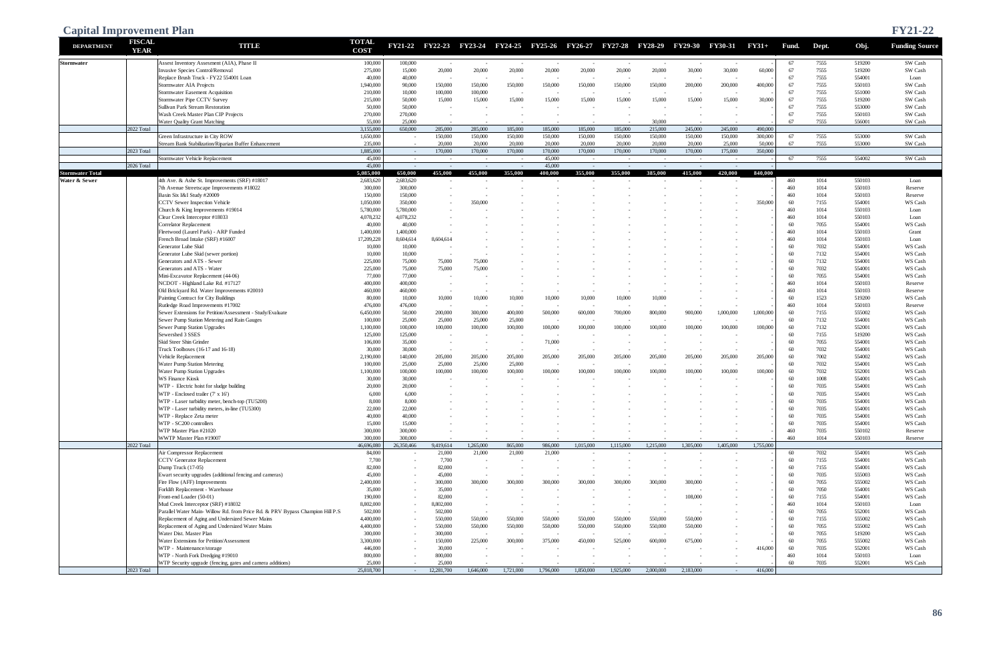| <b>Capital Improvement Plan</b>          |                              |                                                                                |                             |                          |                                     |                    |                    |                    |                    |                    |                    |                                                                         |                    |                    |            |              |                  | <b>FY21-22</b>        |
|------------------------------------------|------------------------------|--------------------------------------------------------------------------------|-----------------------------|--------------------------|-------------------------------------|--------------------|--------------------|--------------------|--------------------|--------------------|--------------------|-------------------------------------------------------------------------|--------------------|--------------------|------------|--------------|------------------|-----------------------|
| <b>DEPARTMENT</b>                        | <b>FISCAL</b><br><b>YEAR</b> | <b>TITUD</b>                                                                   | <b>TOTAL</b><br><b>COST</b> | <b>FY21-22</b>           |                                     |                    |                    |                    |                    |                    |                    | FY22-23 FY23-24 FY24-25 FY25-26 FY26-27 FY27-28 FY28-29 FY29-30 FY30-31 |                    | $FY31+$            | Fund.      | Dept.        | Obj.             | <b>Funding Source</b> |
| <b>Stormwater</b>                        |                              | Assest Inventory Assesment (AIA), Phase II                                     | 100,000                     | 100,000                  | $\sim$                              | $\sim$             |                    |                    |                    |                    |                    |                                                                         |                    |                    | 67         | 7555         | 519200           | SW Cash               |
|                                          |                              | Invasive Species Control/Removal                                               | 275,000                     | 15,000                   | 20,000                              | 20,000             | 20,000             | 20,000             | 20,000             | 20,000             | 20,000             | 30,000                                                                  | 30,000             | 60,000             | 67         | 7555         | 519200           | SW Cash               |
|                                          |                              | Replace Brush Truck - FY22 554001 Loan<br>Stormwater AIA Projects              | 40,000<br>1,940,000         | 40,000<br>90,000         | $\overline{\phantom{a}}$<br>150,000 | 150,000            | 150,000            | 150,000            | 150,000            | 150,000            | 150,000            | 200,000                                                                 | 200,000            | 400,000            | 67<br>67   | 7555<br>7555 | 554001<br>550103 | Loan<br>SW Cash       |
|                                          |                              | Stormwater Easement Acquisition                                                | 210,000                     | 10,000                   | 100,000                             | 100,000            |                    |                    |                    |                    |                    |                                                                         |                    |                    | 67         | 7555         | 551000           | SW Cash               |
|                                          |                              | Stormwater Pipe CCTV Survey                                                    | 215,000                     | 50,000                   | 15,000                              | 15,000             | 15,000             | 15,000             | 15,000             | 15,000             | 15,000             | 15,000                                                                  | 15,000             | 30,000             | 67         | 7555         | 519200           | SW Cash               |
|                                          |                              | Sullivan Park Stream Restoration                                               | 50,000                      | 50,000                   |                                     |                    |                    |                    |                    |                    |                    |                                                                         |                    |                    | 67         | 7555         | 553000           | SW Cash               |
|                                          |                              | Wash Creek Master Plan CIP Projects                                            | 270,000                     | 270,000                  |                                     |                    |                    |                    |                    |                    |                    |                                                                         |                    |                    | 67         | 7555         | 550103           | SW Cash               |
|                                          | 2022 Total                   | Water Quality Grant Matching                                                   | 55,000                      | 25,000                   |                                     |                    |                    |                    |                    |                    | 30,000             |                                                                         |                    |                    | 67         | 7555         | 556001           | SW Cash               |
|                                          |                              | Green Infrastructure in City ROW                                               | 3.155,000<br>1,650,000      | 650,000<br>$\sim$        | 285,000<br>150,000                  | 285,000<br>150,000 | 185,000<br>150,000 | 185,000<br>150,000 | 185,000<br>150,000 | 185,000<br>150,000 | 215,000<br>150,000 | 245,000<br>150,000                                                      | 245,000<br>150,000 | 490,000<br>300,000 | 67         | 7555         | 553000           | SW Cash               |
|                                          |                              | Stream Bank Stabilization/Riparian Buffer Enhancement                          | 235,000                     | $\sim$                   | 20,000                              | 20,000             | 20,000             | 20,000             | 20,000             | 20,000             | 20,000             | 20,000                                                                  | 25,000             | 50,000             | 67         | 7555         | 553000           | SW Cash               |
|                                          | 2023 Total                   |                                                                                | 1,885,000                   | $\sim$ $-$               | 170,000                             | 170,000            | 170,000            | 170,000            | 170,000            | 170,000            | 170,000            | 170,000                                                                 | 175,000            | 350,000            |            |              |                  |                       |
|                                          |                              | Stormwater Vehicle Replacement                                                 | 45,000                      | $\sim$                   | $\sim$                              | $\sim$ $-$         | $\sim$             | 45,000             | $\sim$             | $\sim$             | $\sim$             | $\sim$                                                                  | $\sim$             |                    | 67         | 7555         | 554002           | SW Cash               |
|                                          | 2026 Total                   |                                                                                | 45,000                      | $\sim$                   | $\sim$                              | $\sim$ $-$         | $\sim$             | 45,000             | $\sim$             | $\sim$ $-$         | $\sim$             | $\sim$                                                                  |                    |                    |            |              |                  |                       |
| <b>Stormwater Total</b><br>Water & Sewer |                              | 4th Ave. & Ashe St. Improvements (SRF) #18017                                  | 5,085,000<br>2,683,620      | 650,000<br>2,683,620     | 455,000                             | 455,000            | 355,000            | 400,000            | 355,000            | 355,000            | 385,000            | 415,000                                                                 | 420,000            | 840,000            | 460        | 1014         | 550103           | Loan                  |
|                                          |                              | 7th Avenue Streetscape Improvements #18022                                     | 300,000                     | 300,000                  |                                     |                    |                    |                    |                    |                    |                    |                                                                         |                    |                    | 460        | 1014         | 550103           | Reserve               |
|                                          |                              | Basin Six I&I Study #20009                                                     | 150,000                     | 150,000                  |                                     |                    |                    |                    |                    |                    |                    |                                                                         |                    |                    | 460        | 1014         | 550103           | Reserve               |
|                                          |                              | CCTV Sewer Inspection Vehicle                                                  | 1,050,000                   | 350,000                  |                                     | 350,000            |                    |                    |                    |                    |                    |                                                                         |                    | 350,000            | 60         | 7155         | 554001           | WS Cash               |
|                                          |                              | Church & King Improvements #19014                                              | 5,780,000                   | 5,780,000                |                                     |                    |                    |                    |                    |                    |                    |                                                                         |                    |                    | 460        | 1014         | 550103           | Loan                  |
|                                          |                              | Clear Creek Interceptor #18033                                                 | 4,078,232                   | 4,078,232                |                                     |                    |                    |                    |                    |                    |                    |                                                                         |                    |                    | 460        | 1014         | 550103           | Loan                  |
|                                          |                              | Correlator Replacement<br>Fleetwood (Laurel Park) - ARP Funded                 | 40,000<br>1,400,000         | 40,000<br>1,400,000      |                                     |                    |                    |                    |                    |                    |                    |                                                                         |                    |                    | 60<br>460  | 7055<br>1014 | 554001<br>550103 | WS Cash<br>Grant      |
|                                          |                              | French Broad Intake (SRF) #16007                                               | 17,209,228                  | 8,604,614                | 8,604,614                           |                    |                    |                    |                    |                    |                    |                                                                         |                    |                    | 460        | 1014         | 550103           | Loan                  |
|                                          |                              | Generator Lube Skid                                                            | 10,000                      | 10,000                   |                                     |                    |                    |                    |                    |                    |                    |                                                                         |                    |                    | 60         | 7032         | 554001           | WS Cash               |
|                                          |                              | Generator Lube Skid (sewer portion)                                            | 10,000                      | 10,000                   |                                     |                    |                    |                    |                    |                    |                    |                                                                         |                    |                    | 60         | 7132         | 554001           | WS Cash               |
|                                          |                              | Generators and ATS - Sewer                                                     | 225,000                     | 75,000                   | 75,000                              | 75,000             |                    |                    |                    |                    |                    |                                                                         |                    |                    | 60         | 7132         | 554001           | WS Cash               |
|                                          |                              | Generators and ATS - Water                                                     | 225,000                     | 75,000                   | 75,000                              | 75,000             |                    |                    |                    |                    |                    |                                                                         |                    |                    | 60         | 7032         | 554001           | WS Cash               |
|                                          |                              | Mini-Excavator Replacement (44-06)<br>NCDOT - Highland Lake Rd. #17127         | 77,000                      | 77,000<br>400,000        | $\overline{\phantom{a}}$            |                    |                    |                    |                    |                    |                    |                                                                         |                    |                    | 60<br>460  | 7055<br>1014 | 554001<br>550103 | WS Cash               |
|                                          |                              | Old Brickyard Rd. Water Improvements #20010                                    | 400,000<br>460,000          | 460,000                  | $\overline{\phantom{a}}$<br>$\sim$  | $\sim$             |                    |                    |                    |                    |                    |                                                                         |                    |                    | 460        | 1014         | 550103           | Reserve<br>Reserve    |
|                                          |                              | Painting Contract for City Buildings                                           | 80,000                      | 10,000                   | 10,000                              | 10,000             | 10,000             | 10,000             | 10,000             | 10,000             | 10,000             |                                                                         |                    |                    | 60         | 1523         | 519200           | WS Cash               |
|                                          |                              | Rutledge Road Improvements #17002                                              | 476,000                     | 476,000                  | $\overline{\phantom{a}}$            |                    |                    |                    |                    |                    |                    |                                                                         |                    |                    | 460        | 1014         | 550103           | Reserve               |
|                                          |                              | Sewer Extensions for Petition/Assessment - Study/Evaluate                      | 6,450,000                   | 50,000                   | 200,000                             | 300,000            | 400,000            | 500,000            | 600,000            | 700,000            | 800,000            | 900,000                                                                 | 1,000,000          | 1,000,000          | 60         | 7155         | 555002           | WS Cash               |
|                                          |                              | Sewer Pump Station Metering and Rain Gauges                                    | 100,000                     | 25,000                   | 25,000                              | 25,000             | 25,000             |                    |                    |                    |                    |                                                                         |                    |                    | 60         | 7132         | 554001           | WS Cash               |
|                                          |                              | Sewer Pump Station Upgrades<br>Sewershed 3 SSES                                | 1,100,000<br>125,000        | 100,000<br>125,000       | 100,000                             | 100,000            | 100,000            | 100,000            | 100,000            | 100,000            | 100,000            | 100,000                                                                 | 100,000            | 100,000            | 60<br>60   | 7132<br>7155 | 552001<br>519200 | WS Cash<br>WS Cash    |
|                                          |                              | Skid Steer Shin Grinder                                                        | 106,000                     | 35,000                   |                                     |                    |                    | 71,000             |                    |                    |                    |                                                                         |                    |                    | 60         | 7055         | 554001           | WS Cash               |
|                                          |                              | Truck Toolboxes (16-17 and 16-18)                                              | 30,000                      | 30,000                   | $\sim$                              | $\sim$             |                    |                    |                    |                    |                    | $\sim$                                                                  |                    |                    | 60         | 7032         | 554001           | WS Cash               |
|                                          |                              | Vehicle Replacement                                                            | 2,190,000                   | 140,000                  | 205,000                             | 205,000            | 205,000            | 205,000            | 205,000            | 205,000            | 205,000            | 205,000                                                                 | 205,000            | 205,000            | 60         | 7002         | 554002           | WS Cash               |
|                                          |                              | Water Pump Station Metering                                                    | 100,000                     | 25,000                   | 25,000                              | 25,000             | 25,000             |                    |                    |                    |                    |                                                                         |                    |                    | 60         | 7032         | 554001           | WS Cash               |
|                                          |                              | Water Pump Station Upgrades                                                    | 1,100,000                   | 100,000                  | 100,000                             | 100,000            | 100,000            | 100,000            | 100,000            | 100,000            | 100,000            | 100,000                                                                 | 100,000            | 100,000            | 60         | 7032         | 552001           | WS Cash               |
|                                          |                              | <b>WS Finance Kiosk</b><br>WTP - Electric hoist for sludge building            | 30,000<br>20,000            | 30,000<br>20,000         |                                     |                    |                    |                    |                    |                    |                    |                                                                         |                    |                    | 60<br>60   | 1008<br>7035 | 554001<br>554001 | WS Cash<br>WS Cash    |
|                                          |                              | WTP - Enclosed trailer (7' x 16')                                              | 6,000                       | 6,000                    |                                     |                    |                    |                    |                    |                    |                    |                                                                         |                    |                    | 60         | 7035         | 554001           | WS Cash               |
|                                          |                              | WTP - Laser turbidity meter, bench-top (TU5200)                                | 8,000                       | 8,000                    |                                     |                    |                    |                    |                    |                    |                    |                                                                         |                    |                    | 60         | 7035         | 554001           | WS Cash               |
|                                          |                              | WTP - Laser turbidity meters, in-line (TU5300)                                 | 22,000                      | 22,000                   |                                     |                    |                    |                    |                    |                    |                    |                                                                         |                    |                    | 60         | 7035         | 554001           | WS Cash               |
|                                          |                              | WTP - Replace Zeta meter                                                       | 40,000                      | 40,000                   |                                     |                    |                    |                    |                    |                    |                    |                                                                         |                    |                    | 60         | 7035         | 554001           | WS Cash               |
|                                          |                              | WTP - SC200 controllers                                                        | 15,000                      | 15,000                   |                                     |                    |                    |                    |                    |                    |                    |                                                                         |                    |                    | 60         | 7035         | 554001           | WS Cash               |
|                                          |                              | WTP Master Plan #21020<br>WWTP Master Plan #19007                              | 300,000<br>300,000          | 300,000<br>300,000       | $\sim$                              |                    |                    |                    |                    |                    |                    |                                                                         |                    |                    | 460<br>460 | 7035<br>1014 | 550102<br>550103 | Reserve<br>Reserve    |
|                                          | 2022 Total                   |                                                                                | 46,696,080                  | 26,350,466               | 9,419,614                           | 1,265,000          | 865,000            | 986,000            | 1,015,000          | 1,115,000          | 1,215,000          | 1,305,000                                                               | 1,405,000          | 1,755,000          |            |              |                  |                       |
|                                          |                              | Air Compressor Replacement                                                     | 84,000                      | $\sim$                   | 21,000                              | 21,000             | 21,000             | 21,000             |                    |                    |                    | $\overline{\phantom{a}}$                                                |                    |                    | 60         | 7032         | 554001           | WS Cash               |
|                                          |                              | <b>CCTV</b> Generator Replacement                                              | 7,700                       | $\sim$                   | 7,700                               | $\sim$             |                    |                    |                    |                    |                    |                                                                         |                    |                    | 60         | 7155         | 554001           | WS Cash               |
|                                          |                              | Dump Truck (17-05)                                                             | 82,000                      | $\sim$                   | 82,000                              | $\sim$             |                    |                    |                    |                    |                    | $\sim$                                                                  |                    |                    | 60         | 7155         | 554001           | WS Cash               |
|                                          |                              | Ewart security upgrades (additional fencing and cameras)                       | 45,000                      | $\sim$                   | 45,000                              |                    |                    |                    |                    |                    |                    | $\sim$                                                                  |                    |                    | 60         | 7035         | 555003           | WS Cash               |
|                                          |                              | Fire Flow (AFF) Improvements<br>Forklift Replacement - Warehouse               | 2,400,000<br>35,000         | $\sim$<br>$\sim$         | 300,000<br>35,000                   | 300,000            | 300,000            | 300,000            | 300,000            | 300,000            | 300,000            | 300,000<br>$\sim$                                                       |                    |                    | 60<br>60   | 7055<br>7050 | 555002<br>554001 | WS Cash<br>WS Cash    |
|                                          |                              | Front-end Loader (50-01)                                                       | 190,000                     | $\sim$                   | 82,000                              | $\sim$             |                    |                    |                    |                    |                    | 108,000                                                                 |                    |                    | 60         | 7155         | 554001           | WS Cash               |
|                                          |                              | Mud Creek Interceptor (SRF) #18032                                             | 8,802,000                   |                          | 8,802,000                           |                    |                    |                    |                    |                    |                    | $\sim$                                                                  |                    |                    | 460        | 1014         | 550103           | Loan                  |
|                                          |                              | Parallel Water Main- Willow Rd. from Price Rd. & PRV Bypass Champion Hill P.S. | 502,000                     |                          | 502,000                             | $\sim$             |                    |                    |                    | $\sim$             |                    | $\sim$                                                                  |                    |                    | 60         | 7055         | 552001           | WS Cash               |
|                                          |                              | Replacement of Aging and Undersized Sewer Mains                                | 4,400,000                   |                          | 550,000                             | 550,000            | 550,000            | 550,000            | 550,000            | 550,000            | 550,000            | 550,000                                                                 |                    |                    | 60         | 7155         | 555002           | WS Cash               |
|                                          |                              | Replacement of Aging and Undersized Water Mains                                | 4,400,000                   | $\sim$                   | 550,000                             | 550,000            | 550,000            | 550,000            | 550,000            | 550,000            | 550,000            | 550,000                                                                 |                    |                    | 60         | 7055         | 555002           | WS Cash               |
|                                          |                              | Water Dist. Master Plan<br>Water Extensions for Petition/Assessment            | 300,000                     | $\sim$                   | 300,000                             | $\sim$             |                    |                    |                    |                    |                    | $\sim$                                                                  |                    |                    | 60<br>60   | 7055<br>7055 | 519200<br>555002 | WS Cash               |
|                                          |                              | WTP - Maintenance/storage                                                      | 3,300,000<br>446,000        | $\sim$                   | 150,000<br>30,000                   | 225,000            | 300,000            | 375,000            | 450,000            | 525,000            | 600,000            | 675,000                                                                 |                    | 416,000            | 60         | 7035         | 552001           | WS Cash<br>WS Cash    |
|                                          |                              | WTP - North Fork Dredging #19010                                               | 800,000                     | $\overline{\phantom{a}}$ | 800,000                             |                    |                    |                    |                    |                    |                    | $\sim$                                                                  |                    |                    | 460        | 1014         | 550103           | Loan                  |
|                                          |                              | WTP Security upgrade (fencing, gates and camera additions)                     | 25,000                      | $\sim$                   | 25,000                              |                    |                    |                    |                    |                    |                    |                                                                         |                    |                    | 60         | 7035         | 552001           | WS Cash               |
|                                          | 2023 Total                   |                                                                                | 25,818,700                  | $\sim 10^{-11}$          | 12,281,700                          | 1,646,000          | 1,721,000          | 1,796,000          | 1,850,000          | 1,925,000          | 2,000,000          | 2,183,000                                                               | $\sim$             | 416,000            |            |              |                  |                       |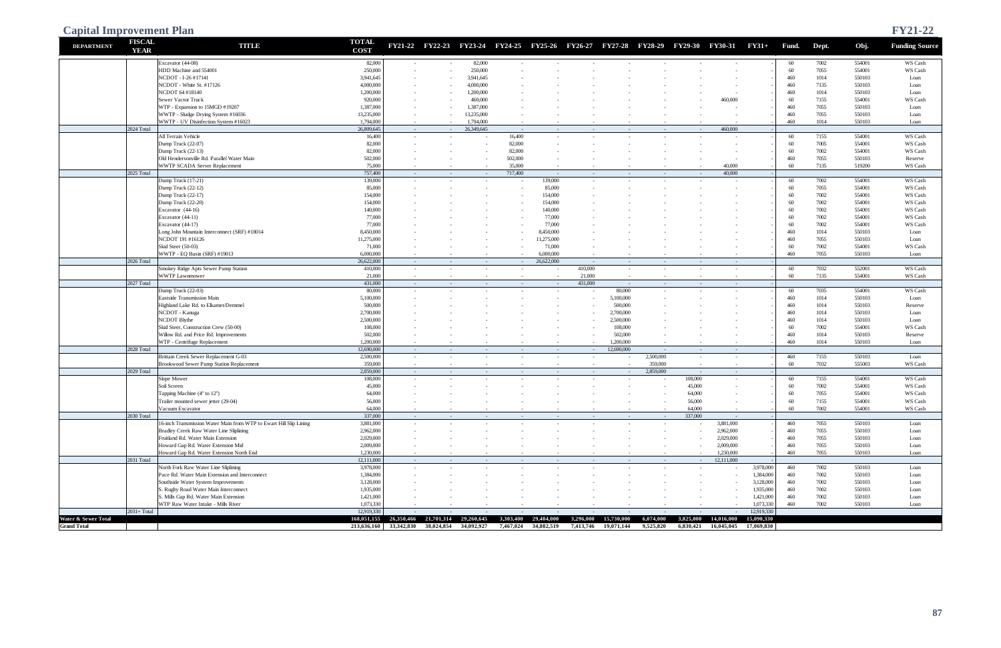| <b>Capital Improvement Plan</b> |                              |                                                                                |                             |                       |                                  |                          |                          |                          |                   |                                        |                |                                                                                 |                                 |                        |            |              |                  | <b>FY21-22</b>        |
|---------------------------------|------------------------------|--------------------------------------------------------------------------------|-----------------------------|-----------------------|----------------------------------|--------------------------|--------------------------|--------------------------|-------------------|----------------------------------------|----------------|---------------------------------------------------------------------------------|---------------------------------|------------------------|------------|--------------|------------------|-----------------------|
| <b>DEPARTMENT</b>               | <b>FISCAL</b><br><b>YEAR</b> | <b>TITLE</b>                                                                   | <b>TOTAL</b><br><b>COST</b> |                       |                                  |                          |                          |                          |                   |                                        |                | FY21-22 FY22-23 FY23-24 FY24-25 FY25-26 FY26-27 FY27-28 FY28-29 FY29-30 FY30-31 |                                 | $FY31+$                | Fund.      | Dept.        | Obj.             | <b>Funding Source</b> |
|                                 |                              | Excavator (44-08)                                                              | 82,000                      | $\sim$                | $\sim$                           | 82,000                   |                          |                          |                   |                                        |                |                                                                                 |                                 |                        | 60         | 7002         | 554001           | WS Cash               |
|                                 |                              | HDD Machine and 554001                                                         | 250,000                     |                       |                                  | 250,000                  |                          |                          |                   |                                        |                |                                                                                 |                                 |                        | 60         | 7055         | 554001           | WS Cash               |
|                                 |                              | NCDOT - I-26 #17141                                                            | 3,941,645                   |                       |                                  | 3,941,645                |                          |                          |                   |                                        |                |                                                                                 |                                 |                        | 460        | 1014         | 550103           | Loan                  |
|                                 |                              | NCDOT - White St. #17126                                                       | 4,000,000                   |                       |                                  | 4,000,000                |                          |                          |                   |                                        |                |                                                                                 |                                 |                        | 460        | 7135<br>1014 | 550103           | Loan                  |
|                                 |                              | NCDOT 64 #18140<br>Sewer Vactor Truck                                          | 1,200,000<br>920,000        |                       |                                  | 1,200,000<br>460,000     |                          |                          |                   |                                        |                |                                                                                 | 460,000                         |                        | 460<br>60  | 7155         | 550103<br>554001 | Loan<br>WS Cash       |
|                                 |                              | WTP - Expansion to 15MGD #19207                                                | 1,387,000                   |                       |                                  | 1,387,000                |                          |                          |                   |                                        |                |                                                                                 |                                 |                        | 460        | 7055         | 550103           | Loan                  |
|                                 |                              | WWTP - Sludge Drying System #16036                                             | 13,235,000                  | $\sim$                |                                  | 13,235,000               |                          |                          |                   |                                        |                |                                                                                 |                                 |                        | 460        | 7055         | 550103           | Loan                  |
|                                 |                              | WWTP - UV Disinfection System #16023                                           | 1,794,000                   | $\sim$                |                                  | 1,794,000                |                          |                          |                   |                                        |                |                                                                                 |                                 |                        | 460        | 1014         | 550103           | Loan                  |
|                                 | 2024 Total                   |                                                                                | 26,809,645                  | $\sim$                | $\sim$                           | 26,349,645               | $\sim$                   | $\sim$ $-$               | $\sim$            | $\sim$ $-$                             | $\sim$ $ \sim$ | $\sim$ $ \sim$                                                                  | 460,000                         |                        |            |              |                  |                       |
|                                 |                              | All Terrain Vehicle                                                            | 16,400                      | $\sim$                |                                  | $\sim$                   | 16,400                   |                          |                   |                                        |                |                                                                                 |                                 |                        | 60         | 7155         | 554001           | WS Cash               |
|                                 |                              | Dump Truck (22-07)<br>Dump Truck (22-13)                                       | 82,000<br>82,000            |                       |                                  | $\overline{\phantom{a}}$ | 82,000<br>82,000         |                          |                   |                                        |                |                                                                                 |                                 |                        | 60<br>60   | 7005<br>7002 | 554001<br>554001 | WS Cash<br>WS Cash    |
|                                 |                              | Old Hendersonville Rd. Parallel Water Main                                     | 502,000                     |                       |                                  |                          | 502,000                  |                          |                   |                                        |                |                                                                                 |                                 |                        | 460        | 7055         | 550103           | Reserve               |
|                                 |                              | WWTP SCADA Server Replacement                                                  | 75,000                      | $\sim$                |                                  |                          | 35,000                   |                          |                   |                                        |                |                                                                                 | 40,000                          |                        | 60         | 7135         | 519200           | WS Cash               |
|                                 | 2025 Total                   |                                                                                | 757,400                     | $\sim$                | $\sim$                           | $\sim$ $-$               | 717,400                  | $\sim$ $-$               | $\sim$            | $\sim$                                 | $\sim$         | $\sim$                                                                          | 40,000                          |                        |            |              |                  |                       |
|                                 |                              | Dump Truck (17-21)                                                             | 139,000                     | $\sim$                |                                  | $\sim$                   |                          | 139,000                  |                   |                                        |                |                                                                                 |                                 |                        | 60         | 7002         | 554001           | WS Cash               |
|                                 |                              | Dump Truck (22-12)                                                             | 85,000                      |                       |                                  |                          |                          | 85,000                   |                   |                                        |                |                                                                                 |                                 |                        | 60         | 7055         | 554001           | WS Cash               |
|                                 |                              | Dump Truck (22-17)                                                             | 154,000                     |                       |                                  |                          |                          | 154,000                  |                   |                                        |                |                                                                                 |                                 |                        | 60         | 7002         | 554001           | WS Cash               |
|                                 |                              | Dump Truck (22-20)<br>Excavator (44-16)                                        | 154,000<br>140,000          |                       |                                  |                          |                          | 154,000<br>140,000       |                   |                                        |                |                                                                                 |                                 |                        | 60<br>60   | 7002<br>7002 | 554001<br>554001 | WS Cash<br>WS Cash    |
|                                 |                              | Excavator (44-11)                                                              | 77,000                      |                       |                                  |                          |                          | 77,000                   |                   |                                        |                |                                                                                 |                                 |                        | 60         | 7002         | 554001           | WS Cash               |
|                                 |                              | Excavator (44-17)                                                              | 77,000                      |                       |                                  |                          |                          | 77,000                   |                   |                                        |                |                                                                                 |                                 |                        | 60         | 7002         | 554001           | WS Cash               |
|                                 |                              | Long John Mountain Interconnect (SRF) #18014                                   | 8,450,000                   |                       |                                  |                          |                          | 8,450,000                |                   |                                        |                |                                                                                 |                                 |                        | 460        | 1014         | 550103           | Loan                  |
|                                 |                              | NCDOT 191 #16126                                                               | 11,275,000                  |                       |                                  |                          |                          | 11,275,000               |                   |                                        |                |                                                                                 |                                 |                        | 460        | 7055         | 550103           | Loan                  |
|                                 |                              | Skid Steer (50-03)                                                             | 71,000                      |                       |                                  |                          |                          | 71,000                   |                   |                                        |                |                                                                                 |                                 |                        | 60         | 7002         | 554001           | WS Cash               |
|                                 |                              | WWTP - EQ Basin (SRF) #19013                                                   | 6,000,000                   | $\sim$                |                                  |                          |                          | 6,000,000                |                   |                                        |                |                                                                                 |                                 |                        | 460        | 7055         | 550103           | Loan                  |
|                                 | 2026 Total                   | Smokey Ridge Apts Sewer Pump Station                                           | 26,622,000<br>410,000       | $\sim$<br>$\sim$      | $\sim$<br>$\sim$                 | $\sim$ $-$<br>$\sim$     | $\sim$ $-$               | 26,622,000<br>$\sim$     | $\sim$<br>410,000 | $\sim$ $-$<br>$\sim$                   | $\sim$         | $\sim$<br>$\overline{\phantom{a}}$                                              | $\sim$<br>$\sim$                |                        | 60         | 7032         | 552001           | WS Cash               |
|                                 |                              | <b>WWTP Lawnmower</b>                                                          | 21,000                      | $\sim$                | $\sim$                           | $\sim$                   |                          | $\sim$                   | 21,000            |                                        |                | $\sim$                                                                          |                                 |                        | 60         | 7135         | 554001           | WS Cash               |
|                                 | 2027 Total                   |                                                                                | 431,000                     | $\sim$ $-$            | $\sim$                           | $\sim$                   | $\sim$                   | $\sim$ $ \sim$           | 431,000           | $\sim$                                 | $\sim$         | $\sim$                                                                          | $\sim$                          |                        |            |              |                  |                       |
|                                 |                              | Dump Truck (22-03)                                                             | 80,000                      | $\sim$                |                                  | $\sim$                   |                          |                          |                   | 80,000                                 |                |                                                                                 | ٠                               |                        | 60         | 7035         | 554001           | WS Cash               |
|                                 |                              | Eastside Transmission Main                                                     | 5,100,000                   |                       |                                  |                          |                          |                          |                   | 5,100,000                              |                |                                                                                 |                                 |                        | 460        | 1014         | 550103           | Loan                  |
|                                 |                              | Highland Lake Rd. to Elkamet/Demmel                                            | 500,000                     |                       |                                  |                          |                          |                          |                   | 500,000                                |                |                                                                                 |                                 |                        | 460        | 1014         | 550103           | Reserve               |
|                                 |                              | NCDOT - Kanuga                                                                 | 2,700,000                   |                       |                                  |                          |                          |                          |                   | 2,700,000                              |                |                                                                                 |                                 |                        | 460        | 1014         | 550103           | Loan                  |
|                                 |                              | NCDOT Blythe<br>Skid Steer, Construction Crew (50-00)                          | 2,500,000<br>108,000        |                       |                                  |                          |                          |                          |                   | 2,500,000<br>108,000                   |                |                                                                                 |                                 |                        | 460<br>60  | 1014<br>7002 | 550103<br>554001 | Loan<br>WS Cash       |
|                                 |                              | Willow Rd. and Price Rd. Improvements                                          | 502,000                     |                       |                                  |                          |                          |                          |                   | 502,000                                |                |                                                                                 |                                 |                        | 460        | 1014         | 550103           | Reserve               |
|                                 |                              | WTP - Centrifuge Replacement                                                   | 1,200,000                   | $\sim$                |                                  |                          |                          |                          |                   | 1,200,000                              |                |                                                                                 |                                 |                        | 460        | 1014         | 550103           | Loan                  |
|                                 | 2028 Total                   |                                                                                | 12,690,000                  | $\sim$                | $\sim$                           | $\sim$ $-$               | $\sim$                   | $\sim$                   | $\sim$            | 12,690,000                             | $\sim$ $-$     | $\sim$                                                                          | $\sim$                          |                        |            |              |                  |                       |
|                                 |                              | Brittain Creek Sewer Replacement G-03                                          | 2,500,000                   | $\sim$                | $\sim$                           | $\sim$                   | $\sim$                   | $\sim$                   | $\sim$            | $\overline{\phantom{a}}$               | 2,500,000      | $\sim$                                                                          | $\sim$                          |                        | 460        | 7155         | 550103           | Loan                  |
|                                 |                              | Brookwood Sewer Pump Station Replacement                                       | 359,000                     | $\sim$                | $\sim$                           | $\sim$                   | $\sim$                   | $\sim$                   | $\sim$            | $\sim$                                 | 359,000        | $\sim$                                                                          | $\sim$                          |                        | 60         | 7032         | 555003           | WS Cash               |
|                                 | 2029 Total                   | Slope Mower                                                                    | 2,859,000<br>108,000        | $\sim$<br>$\sim$      | $\sim$<br>$\sim$                 | $\sim$ $-$<br>$\sim$     | $\sim$ $ \sim$<br>$\sim$ | $\sim$ $ \sim$<br>$\sim$ | $\sim$<br>$\sim$  | $\sim$ $-$<br>$\overline{\phantom{a}}$ | 2,859,000      | $\sim$<br>108,000                                                               | $\sim$<br>$\sim$                |                        | 60         | 7155         | 554001           | WS Cash               |
|                                 |                              | Soil Screen                                                                    | 45,000                      | $\sim$                | $\sim$                           | $\sim$                   |                          |                          |                   |                                        |                | 45,000                                                                          | $\sim$                          |                        | 60         | 7002         | 554001           | WS Cash               |
|                                 |                              | Tapping Machine (4" to 12")                                                    | 64,000                      |                       |                                  |                          |                          |                          |                   |                                        |                | 64,000                                                                          |                                 |                        | 60         | 7055         | 554001           | WS Cash               |
|                                 |                              | Trailer mounted sewer jetter (29-04)                                           | 56,000                      |                       |                                  |                          |                          |                          |                   |                                        |                | 56,000                                                                          |                                 |                        | 60         | 7155         | 554001           | WS Cash               |
|                                 |                              | Vacuum Excavator                                                               | 64,000                      | $\sim$                |                                  | $\sim$                   |                          |                          |                   |                                        |                | 64,000                                                                          | $\sim$                          |                        | 60         | 7002         | 554001           | WS Cash               |
|                                 | 2030 Total                   |                                                                                | 337,000                     | $\sim$ $-$            | $\sim$                           | $\sim$ $-$               | $\sim$ $-$               | $\sim$ $ \sim$           | $\sim$            | $\sim$ $-$                             | $\sim$ $-$     | 337,000                                                                         | $\sim$                          |                        |            |              |                  |                       |
|                                 |                              | 16-inch Transmission Water Main from WTP to Ewart Hill Slip Lining             | 3,881,000                   | $\sim$                |                                  | $\sim$                   |                          | $\sim$                   |                   | $\sim$                                 | $\sim$         | $\sim$                                                                          | 3,881,000<br>2,962,000          |                        | 460<br>460 | 7055<br>7055 | 550103<br>550103 | Loan<br>Loan          |
|                                 |                              | Bradley Creek Raw Water Line Sliplining<br>Fruitland Rd. Water Main Extension  | 2,962,000<br>2,029,000      | $\sim$                |                                  |                          |                          |                          |                   |                                        |                |                                                                                 | 2,029,000                       |                        | 460        | 7055         | 550103           | Loan                  |
|                                 |                              | Howard Gap Rd. Water Extension Mid                                             | 2,009,000                   |                       |                                  |                          |                          |                          |                   |                                        |                |                                                                                 | 2,009,000                       |                        | 460        | 7055         | 550103           | Loan                  |
|                                 |                              | Howard Gap Rd. Water Extension North End                                       | 1,230,000                   | $\sim$                |                                  |                          |                          |                          |                   |                                        |                |                                                                                 | 1,230,000                       |                        | 460        | 7055         | 550103           | Loan                  |
|                                 | 2031 Total                   |                                                                                | 12,111,000                  | $\sim$ $-$            | $\sim$ $-$                       | $\sim$ $-$               | $\sim$ $ \sim$           | $\sim$ $ \sim$           | $\sim$            | $\sim$ $ \sim$                         | $\sim$         | $\sim$                                                                          | 12,111,000                      |                        |            |              |                  |                       |
|                                 |                              | North Fork Raw Water Line Sliplining                                           | 3,978,000                   | $\sim$                |                                  | $\overline{\phantom{a}}$ |                          |                          |                   | $\overline{\phantom{a}}$               |                | $\sim$                                                                          |                                 | 3,978,000              | 460        | 7002         | 550103           | Loan                  |
|                                 |                              | Pace Rd. Water Main Extension and Interconnect                                 | 1,384,000                   | $\sim$                |                                  |                          |                          |                          |                   |                                        |                |                                                                                 |                                 | 1,384,000              | 460        | 7002         | 550103           | Loan                  |
|                                 |                              | Southside Water System Improvements                                            | 3,128,000                   |                       |                                  |                          |                          |                          |                   |                                        |                |                                                                                 |                                 | 3,128,000              | 460<br>460 | 7002         | 550103           | Loan                  |
|                                 |                              | S. Rugby Road Water Main Interconnect<br>S. Mills Gap Rd. Water Main Extension | 1,935,000<br>1,421,000      |                       |                                  |                          |                          |                          |                   |                                        |                |                                                                                 |                                 | 1,935,000<br>1,421,000 | 460        | 7002<br>7002 | 550103<br>550103 | Loan<br>Loan          |
|                                 |                              | WTP Raw Water Intake - Mills River                                             | 1,073,330                   |                       |                                  |                          |                          |                          |                   |                                        |                |                                                                                 |                                 | 1,073,330              | 460        | 7002         | 550103           | Loan                  |
|                                 | $2031+Total$                 |                                                                                | 12,919,330                  | $\sim$                |                                  | $\sim$                   |                          |                          |                   |                                        |                |                                                                                 |                                 | 12,919,330             |            |              |                  |                       |
| Water & Sewer Total             |                              |                                                                                | 168,051,155                 | 26,350,466 21,701,314 |                                  | 29,260,645               | 3,303,400                | 29,404,000               | 3,296,000         | 15,730,000                             | 6,074,000      | 3,825,000                                                                       | 14,016,000                      | 15,090,330             |            |              |                  |                       |
| <b>Grand Total</b>              |                              |                                                                                | 213,636,160                 |                       | 33,342,830 38,024,854 34,092,927 |                          | 7,467,024 34,882,519     |                          |                   | 7,413,746 19,071,144                   | 9,525,820      |                                                                                 | 6,830,421 16,045,045 17,069,830 |                        |            |              |                  |                       |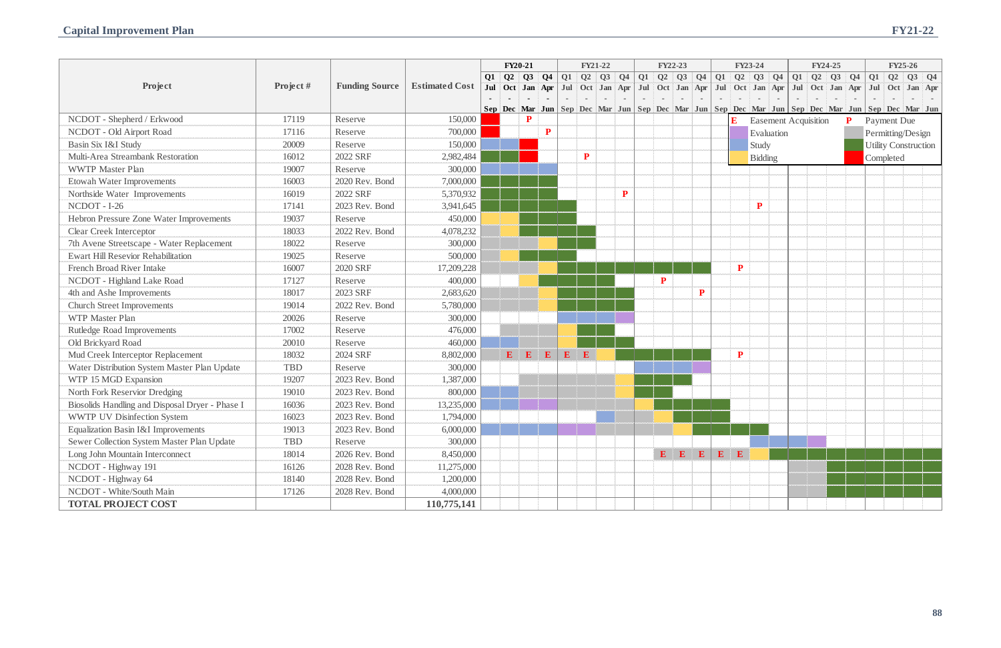|           | FY23-24                     |                |           | FY24-25 |                |                    | FY25-26 |                   |                             |  |  |
|-----------|-----------------------------|----------------|-----------|---------|----------------|--------------------|---------|-------------------|-----------------------------|--|--|
| Q2        | Q3                          | Q <sub>4</sub> | $Q1$ $Q2$ | Q3      | Q <sub>4</sub> | Q1                 | Q2      | Q3                | Q <sub>4</sub>              |  |  |
| Oct       | Jan                         | Apr            | Jul Oct   | Jan     | Apr            | Jul                |         | Oct Jan           | Apr                         |  |  |
|           |                             |                | i.        |         |                | L                  |         |                   |                             |  |  |
|           | Dec Mar Jun Sep Dec Mar Jun |                |           |         |                |                    |         | Sep Dec Mar Jun   |                             |  |  |
| E         | <b>Easement Acquisition</b> |                |           |         | $\mathbf{P}$   | <b>Payment Due</b> |         |                   |                             |  |  |
|           | Evaluation                  |                |           |         |                |                    |         | Permitting/Design |                             |  |  |
|           | Study                       |                |           |         |                |                    |         |                   | <b>Utility Construction</b> |  |  |
|           | <b>Bidding</b>              |                |           |         |                | Completed          |         |                   |                             |  |  |
|           |                             |                |           |         |                |                    |         |                   |                             |  |  |
|           |                             |                |           |         |                |                    |         |                   |                             |  |  |
|           |                             |                |           |         |                |                    |         |                   |                             |  |  |
|           | ${\bf P}$                   |                |           |         |                |                    |         |                   |                             |  |  |
|           |                             |                |           |         |                |                    |         |                   |                             |  |  |
|           |                             |                |           |         |                |                    |         |                   |                             |  |  |
|           |                             |                |           |         |                |                    |         |                   |                             |  |  |
|           |                             |                |           |         |                |                    |         |                   |                             |  |  |
| ${\bf P}$ |                             |                |           |         |                |                    |         |                   |                             |  |  |
|           |                             |                |           |         |                |                    |         |                   |                             |  |  |
|           |                             |                |           |         |                |                    |         |                   |                             |  |  |
|           |                             |                |           |         |                |                    |         |                   |                             |  |  |
|           |                             |                |           |         |                |                    |         |                   |                             |  |  |
|           |                             |                |           |         |                |                    |         |                   |                             |  |  |
|           |                             |                |           |         |                |                    |         |                   |                             |  |  |
| ${\bf P}$ |                             |                |           |         |                |                    |         |                   |                             |  |  |
|           |                             |                |           |         |                |                    |         |                   |                             |  |  |
|           |                             |                |           |         |                |                    |         |                   |                             |  |  |
|           |                             |                |           |         |                |                    |         |                   |                             |  |  |
|           |                             |                |           |         |                |                    |         |                   |                             |  |  |
|           |                             |                |           |         |                |                    |         |                   |                             |  |  |
|           |                             |                |           |         |                |                    |         |                   |                             |  |  |
|           |                             |                |           |         |                |                    |         |                   |                             |  |  |
|           |                             |                |           |         |                |                    |         |                   |                             |  |  |
| E         |                             |                |           |         |                |                    |         |                   |                             |  |  |
|           |                             |                |           |         |                |                    |         |                   |                             |  |  |
|           |                             |                |           |         |                |                    |         |                   |                             |  |  |
|           |                             |                |           |         |                |                    |         |                   |                             |  |  |
|           |                             |                |           |         |                |                    |         |                   |                             |  |  |

|                                                 |            |                       |                       | FY20-21<br><b>FY21-22</b> |   | FY22-23   |              |              |              |                                                                                                                                             | FY23-24      |  | FY24-25   |                                        |           | <b>FY25-26</b>            |                |  |                                                                                                                 |  |   |  |                             |  |  |
|-------------------------------------------------|------------|-----------------------|-----------------------|---------------------------|---|-----------|--------------|--------------|--------------|---------------------------------------------------------------------------------------------------------------------------------------------|--------------|--|-----------|----------------------------------------|-----------|---------------------------|----------------|--|-----------------------------------------------------------------------------------------------------------------|--|---|--|-----------------------------|--|--|
|                                                 |            |                       |                       |                           |   |           |              |              |              | $Q1 \quad Q2 \quad Q3 \quad Q4 \quad Q1 \quad Q2 \quad Q3 \quad Q4 \quad Q1 \quad Q2 \quad Q3 \quad Q4 \quad Q1 \quad Q2 \quad Q3 \quad Q4$ |              |  |           |                                        |           |                           |                |  |                                                                                                                 |  |   |  |                             |  |  |
| Project                                         | Project#   | <b>Funding Source</b> | <b>Estimated Cost</b> |                           |   |           |              |              |              |                                                                                                                                             |              |  |           |                                        |           |                           |                |  | Jul Oct Jan Apr Jul Oct Jan Apr Jul Oct Jan Apr Jul Oct Jan Apr Jul Oct Jan Apr Jul Oct Jan Apr Jul Oct Jan Apr |  |   |  |                             |  |  |
|                                                 |            |                       |                       |                           |   |           |              |              |              |                                                                                                                                             |              |  |           |                                        |           |                           |                |  | Sep Dec Mar Jun Sep Dec Mar Jun Sep Dec Mar Jun Sep Dec Mar Jun Sep Dec Mar Jun Sep Dec Mar Jun Sep Dec Mar Ju  |  |   |  |                             |  |  |
| NCDOT - Shepherd / Erkwood                      | 17119      | Reserve               | 150,000               |                           |   | ${\bf P}$ |              |              |              |                                                                                                                                             |              |  |           |                                        |           | E                         |                |  | <b>Easement Acquisition</b>                                                                                     |  | P |  | Payment Due                 |  |  |
| NCDOT - Old Airport Road                        | 17116      | Reserve               | 700,000               |                           |   |           | $\mathbf{P}$ |              |              |                                                                                                                                             |              |  |           |                                        |           |                           | Evaluation     |  |                                                                                                                 |  |   |  | Permitting/Design           |  |  |
| Basin Six I&I Study                             | 20009      | Reserve               | 150,000               |                           |   |           |              |              |              |                                                                                                                                             |              |  |           |                                        |           |                           | Study          |  |                                                                                                                 |  |   |  | <b>Utility Construction</b> |  |  |
| Multi-Area Streambank Restoration               | 16012      | 2022 SRF              | 2,982,484             |                           |   |           |              |              | $\mathbf{P}$ |                                                                                                                                             |              |  |           |                                        |           |                           | <b>Bidding</b> |  |                                                                                                                 |  |   |  | Completed                   |  |  |
| <b>WWTP Master Plan</b>                         | 19007      | Reserve               | 300,000               |                           |   |           |              |              |              |                                                                                                                                             |              |  |           |                                        |           |                           |                |  |                                                                                                                 |  |   |  |                             |  |  |
| <b>Etowah Water Improvements</b>                | 16003      | 2020 Rev. Bond        | 7,000,000             |                           |   |           |              |              |              |                                                                                                                                             |              |  |           |                                        |           |                           |                |  |                                                                                                                 |  |   |  |                             |  |  |
| Northside Water Improvements                    | 16019      | 2022 SRF              | 5,370,932             |                           |   |           |              |              |              |                                                                                                                                             | $\mathbf{P}$ |  |           |                                        |           |                           |                |  |                                                                                                                 |  |   |  |                             |  |  |
| NCDOT - I-26                                    | 17141      | 2023 Rev. Bond        | 3,941,645             |                           |   |           |              |              |              |                                                                                                                                             |              |  |           |                                        |           |                           | ${\bf P}$      |  |                                                                                                                 |  |   |  |                             |  |  |
| Hebron Pressure Zone Water Improvements         | 19037      | Reserve               | 450,000               |                           |   |           |              |              |              |                                                                                                                                             |              |  |           |                                        |           |                           |                |  |                                                                                                                 |  |   |  |                             |  |  |
| <b>Clear Creek Interceptor</b>                  | 18033      | 2022 Rev. Bond        | 4,078,232             |                           |   |           |              |              |              |                                                                                                                                             |              |  |           |                                        |           |                           |                |  |                                                                                                                 |  |   |  |                             |  |  |
| 7th Avene Streetscape - Water Replacement       | 18022      | Reserve               | 300,000               |                           |   |           |              |              |              |                                                                                                                                             |              |  |           |                                        |           |                           |                |  |                                                                                                                 |  |   |  |                             |  |  |
| <b>Ewart Hill Resevior Rehabilitation</b>       | 19025      | Reserve               | 500,000               |                           |   |           |              |              |              |                                                                                                                                             |              |  |           |                                        |           |                           |                |  |                                                                                                                 |  |   |  |                             |  |  |
| <b>French Broad River Intake</b>                | 16007      | <b>2020 SRF</b>       | 17,209,228            |                           |   |           |              |              |              |                                                                                                                                             |              |  |           |                                        |           | ${\bf P}$                 |                |  |                                                                                                                 |  |   |  |                             |  |  |
| NCDOT - Highland Lake Road                      | 17127      | Reserve               | 400,000               |                           |   |           |              |              |              |                                                                                                                                             |              |  | ${\bf P}$ |                                        |           |                           |                |  |                                                                                                                 |  |   |  |                             |  |  |
| 4th and Ashe Improvements                       | 18017      | 2023 SRF              | 2,683,620             |                           |   |           |              |              |              |                                                                                                                                             |              |  |           |                                        | ${\bf P}$ |                           |                |  |                                                                                                                 |  |   |  |                             |  |  |
| <b>Church Street Improvements</b>               | 19014      | 2022 Rev. Bond        | 5,780,000             |                           |   |           |              |              |              |                                                                                                                                             |              |  |           |                                        |           |                           |                |  |                                                                                                                 |  |   |  |                             |  |  |
| WTP Master Plan                                 | 20026      | Reserve               | 300,000               |                           |   |           |              |              |              |                                                                                                                                             |              |  |           |                                        |           |                           |                |  |                                                                                                                 |  |   |  |                             |  |  |
| Rutledge Road Improvements                      | 17002      | Reserve               | 476,000               |                           |   |           |              |              |              |                                                                                                                                             |              |  |           |                                        |           |                           |                |  |                                                                                                                 |  |   |  |                             |  |  |
| Old Brickyard Road                              | 20010      | Reserve               | 460,000               |                           |   |           |              |              |              |                                                                                                                                             |              |  |           |                                        |           |                           |                |  |                                                                                                                 |  |   |  |                             |  |  |
| Mud Creek Interceptor Replacement               | 18032      | 2024 SRF              | 8,802,000             |                           | E | E         | $\mathbf{E}$ | $\mathbf{E}$ | E            |                                                                                                                                             |              |  |           |                                        |           | ${\bf P}$                 |                |  |                                                                                                                 |  |   |  |                             |  |  |
| Water Distribution System Master Plan Update    | <b>TBD</b> | Reserve               | 300,000               |                           |   |           |              |              |              |                                                                                                                                             |              |  |           |                                        |           |                           |                |  |                                                                                                                 |  |   |  |                             |  |  |
| WTP 15 MGD Expansion                            | 19207      | 2023 Rev. Bond        | 1,387,000             |                           |   |           |              |              |              |                                                                                                                                             |              |  |           |                                        |           |                           |                |  |                                                                                                                 |  |   |  |                             |  |  |
| North Fork Reservior Dredging                   | 19010      | 2023 Rev. Bond        | 800,000               |                           |   |           |              |              |              |                                                                                                                                             |              |  |           |                                        |           |                           |                |  |                                                                                                                 |  |   |  |                             |  |  |
| Biosolids Handling and Disposal Dryer - Phase I | 16036      | 2023 Rev. Bond        | 13,235,000            |                           |   |           |              |              |              |                                                                                                                                             |              |  |           |                                        |           |                           |                |  |                                                                                                                 |  |   |  |                             |  |  |
| <b>WWTP UV Disinfection System</b>              | 16023      | 2023 Rev. Bond        | 1,794,000             |                           |   |           |              |              |              |                                                                                                                                             |              |  |           |                                        |           |                           |                |  |                                                                                                                 |  |   |  |                             |  |  |
| Equalization Basin I&I Improvements             | 19013      | 2023 Rev. Bond        | 6,000,000             |                           |   |           |              |              |              |                                                                                                                                             |              |  |           |                                        |           |                           |                |  |                                                                                                                 |  |   |  |                             |  |  |
| Sewer Collection System Master Plan Update      | <b>TBD</b> | Reserve               | 300,000               |                           |   |           |              |              |              |                                                                                                                                             |              |  |           |                                        |           |                           |                |  |                                                                                                                 |  |   |  |                             |  |  |
| Long John Mountain Interconnect                 | 18014      | 2026 Rev. Bond        | 8,450,000             |                           |   |           |              |              |              |                                                                                                                                             |              |  |           | $\mathbf{E}$ $\mathbf{E}$ $\mathbf{E}$ |           | $\mathbf{E}$ $\mathbf{E}$ |                |  |                                                                                                                 |  |   |  |                             |  |  |
| NCDOT - Highway 191                             | 16126      | 2028 Rev. Bond        | 11,275,000            |                           |   |           |              |              |              |                                                                                                                                             |              |  |           |                                        |           |                           |                |  |                                                                                                                 |  |   |  |                             |  |  |
| NCDOT - Highway 64                              | 18140      | 2028 Rev. Bond        | 1,200,000             |                           |   |           |              |              |              |                                                                                                                                             |              |  |           |                                        |           |                           |                |  |                                                                                                                 |  |   |  |                             |  |  |
| NCDOT - White/South Main                        | 17126      | 2028 Rev. Bond        | 4,000,000             |                           |   |           |              |              |              |                                                                                                                                             |              |  |           |                                        |           |                           |                |  |                                                                                                                 |  |   |  |                             |  |  |
| <b>TOTAL PROJECT COST</b>                       |            |                       | 110,775,141           |                           |   |           |              |              |              |                                                                                                                                             |              |  |           |                                        |           |                           |                |  |                                                                                                                 |  |   |  |                             |  |  |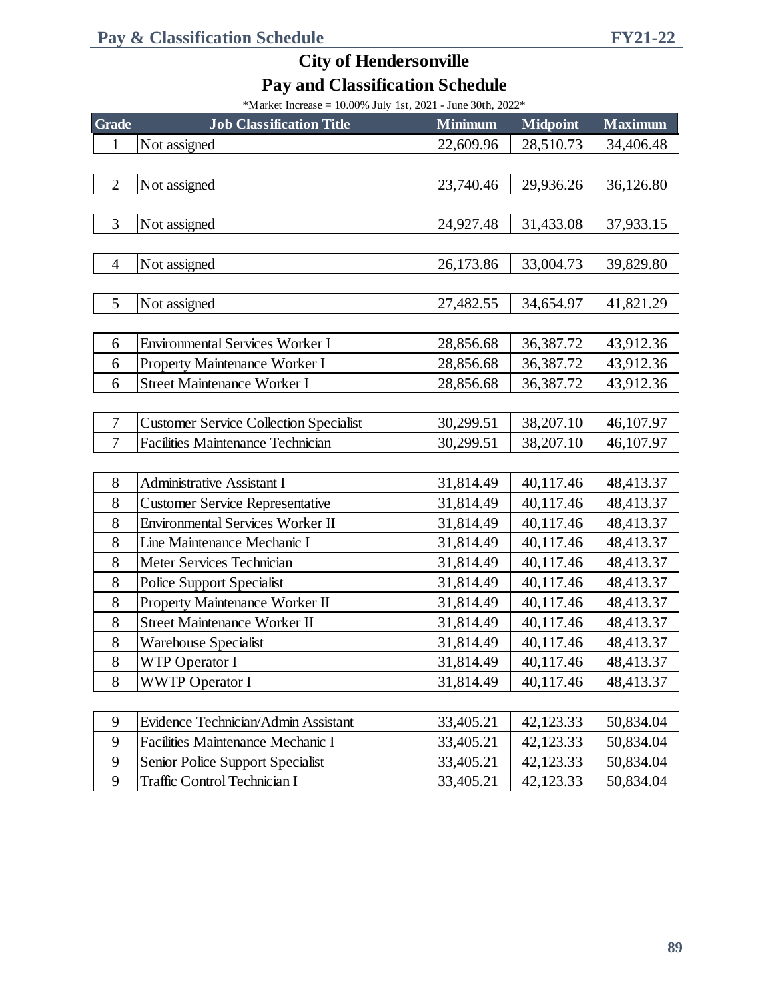\*Market Increase =  $10.00\%$  July 1st, 2021 - June 30th, 2022\*

| Grade          | <b>Job Classification Title</b>               | <b>Minimum</b> | <b>Midpoint</b> | <b>Maximum</b> |
|----------------|-----------------------------------------------|----------------|-----------------|----------------|
| $\mathbf{1}$   | Not assigned                                  | 22,609.96      | 28,510.73       | 34,406.48      |
|                |                                               |                |                 |                |
| $\mathbf{2}$   | Not assigned                                  | 23,740.46      | 29,936.26       | 36,126.80      |
|                |                                               |                |                 |                |
| 3              | Not assigned                                  | 24,927.48      | 31,433.08       | 37,933.15      |
|                |                                               |                |                 |                |
| $\overline{4}$ | Not assigned                                  | 26,173.86      | 33,004.73       | 39,829.80      |
|                |                                               |                |                 |                |
| 5              | Not assigned                                  | 27,482.55      | 34,654.97       | 41,821.29      |
|                |                                               |                |                 |                |
| 6              | <b>Environmental Services Worker I</b>        | 28,856.68      | 36,387.72       | 43,912.36      |
| 6              | Property Maintenance Worker I                 | 28,856.68      | 36,387.72       | 43,912.36      |
| 6              | <b>Street Maintenance Worker I</b>            | 28,856.68      | 36,387.72       | 43,912.36      |
|                |                                               |                |                 |                |
| 7              | <b>Customer Service Collection Specialist</b> | 30,299.51      | 38,207.10       | 46,107.97      |
| 7              | <b>Facilities Maintenance Technician</b>      | 30,299.51      | 38,207.10       | 46,107.97      |
|                |                                               |                |                 |                |
| 8              | <b>Administrative Assistant I</b>             | 31,814.49      | 40,117.46       | 48,413.37      |
| 8              | <b>Customer Service Representative</b>        | 31,814.49      | 40,117.46       | 48,413.37      |
| 8              | <b>Environmental Services Worker II</b>       | 31,814.49      | 40,117.46       | 48,413.37      |
| 8              | Line Maintenance Mechanic I                   | 31,814.49      | 40,117.46       | 48,413.37      |
| 8              | Meter Services Technician                     | 31,814.49      | 40,117.46       | 48,413.37      |
| 8              | <b>Police Support Specialist</b>              | 31,814.49      | 40,117.46       | 48,413.37      |
| 8              | Property Maintenance Worker II                | 31,814.49      | 40,117.46       | 48,413.37      |
| 8              | <b>Street Maintenance Worker II</b>           | 31,814.49      | 40,117.46       | 48,413.37      |
| $8\,$          | <b>Warehouse Specialist</b>                   | 31,814.49      | 40,117.46       | 48,413.37      |
| 8              | <b>WTP Operator I</b>                         | 31,814.49      | 40,117.46       | 48,413.37      |
| 8              | <b>WWTP Operator I</b>                        | 31,814.49      | 40,117.46       | 48,413.37      |
|                |                                               |                |                 |                |
| 9              | Evidence Technician/Admin Assistant           | 33,405.21      | 42,123.33       | 50,834.04      |
| 9              | Facilities Maintenance Mechanic I             | 33,405.21      | 42,123.33       | 50,834.04      |
| 9              | Senior Police Support Specialist              | 33,405.21      | 42,123.33       | 50,834.04      |
| 9              | <b>Traffic Control Technician I</b>           | 33,405.21      | 42,123.33       | 50,834.04      |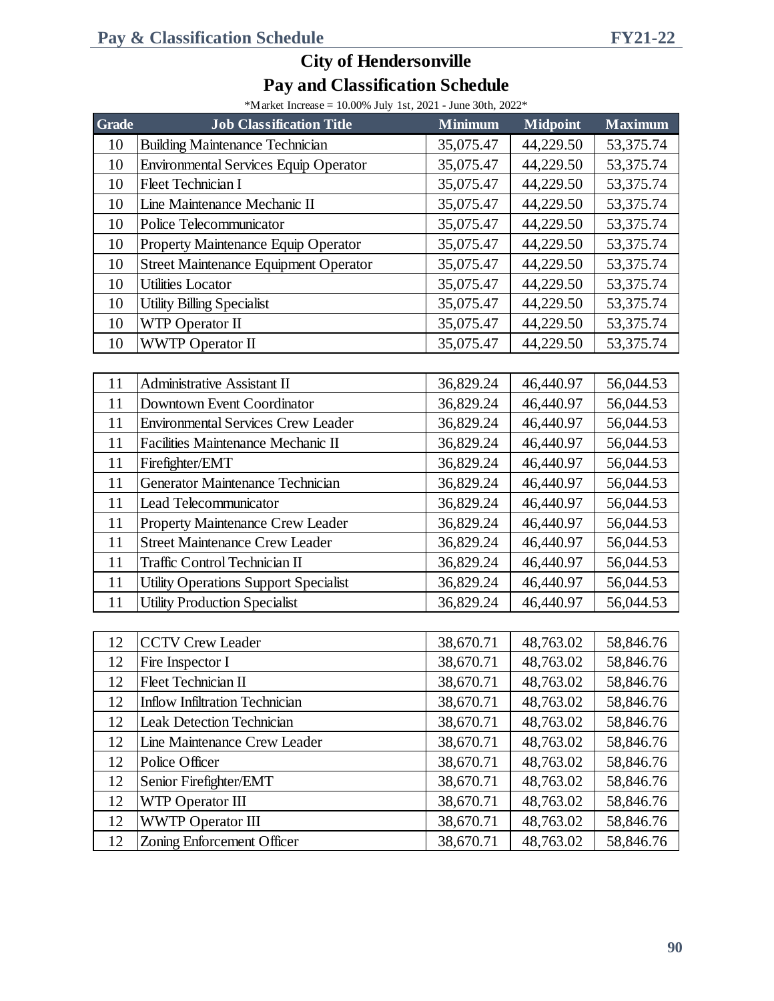| *M arket Increase = $10.00\%$ July 1st, 2021 - June 30th, 2022* |  |  |  |  |
|-----------------------------------------------------------------|--|--|--|--|

| <b>Grade</b> | <b>Job Classification Title</b>              | <b>Minimum</b> | <b>Midpoint</b> | <b>Maximum</b> |
|--------------|----------------------------------------------|----------------|-----------------|----------------|
| 10           | <b>Building Maintenance Technician</b>       | 35,075.47      | 44,229.50       | 53,375.74      |
| 10           | <b>Environmental Services Equip Operator</b> | 35,075.47      | 44,229.50       | 53,375.74      |
| 10           | Fleet Technician I                           | 35,075.47      | 44,229.50       | 53,375.74      |
| 10           | Line Maintenance Mechanic II                 | 35,075.47      | 44,229.50       | 53,375.74      |
| 10           | Police Telecommunicator                      | 35,075.47      | 44,229.50       | 53,375.74      |
| 10           | Property Maintenance Equip Operator          | 35,075.47      | 44,229.50       | 53,375.74      |
| 10           | <b>Street Maintenance Equipment Operator</b> | 35,075.47      | 44,229.50       | 53,375.74      |
| 10           | <b>Utilities Locator</b>                     | 35,075.47      | 44,229.50       | 53,375.74      |
| 10           | <b>Utility Billing Specialist</b>            | 35,075.47      | 44,229.50       | 53,375.74      |
| 10           | WTP Operator II                              | 35,075.47      | 44,229.50       | 53,375.74      |
| 10           | <b>WWTP Operator II</b>                      | 35,075.47      | 44,229.50       | 53,375.74      |
|              |                                              |                |                 |                |
| 11           | Administrative Assistant II                  | 36,829.24      | 46,440.97       | 56,044.53      |
| 11           | Downtown Event Coordinator                   | 36,829.24      | 46,440.97       | 56,044.53      |
| 11           | <b>Environmental Services Crew Leader</b>    | 36,829.24      | 46,440.97       | 56,044.53      |
| 11           | Facilities Maintenance Mechanic II           | 36,829.24      | 46,440.97       | 56,044.53      |
| 11           | Firefighter/EMT                              | 36,829.24      | 46,440.97       | 56,044.53      |
| 11           | Generator Maintenance Technician             | 36,829.24      | 46,440.97       | 56,044.53      |
| 11           | Lead Telecommunicator                        | 36,829.24      | 46,440.97       | 56,044.53      |
| 11           | Property Maintenance Crew Leader             | 36,829.24      | 46,440.97       | 56,044.53      |
| 11           | <b>Street Maintenance Crew Leader</b>        | 36,829.24      | 46,440.97       | 56,044.53      |
| 11           | Traffic Control Technician II                | 36,829.24      | 46,440.97       | 56,044.53      |
| 11           | <b>Utility Operations Support Specialist</b> | 36,829.24      | 46,440.97       | 56,044.53      |
| 11           | <b>Utility Production Specialist</b>         | 36,829.24      | 46,440.97       | 56,044.53      |
|              |                                              |                |                 |                |
| 12           | <b>CCTV Crew Leader</b>                      | 38,670.71      | 48,763.02       | 58,846.76      |
| 12           | Fire Inspector I                             | 38,670.71      | 48,763.02       | 58,846.76      |
| 12           | Fleet Technician II                          | 38,670.71      | 48,763.02       | 58,846.76      |
| 12           | <b>Inflow Infiltration Technician</b>        | 38,670.71      | 48,763.02       | 58,846.76      |
| 12           | <b>Leak Detection Technician</b>             | 38,670.71      | 48,763.02       | 58,846.76      |
| 12           | Line Maintenance Crew Leader                 | 38,670.71      | 48,763.02       | 58,846.76      |
| 12           | Police Officer                               | 38,670.71      | 48,763.02       | 58,846.76      |
| 12           | Senior Firefighter/EMT                       | 38,670.71      | 48,763.02       | 58,846.76      |
| 12           | <b>WTP Operator III</b>                      | 38,670.71      | 48,763.02       | 58,846.76      |
| 12           | <b>WWTP Operator III</b>                     | 38,670.71      | 48,763.02       | 58,846.76      |
| 12           | Zoning Enforcement Officer                   | 38,670.71      | 48,763.02       | 58,846.76      |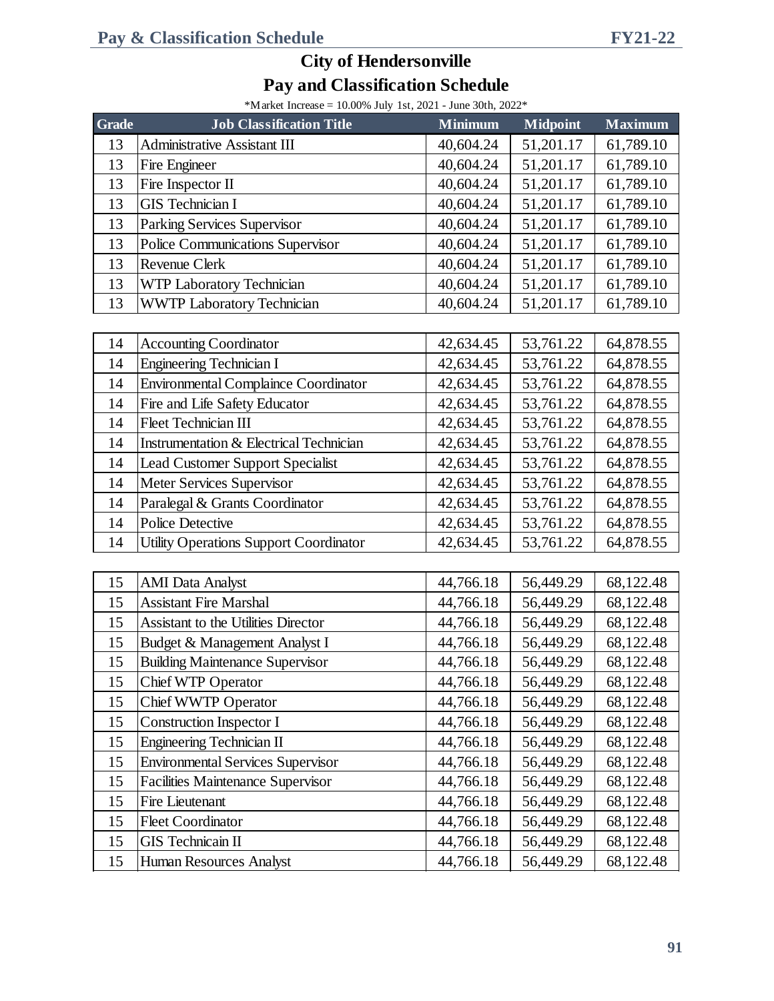| *M arket Increase = $10.00\%$ July 1st, 2021 - June 30th, 2022* |  |  |  |  |
|-----------------------------------------------------------------|--|--|--|--|

| <b>Grade</b> | <b>Job Classification Title</b>               | <b>Minimum</b> | <b>Midpoint</b> | <b>Maximum</b> |
|--------------|-----------------------------------------------|----------------|-----------------|----------------|
| 13           | <b>Administrative Assistant III</b>           | 40,604.24      | 51,201.17       | 61,789.10      |
| 13           | Fire Engineer                                 | 40,604.24      | 51,201.17       | 61,789.10      |
| 13           | Fire Inspector II                             | 40,604.24      | 51,201.17       | 61,789.10      |
| 13           | <b>GIS</b> Technician I                       | 40,604.24      | 51,201.17       | 61,789.10      |
| 13           | Parking Services Supervisor                   | 40,604.24      | 51,201.17       | 61,789.10      |
| 13           | Police Communications Supervisor              | 40,604.24      | 51,201.17       | 61,789.10      |
| 13           | Revenue Clerk                                 | 40,604.24      | 51,201.17       | 61,789.10      |
| 13           | WTP Laboratory Technician                     | 40,604.24      | 51,201.17       | 61,789.10      |
| 13           | WWTP Laboratory Technician                    | 40,604.24      | 51,201.17       | 61,789.10      |
|              |                                               |                |                 |                |
| 14           | <b>Accounting Coordinator</b>                 | 42,634.45      | 53,761.22       | 64,878.55      |
| 14           | <b>Engineering Technician I</b>               | 42,634.45      | 53,761.22       | 64,878.55      |
| 14           | <b>Environmental Complaince Coordinator</b>   | 42,634.45      | 53,761.22       | 64,878.55      |
| 14           | Fire and Life Safety Educator                 | 42,634.45      | 53,761.22       | 64,878.55      |
| 14           | <b>Fleet Technician III</b>                   | 42,634.45      | 53,761.22       | 64,878.55      |
| 14           | Instrumentation & Electrical Technician       | 42,634.45      | 53,761.22       | 64,878.55      |
| 14           | <b>Lead Customer Support Specialist</b>       | 42,634.45      | 53,761.22       | 64,878.55      |
| 14           | Meter Services Supervisor                     | 42,634.45      | 53,761.22       | 64,878.55      |
| 14           | Paralegal & Grants Coordinator                | 42,634.45      | 53,761.22       | 64,878.55      |
| 14           | <b>Police Detective</b>                       | 42,634.45      | 53,761.22       | 64,878.55      |
| 14           | <b>Utility Operations Support Coordinator</b> | 42,634.45      | 53,761.22       | 64,878.55      |
|              |                                               |                |                 |                |
| 15           | <b>AMI</b> Data Analyst                       | 44,766.18      | 56,449.29       | 68,122.48      |
| 15           | <b>Assistant Fire Marshal</b>                 | 44,766.18      | 56,449.29       | 68,122.48      |
| 15           | Assistant to the Utilities Director           | 44,766.18      | 56,449.29       | 68,122.48      |
| 15           | Budget & Management Analyst I                 | 44,766.18      | 56,449.29       | 68,122.48      |
| 15           | <b>Building Maintenance Supervisor</b>        | 44,766.18      | 56,449.29       | 68,122.48      |
| 15           | Chief WTP Operator                            | 44,766.18      | 56,449.29       | 68,122.48      |
| 15           | Chief WWTP Operator                           | 44,766.18      | 56,449.29       | 68,122.48      |
| 15           | <b>Construction Inspector I</b>               | 44,766.18      | 56,449.29       | 68,122.48      |
| 15           | Engineering Technician II                     | 44,766.18      | 56,449.29       | 68,122.48      |
| 15           | <b>Environmental Services Supervisor</b>      | 44,766.18      | 56,449.29       | 68,122.48      |
| 15           | <b>Facilities Maintenance Supervisor</b>      | 44,766.18      | 56,449.29       | 68,122.48      |
| 15           | Fire Lieutenant                               | 44,766.18      | 56,449.29       | 68,122.48      |
| 15           | <b>Fleet Coordinator</b>                      | 44,766.18      | 56,449.29       | 68,122.48      |
| 15           | <b>GIS</b> Technicain II                      | 44,766.18      | 56,449.29       | 68,122.48      |
| 15           | Human Resources Analyst                       | 44,766.18      | 56,449.29       | 68,122.48      |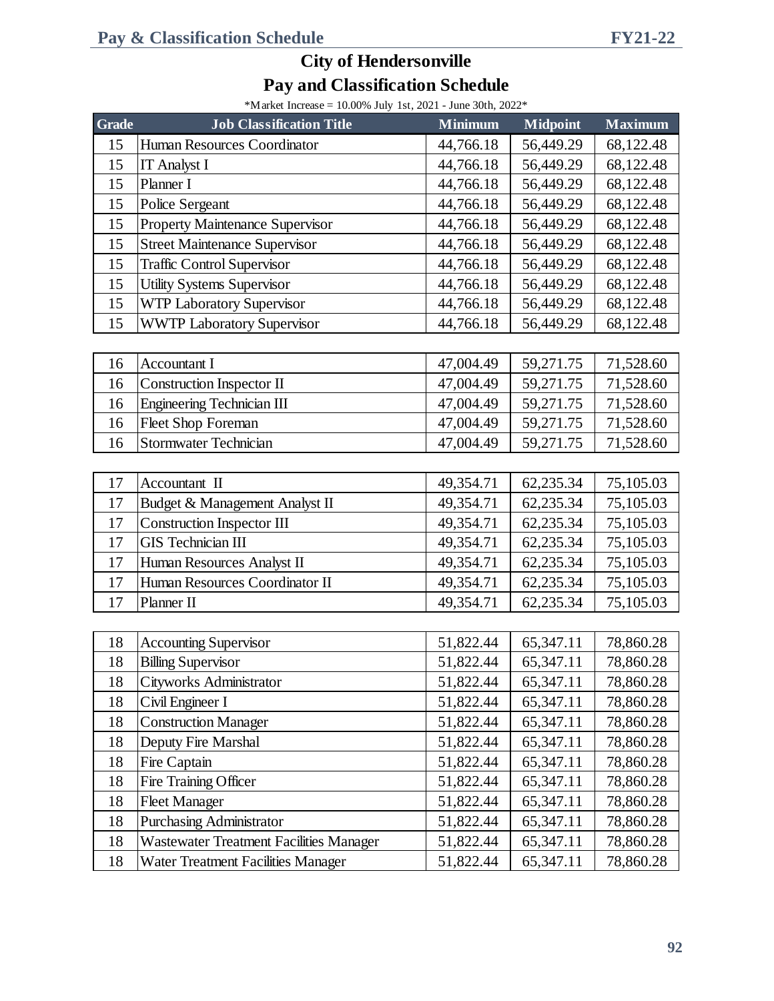\*Market Increase = 10.00% July 1st, 2021 - June 30th, 2022\*

| <b>Grade</b> | <b>Job Classification Title</b>                | <b>Minimum</b> | <b>Midpoint</b> | <b>Maximum</b> |
|--------------|------------------------------------------------|----------------|-----------------|----------------|
| 15           | Human Resources Coordinator                    | 44,766.18      | 56,449.29       | 68,122.48      |
| 15           | <b>IT Analyst I</b>                            | 44,766.18      | 56,449.29       | 68,122.48      |
| 15           | Planner I                                      | 44,766.18      | 56,449.29       | 68,122.48      |
| 15           | Police Sergeant                                | 44,766.18      | 56,449.29       | 68,122.48      |
| 15           | <b>Property Maintenance Supervisor</b>         | 44,766.18      | 56,449.29       | 68,122.48      |
| 15           | <b>Street Maintenance Supervisor</b>           | 44,766.18      | 56,449.29       | 68,122.48      |
| 15           | <b>Traffic Control Supervisor</b>              | 44,766.18      | 56,449.29       | 68,122.48      |
| 15           | <b>Utility Systems Supervisor</b>              | 44,766.18      | 56,449.29       | 68,122.48      |
| 15           | <b>WTP Laboratory Supervisor</b>               | 44,766.18      | 56,449.29       | 68,122.48      |
| 15           | <b>WWTP Laboratory Supervisor</b>              | 44,766.18      | 56,449.29       | 68,122.48      |
|              |                                                |                |                 |                |
| 16           | <b>Accountant I</b>                            | 47,004.49      | 59,271.75       | 71,528.60      |
| 16           | <b>Construction Inspector II</b>               | 47,004.49      | 59,271.75       | 71,528.60      |
| 16           | <b>Engineering Technician III</b>              | 47,004.49      | 59,271.75       | 71,528.60      |
| 16           | <b>Fleet Shop Foreman</b>                      | 47,004.49      | 59,271.75       | 71,528.60      |
| 16           | <b>Stormwater Technician</b>                   | 47,004.49      | 59,271.75       | 71,528.60      |
|              |                                                |                |                 |                |
| 17           | Accountant II                                  | 49,354.71      | 62,235.34       | 75,105.03      |
| 17           | Budget & Management Analyst II                 | 49,354.71      | 62,235.34       | 75,105.03      |
| 17           | <b>Construction Inspector III</b>              | 49,354.71      | 62,235.34       | 75,105.03      |
| 17           | <b>GIS</b> Technician III                      | 49,354.71      | 62,235.34       | 75,105.03      |
| 17           | Human Resources Analyst II                     | 49,354.71      | 62,235.34       | 75,105.03      |
| 17           | Human Resources Coordinator II                 | 49,354.71      | 62,235.34       | 75,105.03      |
| 17           | Planner II                                     | 49,354.71      | 62,235.34       | 75,105.03      |
|              |                                                |                |                 |                |
| 18           | <b>Accounting Supervisor</b>                   | 51,822.44      | 65,347.11       | 78,860.28      |
| 18           | <b>Billing Supervisor</b>                      | 51,822.44      | 65,347.11       | 78,860.28      |
| 18           | Cityworks Administrator                        | 51,822.44      | 65,347.11       | 78,860.28      |
| 18           | Civil Engineer I                               | 51,822.44      | 65,347.11       | 78,860.28      |
| 18           | <b>Construction Manager</b>                    | 51,822.44      | 65,347.11       | 78,860.28      |
| 18           | Deputy Fire Marshal                            | 51,822.44      | 65,347.11       | 78,860.28      |
| 18           | Fire Captain                                   | 51,822.44      | 65,347.11       | 78,860.28      |
| 18           | Fire Training Officer                          | 51,822.44      | 65,347.11       | 78,860.28      |
| 18           | <b>Fleet Manager</b>                           | 51,822.44      | 65,347.11       | 78,860.28      |
| 18           | <b>Purchasing Administrator</b>                | 51,822.44      | 65,347.11       | 78,860.28      |
| 18           | <b>Wastewater Treatment Facilities Manager</b> | 51,822.44      | 65,347.11       | 78,860.28      |
| 18           | Water Treatment Facilities Manager             | 51,822.44      | 65,347.11       | 78,860.28      |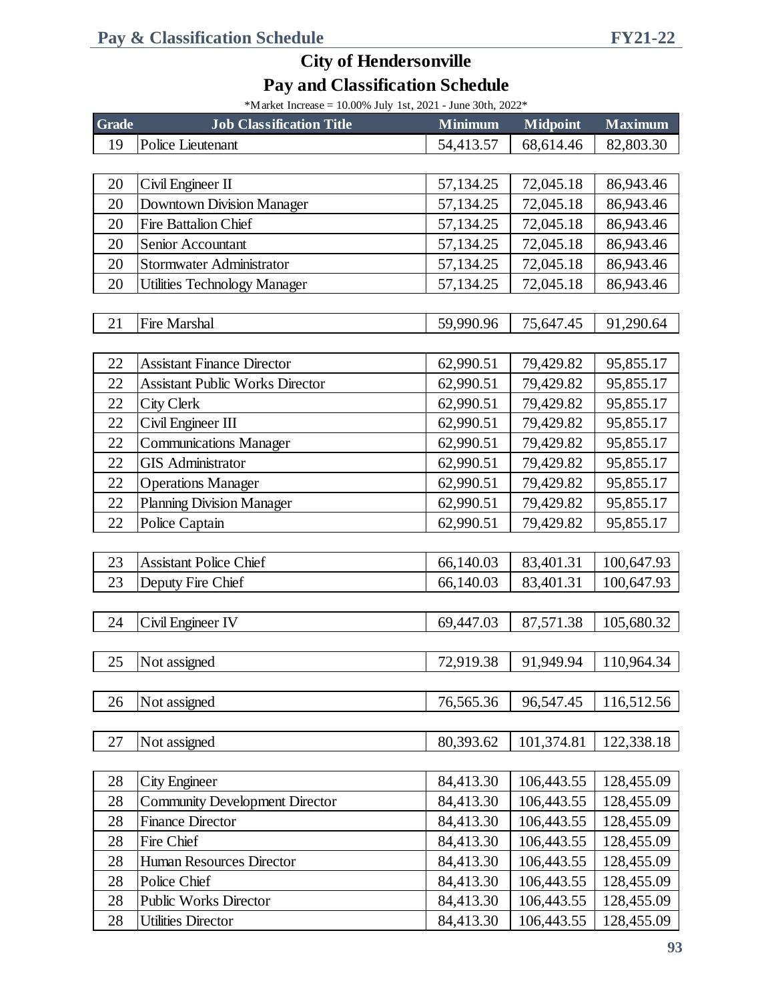\*Market Increase =  $10.00\%$  July 1st, 2021 - June 30th, 2022\*

| <b>Grade</b> | <b>Job Classification Title</b>        | <b>Minimum</b> | <b>Midpoint</b> | <b>Maximum</b> |
|--------------|----------------------------------------|----------------|-----------------|----------------|
| 19           | Police Lieutenant                      | 54,413.57      | 68,614.46       | 82,803.30      |
|              |                                        |                |                 |                |
| 20           | Civil Engineer II                      | 57,134.25      | 72,045.18       | 86,943.46      |
| 20           | <b>Downtown Division Manager</b>       | 57,134.25      | 72,045.18       | 86,943.46      |
| 20           | Fire Battalion Chief                   | 57,134.25      | 72,045.18       | 86,943.46      |
| 20           | Senior Accountant                      | 57,134.25      | 72,045.18       | 86,943.46      |
| 20           | Stormwater Administrator               | 57,134.25      | 72,045.18       | 86,943.46      |
| 20           | <b>Utilities Technology Manager</b>    | 57,134.25      | 72,045.18       | 86,943.46      |
|              |                                        |                |                 |                |
| 21           | <b>Fire Marshal</b>                    | 59,990.96      | 75,647.45       | 91,290.64      |
|              |                                        |                |                 |                |
| 22           | <b>Assistant Finance Director</b>      | 62,990.51      | 79,429.82       | 95,855.17      |
| 22           | <b>Assistant Public Works Director</b> | 62,990.51      | 79,429.82       | 95,855.17      |
| 22           | City Clerk                             | 62,990.51      | 79,429.82       | 95,855.17      |
| 22           | Civil Engineer III                     | 62,990.51      | 79,429.82       | 95,855.17      |
| 22           | <b>Communications Manager</b>          | 62,990.51      | 79,429.82       | 95,855.17      |
| 22           | <b>GIS Administrator</b>               | 62,990.51      | 79,429.82       | 95,855.17      |
| 22           | <b>Operations Manager</b>              | 62,990.51      | 79,429.82       | 95,855.17      |
| 22           | <b>Planning Division Manager</b>       | 62,990.51      | 79,429.82       | 95,855.17      |
| 22           | Police Captain                         | 62,990.51      | 79,429.82       | 95,855.17      |
|              |                                        |                |                 |                |
| 23           | <b>Assistant Police Chief</b>          | 66,140.03      | 83,401.31       | 100,647.93     |
| 23           | Deputy Fire Chief                      | 66,140.03      | 83,401.31       | 100,647.93     |
|              |                                        |                |                 |                |
| 24           | Civil Engineer IV                      | 69,447.03      | 87,571.38       | 105,680.32     |
|              |                                        |                |                 |                |
| 25           | Not assigned                           | 72,919.38      | 91,949.94       | 110,964.34     |
|              |                                        |                |                 |                |
| 26           | Not assigned                           | 76,565.36      | 96,547.45       | 116,512.56     |
|              |                                        |                |                 |                |
| 27           | Not assigned                           | 80,393.62      | 101,374.81      | 122,338.18     |
|              |                                        |                |                 |                |
| 28           | City Engineer                          | 84,413.30      | 106,443.55      | 128,455.09     |
| 28           | <b>Community Development Director</b>  | 84,413.30      | 106,443.55      | 128,455.09     |
| 28           | <b>Finance Director</b>                | 84,413.30      | 106,443.55      | 128,455.09     |
| 28           | Fire Chief                             | 84,413.30      | 106,443.55      | 128,455.09     |
| 28           | Human Resources Director               | 84,413.30      | 106,443.55      | 128,455.09     |
| 28           | Police Chief                           | 84,413.30      | 106,443.55      | 128,455.09     |
| 28           | Public Works Director                  | 84,413.30      | 106,443.55      | 128,455.09     |
| 28           | <b>Utilities Director</b>              | 84,413.30      | 106,443.55      | 128,455.09     |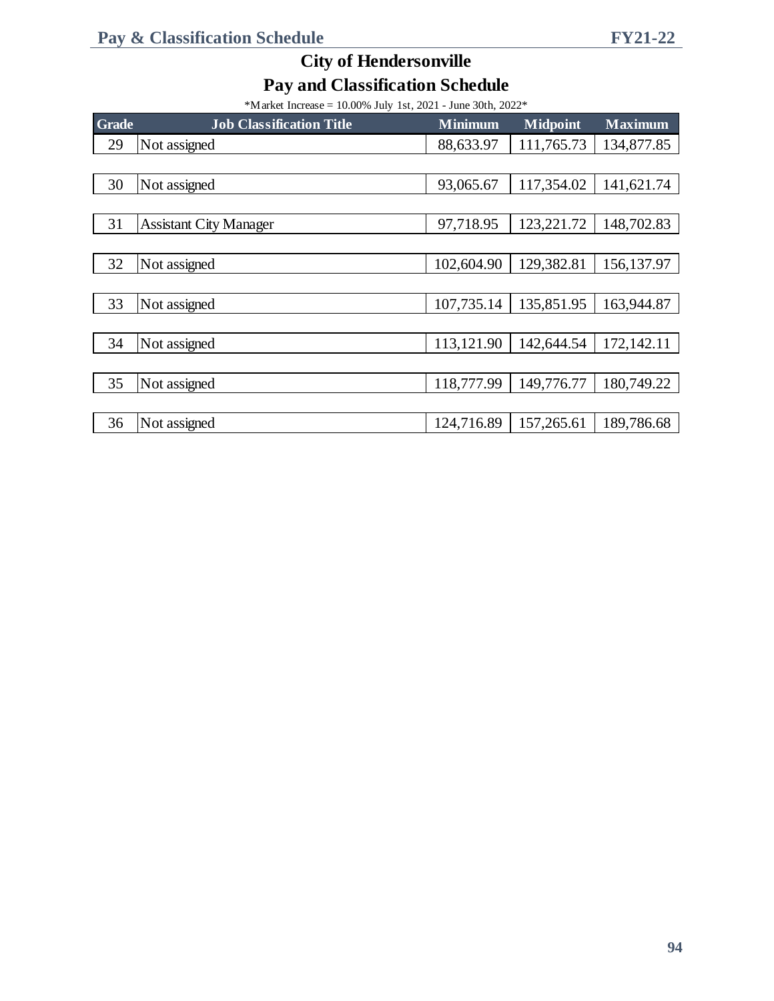\*Market Increase = 10.00% July 1st, 2021 - June 30th, 2022\*

| <b>Grade</b> | <b>Job Classification Title</b> | <b>Minimum</b> | <b>Midpoint</b> | <b>Maximum</b> |
|--------------|---------------------------------|----------------|-----------------|----------------|
| 29           | Not assigned                    | 88,633.97      | 111,765.73      | 134,877.85     |
|              |                                 |                |                 |                |
| 30           | Not assigned                    | 93,065.67      | 117,354.02      | 141,621.74     |
|              |                                 |                |                 |                |
| 31           | <b>Assistant City Manager</b>   | 97,718.95      | 123,221.72      | 148,702.83     |
|              |                                 |                |                 |                |
| 32           | Not assigned                    | 102,604.90     | 129,382.81      | 156,137.97     |
|              |                                 |                |                 |                |
| 33           | Not assigned                    | 107,735.14     | 135,851.95      | 163,944.87     |
|              |                                 |                |                 |                |
| 34           | Not assigned                    | 113,121.90     | 142,644.54      | 172,142.11     |
|              |                                 |                |                 |                |
| 35           | Not assigned                    | 118,777.99     | 149,776.77      | 180,749.22     |
|              |                                 |                |                 |                |
| 36           | Not assigned                    | 124,716.89     | 157,265.61      | 189,786.68     |